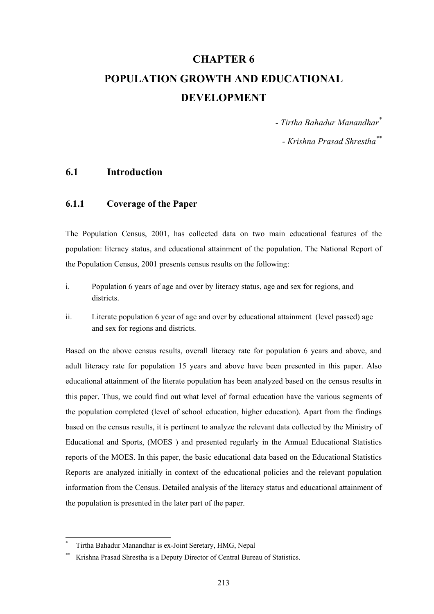# **CHAPTER 6 POPULATION GROWTH AND EDUCATIONAL DEVELOPMENT**

*- Tirtha Bahadur Manandhar\**

*- Krishna Prasad Shrestha\*\**

### **6.1 Introduction**

### **6.1.1 Coverage of the Paper**

The Population Census, 2001, has collected data on two main educational features of the population: literacy status, and educational attainment of the population. The National Report of the Population Census, 2001 presents census results on the following:

- i. Population 6 years of age and over by literacy status, age and sex for regions, and districts.
- ii. Literate population 6 year of age and over by educational attainment (level passed) age and sex for regions and districts.

Based on the above census results, overall literacy rate for population 6 years and above, and adult literacy rate for population 15 years and above have been presented in this paper. Also educational attainment of the literate population has been analyzed based on the census results in this paper. Thus, we could find out what level of formal education have the various segments of the population completed (level of school education, higher education). Apart from the findings based on the census results, it is pertinent to analyze the relevant data collected by the Ministry of Educational and Sports, (MOES ) and presented regularly in the Annual Educational Statistics reports of the MOES. In this paper, the basic educational data based on the Educational Statistics Reports are analyzed initially in context of the educational policies and the relevant population information from the Census. Detailed analysis of the literacy status and educational attainment of the population is presented in the later part of the paper.

l

<sup>\*</sup> Tirtha Bahadur Manandhar is ex-Joint Seretary, HMG, Nepal

Krishna Prasad Shrestha is a Deputy Director of Central Bureau of Statistics.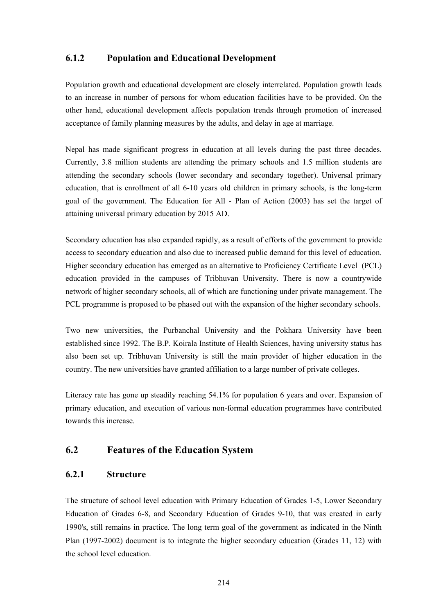### **6.1.2 Population and Educational Development**

Population growth and educational development are closely interrelated. Population growth leads to an increase in number of persons for whom education facilities have to be provided. On the other hand, educational development affects population trends through promotion of increased acceptance of family planning measures by the adults, and delay in age at marriage.

Nepal has made significant progress in education at all levels during the past three decades. Currently, 3.8 million students are attending the primary schools and 1.5 million students are attending the secondary schools (lower secondary and secondary together). Universal primary education, that is enrollment of all 6-10 years old children in primary schools, is the long-term goal of the government. The Education for All - Plan of Action (2003) has set the target of attaining universal primary education by 2015 AD.

Secondary education has also expanded rapidly, as a result of efforts of the government to provide access to secondary education and also due to increased public demand for this level of education. Higher secondary education has emerged as an alternative to Proficiency Certificate Level (PCL) education provided in the campuses of Tribhuvan University. There is now a countrywide network of higher secondary schools, all of which are functioning under private management. The PCL programme is proposed to be phased out with the expansion of the higher secondary schools.

Two new universities, the Purbanchal University and the Pokhara University have been established since 1992. The B.P. Koirala Institute of Health Sciences, having university status has also been set up. Tribhuvan University is still the main provider of higher education in the country. The new universities have granted affiliation to a large number of private colleges.

Literacy rate has gone up steadily reaching 54.1% for population 6 years and over. Expansion of primary education, and execution of various non-formal education programmes have contributed towards this increase.

### **6.2 Features of the Education System**

### **6.2.1 Structure**

The structure of school level education with Primary Education of Grades 1-5, Lower Secondary Education of Grades 6-8, and Secondary Education of Grades 9-10, that was created in early 1990's, still remains in practice. The long term goal of the government as indicated in the Ninth Plan (1997-2002) document is to integrate the higher secondary education (Grades 11, 12) with the school level education.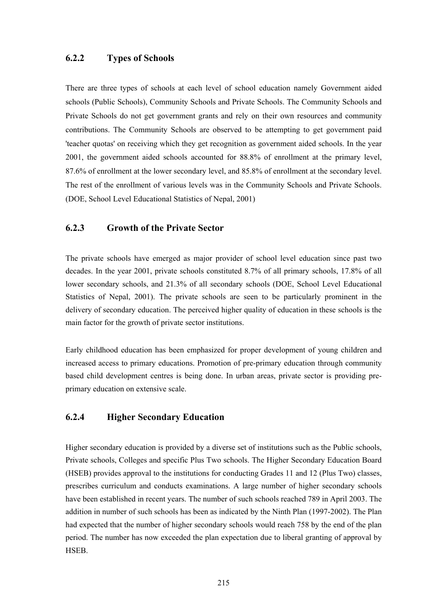### **6.2.2 Types of Schools**

There are three types of schools at each level of school education namely Government aided schools (Public Schools), Community Schools and Private Schools. The Community Schools and Private Schools do not get government grants and rely on their own resources and community contributions. The Community Schools are observed to be attempting to get government paid 'teacher quotas' on receiving which they get recognition as government aided schools. In the year 2001, the government aided schools accounted for 88.8% of enrollment at the primary level, 87.6% of enrollment at the lower secondary level, and 85.8% of enrollment at the secondary level. The rest of the enrollment of various levels was in the Community Schools and Private Schools. (DOE, School Level Educational Statistics of Nepal, 2001)

### **6.2.3 Growth of the Private Sector**

The private schools have emerged as major provider of school level education since past two decades. In the year 2001, private schools constituted 8.7% of all primary schools, 17.8% of all lower secondary schools, and 21.3% of all secondary schools (DOE, School Level Educational Statistics of Nepal, 2001). The private schools are seen to be particularly prominent in the delivery of secondary education. The perceived higher quality of education in these schools is the main factor for the growth of private sector institutions.

Early childhood education has been emphasized for proper development of young children and increased access to primary educations. Promotion of pre-primary education through community based child development centres is being done. In urban areas, private sector is providing preprimary education on extensive scale.

### **6.2.4 Higher Secondary Education**

Higher secondary education is provided by a diverse set of institutions such as the Public schools, Private schools, Colleges and specific Plus Two schools. The Higher Secondary Education Board (HSEB) provides approval to the institutions for conducting Grades 11 and 12 (Plus Two) classes, prescribes curriculum and conducts examinations. A large number of higher secondary schools have been established in recent years. The number of such schools reached 789 in April 2003. The addition in number of such schools has been as indicated by the Ninth Plan (1997-2002). The Plan had expected that the number of higher secondary schools would reach 758 by the end of the plan period. The number has now exceeded the plan expectation due to liberal granting of approval by HSEB.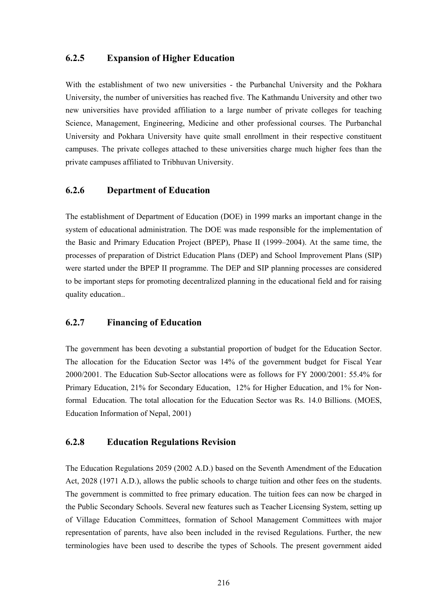### **6.2.5 Expansion of Higher Education**

With the establishment of two new universities - the Purbanchal University and the Pokhara University, the number of universities has reached five. The Kathmandu University and other two new universities have provided affiliation to a large number of private colleges for teaching Science, Management, Engineering, Medicine and other professional courses. The Purbanchal University and Pokhara University have quite small enrollment in their respective constituent campuses. The private colleges attached to these universities charge much higher fees than the private campuses affiliated to Tribhuvan University.

### **6.2.6 Department of Education**

The establishment of Department of Education (DOE) in 1999 marks an important change in the system of educational administration. The DOE was made responsible for the implementation of the Basic and Primary Education Project (BPEP), Phase II (1999–2004). At the same time, the processes of preparation of District Education Plans (DEP) and School Improvement Plans (SIP) were started under the BPEP II programme. The DEP and SIP planning processes are considered to be important steps for promoting decentralized planning in the educational field and for raising quality education..

### **6.2.7 Financing of Education**

The government has been devoting a substantial proportion of budget for the Education Sector. The allocation for the Education Sector was 14% of the government budget for Fiscal Year 2000/2001. The Education Sub-Sector allocations were as follows for FY 2000/2001: 55.4% for Primary Education, 21% for Secondary Education, 12% for Higher Education, and 1% for Nonformal Education. The total allocation for the Education Sector was Rs. 14.0 Billions. (MOES, Education Information of Nepal, 2001)

#### **6.2.8 Education Regulations Revision**

The Education Regulations 2059 (2002 A.D.) based on the Seventh Amendment of the Education Act, 2028 (1971 A.D.), allows the public schools to charge tuition and other fees on the students. The government is committed to free primary education. The tuition fees can now be charged in the Public Secondary Schools. Several new features such as Teacher Licensing System, setting up of Village Education Committees, formation of School Management Committees with major representation of parents, have also been included in the revised Regulations. Further, the new terminologies have been used to describe the types of Schools. The present government aided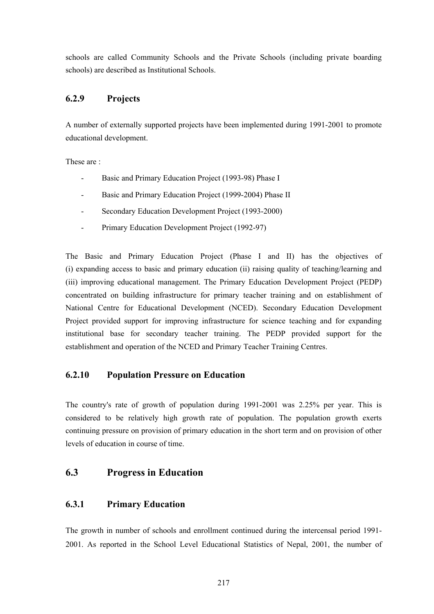schools are called Community Schools and the Private Schools (including private boarding schools) are described as Institutional Schools.

### **6.2.9 Projects**

A number of externally supported projects have been implemented during 1991-2001 to promote educational development.

These are :

- Basic and Primary Education Project (1993-98) Phase I
- Basic and Primary Education Project (1999-2004) Phase II
- Secondary Education Development Project (1993-2000)
- Primary Education Development Project (1992-97)

The Basic and Primary Education Project (Phase I and II) has the objectives of (i) expanding access to basic and primary education (ii) raising quality of teaching/learning and (iii) improving educational management. The Primary Education Development Project (PEDP) concentrated on building infrastructure for primary teacher training and on establishment of National Centre for Educational Development (NCED). Secondary Education Development Project provided support for improving infrastructure for science teaching and for expanding institutional base for secondary teacher training. The PEDP provided support for the establishment and operation of the NCED and Primary Teacher Training Centres.

### **6.2.10 Population Pressure on Education**

The country's rate of growth of population during 1991-2001 was 2.25% per year. This is considered to be relatively high growth rate of population. The population growth exerts continuing pressure on provision of primary education in the short term and on provision of other levels of education in course of time.

### **6.3 Progress in Education**

### **6.3.1 Primary Education**

The growth in number of schools and enrollment continued during the intercensal period 1991- 2001. As reported in the School Level Educational Statistics of Nepal, 2001, the number of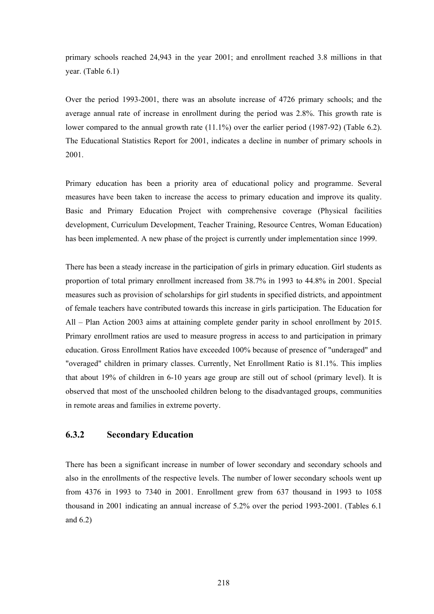primary schools reached 24,943 in the year 2001; and enrollment reached 3.8 millions in that year. (Table 6.1)

Over the period 1993-2001, there was an absolute increase of 4726 primary schools; and the average annual rate of increase in enrollment during the period was 2.8%. This growth rate is lower compared to the annual growth rate  $(11.1\%)$  over the earlier period  $(1987-92)$  (Table 6.2). The Educational Statistics Report for 2001, indicates a decline in number of primary schools in 2001.

Primary education has been a priority area of educational policy and programme. Several measures have been taken to increase the access to primary education and improve its quality. Basic and Primary Education Project with comprehensive coverage (Physical facilities development, Curriculum Development, Teacher Training, Resource Centres, Woman Education) has been implemented. A new phase of the project is currently under implementation since 1999.

There has been a steady increase in the participation of girls in primary education. Girl students as proportion of total primary enrollment increased from 38.7% in 1993 to 44.8% in 2001. Special measures such as provision of scholarships for girl students in specified districts, and appointment of female teachers have contributed towards this increase in girls participation. The Education for All – Plan Action 2003 aims at attaining complete gender parity in school enrollment by 2015. Primary enrollment ratios are used to measure progress in access to and participation in primary education. Gross Enrollment Ratios have exceeded 100% because of presence of "underaged" and "overaged" children in primary classes. Currently, Net Enrollment Ratio is 81.1%. This implies that about 19% of children in 6-10 years age group are still out of school (primary level). It is observed that most of the unschooled children belong to the disadvantaged groups, communities in remote areas and families in extreme poverty.

### **6.3.2 Secondary Education**

There has been a significant increase in number of lower secondary and secondary schools and also in the enrollments of the respective levels. The number of lower secondary schools went up from 4376 in 1993 to 7340 in 2001. Enrollment grew from 637 thousand in 1993 to 1058 thousand in 2001 indicating an annual increase of 5.2% over the period 1993-2001. (Tables 6.1 and 6.2)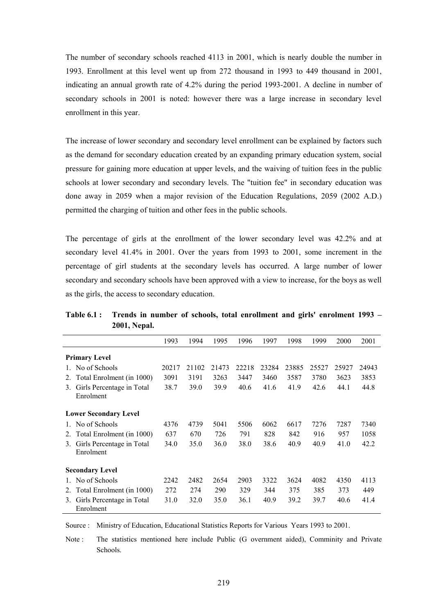The number of secondary schools reached 4113 in 2001, which is nearly double the number in 1993. Enrollment at this level went up from 272 thousand in 1993 to 449 thousand in 2001, indicating an annual growth rate of 4.2% during the period 1993-2001. A decline in number of secondary schools in 2001 is noted: however there was a large increase in secondary level enrollment in this year.

The increase of lower secondary and secondary level enrollment can be explained by factors such as the demand for secondary education created by an expanding primary education system, social pressure for gaining more education at upper levels, and the waiving of tuition fees in the public schools at lower secondary and secondary levels. The "tuition fee" in secondary education was done away in 2059 when a major revision of the Education Regulations, 2059 (2002 A.D.) permitted the charging of tuition and other fees in the public schools.

The percentage of girls at the enrollment of the lower secondary level was 42.2% and at secondary level 41.4% in 2001. Over the years from 1993 to 2001, some increment in the percentage of girl students at the secondary levels has occurred. A large number of lower secondary and secondary schools have been approved with a view to increase, for the boys as well as the girls, the access to secondary education.

|              |                                        | 1993  | 1994  | 1995  | 1996  | 1997  | 1998  | 1999  | 2000  | 2001  |
|--------------|----------------------------------------|-------|-------|-------|-------|-------|-------|-------|-------|-------|
|              | <b>Primary Level</b>                   |       |       |       |       |       |       |       |       |       |
| $\mathbf{1}$ | No of Schools                          | 20217 | 21102 | 21473 | 22218 | 23284 | 23885 | 25527 | 25927 | 24943 |
| 2.           | Total Enrolment (in 1000)              | 3091  | 3191  | 3263  | 3447  | 3460  | 3587  | 3780  | 3623  | 3853  |
| 3.           | Girls Percentage in Total<br>Enrolment | 38.7  | 39.0  | 39.9  | 40.6  | 41.6  | 41.9  | 42.6  | 44.1  | 44.8  |
|              | <b>Lower Secondary Level</b>           |       |       |       |       |       |       |       |       |       |
| $1_{-}$      | No of Schools                          | 4376  | 4739  | 5041  | 5506  | 6062  | 6617  | 7276  | 7287  | 7340  |
| 2.           | Total Enrolment (in 1000)              | 637   | 670   | 726   | 791   | 828   | 842   | 916   | 957   | 1058  |
| 3.           | Girls Percentage in Total<br>Enrolment | 34.0  | 35.0  | 36.0  | 38.0  | 38.6  | 40.9  | 40.9  | 41.0  | 42.2  |
|              | <b>Secondary Level</b>                 |       |       |       |       |       |       |       |       |       |
|              | No of Schools                          | 2242  | 2482  | 2654  | 2903  | 3322  | 3624  | 4082  | 4350  | 4113  |
| 2.           | Total Enrolment (in 1000)              | 272   | 274   | 290   | 329   | 344   | 375   | 385   | 373   | 449   |
| 3.           | Girls Percentage in Total<br>Enrolment | 31.0  | 32.0  | 35.0  | 36.1  | 40.9  | 39.2  | 39.7  | 40.6  | 41.4  |

**Table 6.1 : Trends in number of schools, total enrollment and girls' enrolment 1993 – 2001, Nepal.** 

Source : Ministry of Education, Educational Statistics Reports for Various Years 1993 to 2001.

Note : The statistics mentioned here include Public (G overnment aided), Comminity and Private Schools.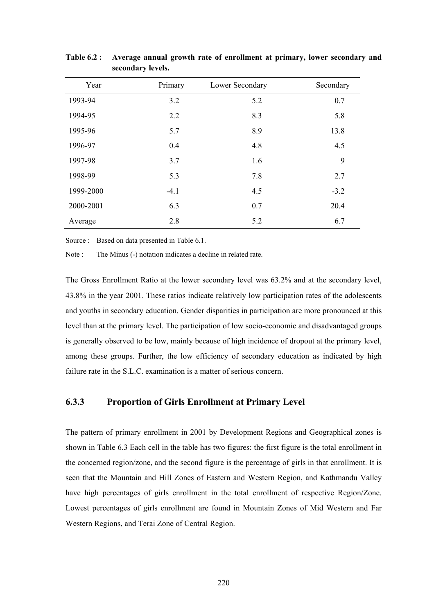| Year      | Primary | Lower Secondary | Secondary |
|-----------|---------|-----------------|-----------|
| 1993-94   | 3.2     | 5.2             | 0.7       |
| 1994-95   | 2.2     | 8.3             | 5.8       |
| 1995-96   | 5.7     | 8.9             | 13.8      |
| 1996-97   | 0.4     | 4.8             | 4.5       |
| 1997-98   | 3.7     | 1.6             | 9         |
| 1998-99   | 5.3     | 7.8             | 2.7       |
| 1999-2000 | $-4.1$  | 4.5             | $-3.2$    |
| 2000-2001 | 6.3     | 0.7             | 20.4      |
| Average   | 2.8     | 5.2             | 6.7       |

**Table 6.2 : Average annual growth rate of enrollment at primary, lower secondary and secondary levels.** 

Source : Based on data presented in Table 6.1.

Note : The Minus (-) notation indicates a decline in related rate.

The Gross Enrollment Ratio at the lower secondary level was 63.2% and at the secondary level, 43.8% in the year 2001. These ratios indicate relatively low participation rates of the adolescents and youths in secondary education. Gender disparities in participation are more pronounced at this level than at the primary level. The participation of low socio-economic and disadvantaged groups is generally observed to be low, mainly because of high incidence of dropout at the primary level, among these groups. Further, the low efficiency of secondary education as indicated by high failure rate in the S.L.C. examination is a matter of serious concern.

#### **6.3.3 Proportion of Girls Enrollment at Primary Level**

The pattern of primary enrollment in 2001 by Development Regions and Geographical zones is shown in Table 6.3 Each cell in the table has two figures: the first figure is the total enrollment in the concerned region/zone, and the second figure is the percentage of girls in that enrollment. It is seen that the Mountain and Hill Zones of Eastern and Western Region, and Kathmandu Valley have high percentages of girls enrollment in the total enrollment of respective Region/Zone. Lowest percentages of girls enrollment are found in Mountain Zones of Mid Western and Far Western Regions, and Terai Zone of Central Region.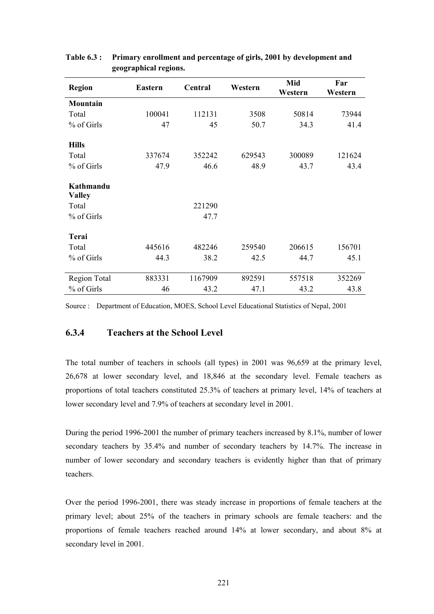| <b>Region</b>              | <b>Eastern</b> | Central | Western | Mid<br>Western | Far<br>Western |
|----------------------------|----------------|---------|---------|----------------|----------------|
| Mountain                   |                |         |         |                |                |
| Total                      | 100041         | 112131  | 3508    | 50814          | 73944          |
| % of Girls                 | 47             | 45      | 50.7    | 34.3           | 41.4           |
| <b>Hills</b>               |                |         |         |                |                |
| Total                      | 337674         | 352242  | 629543  | 300089         | 121624         |
| % of Girls                 | 47.9           | 46.6    | 48.9    | 43.7           | 43.4           |
| Kathmandu<br><b>Valley</b> |                |         |         |                |                |
| Total                      |                | 221290  |         |                |                |
| % of Girls                 |                | 47.7    |         |                |                |
| Terai                      |                |         |         |                |                |
| Total                      | 445616         | 482246  | 259540  | 206615         | 156701         |
| % of Girls                 | 44.3           | 38.2    | 42.5    | 44.7           | 45.1           |
| Region Total               | 883331         | 1167909 | 892591  | 557518         | 352269         |
| % of Girls                 | 46             | 43.2    | 47.1    | 43.2           | 43.8           |

#### **Table 6.3 : Primary enrollment and percentage of girls, 2001 by development and geographical regions.**

Source : Department of Education, MOES, School Level Educational Statistics of Nepal, 2001

### **6.3.4 Teachers at the School Level**

The total number of teachers in schools (all types) in 2001 was 96,659 at the primary level, 26,678 at lower secondary level, and 18,846 at the secondary level. Female teachers as proportions of total teachers constituted 25.3% of teachers at primary level, 14% of teachers at lower secondary level and 7.9% of teachers at secondary level in 2001.

During the period 1996-2001 the number of primary teachers increased by 8.1%, number of lower secondary teachers by 35.4% and number of secondary teachers by 14.7%. The increase in number of lower secondary and secondary teachers is evidently higher than that of primary teachers.

Over the period 1996-2001, there was steady increase in proportions of female teachers at the primary level; about 25% of the teachers in primary schools are female teachers: and the proportions of female teachers reached around 14% at lower secondary, and about 8% at secondary level in 2001.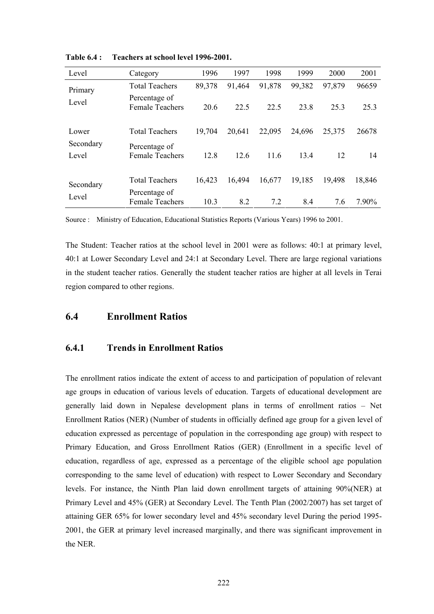| Level              | Category                                | 1996                 | 1997   | 1998     | 1999   | 2000   | 2001   |
|--------------------|-----------------------------------------|----------------------|--------|----------|--------|--------|--------|
| Primary            | <b>Total Teachers</b>                   | 89,378               | 91,464 | 91,878   | 99,382 | 97,879 | 96659  |
| Level              | Percentage of<br><b>Female Teachers</b> | 20.6                 | 22.5   | 22.5     | 23.8   | 25.3   | 25.3   |
| Lower              | <b>Total Teachers</b>                   | 19,704               | 20,641 | 22,095   | 24,696 | 25,375 | 26678  |
| Secondary<br>Level | Percentage of<br><b>Female Teachers</b> | 12.6<br>12.8<br>11.6 | 13.4   | 12<br>14 |        |        |        |
| Secondary          | <b>Total Teachers</b>                   | 16,423               | 16,494 | 16,677   | 19,185 | 19,498 | 18,846 |
| Level              | Percentage of<br><b>Female Teachers</b> | 10.3                 | 8.2    | 7.2      | 8.4    | 7.6    | 7.90%  |

**Table 6.4 : Teachers at school level 1996-2001.** 

Source : Ministry of Education, Educational Statistics Reports (Various Years) 1996 to 2001.

The Student: Teacher ratios at the school level in 2001 were as follows: 40:1 at primary level, 40:1 at Lower Secondary Level and 24:1 at Secondary Level. There are large regional variations in the student teacher ratios. Generally the student teacher ratios are higher at all levels in Terai region compared to other regions.

### **6.4 Enrollment Ratios**

### **6.4.1 Trends in Enrollment Ratios**

The enrollment ratios indicate the extent of access to and participation of population of relevant age groups in education of various levels of education. Targets of educational development are generally laid down in Nepalese development plans in terms of enrollment ratios – Net Enrollment Ratios (NER) (Number of students in officially defined age group for a given level of education expressed as percentage of population in the corresponding age group) with respect to Primary Education, and Gross Enrollment Ratios (GER) (Enrollment in a specific level of education, regardless of age, expressed as a percentage of the eligible school age population corresponding to the same level of education) with respect to Lower Secondary and Secondary levels. For instance, the Ninth Plan laid down enrollment targets of attaining 90%(NER) at Primary Level and 45% (GER) at Secondary Level. The Tenth Plan (2002/2007) has set target of attaining GER 65% for lower secondary level and 45% secondary level During the period 1995- 2001, the GER at primary level increased marginally, and there was significant improvement in the NER.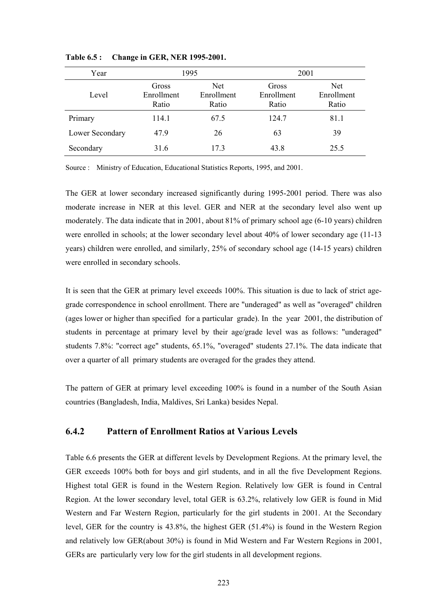| Year            |                              | 1995                              | 2001                         |                                   |
|-----------------|------------------------------|-----------------------------------|------------------------------|-----------------------------------|
| Level           | Gross<br>Enrollment<br>Ratio | <b>Net</b><br>Enrollment<br>Ratio | Gross<br>Enrollment<br>Ratio | <b>Net</b><br>Enrollment<br>Ratio |
| Primary         | 114.1                        | 67.5                              | 124.7                        | 81.1                              |
| Lower Secondary | 47.9                         | 26                                | 63                           | 39                                |
| Secondary       | 31.6                         | 17.3                              | 43.8                         | 25.5                              |

**Table 6.5 : Change in GER, NER 1995-2001.** 

Source : Ministry of Education, Educational Statistics Reports, 1995, and 2001.

The GER at lower secondary increased significantly during 1995-2001 period. There was also moderate increase in NER at this level. GER and NER at the secondary level also went up moderately. The data indicate that in 2001, about 81% of primary school age (6-10 years) children were enrolled in schools; at the lower secondary level about 40% of lower secondary age (11-13 years) children were enrolled, and similarly, 25% of secondary school age (14-15 years) children were enrolled in secondary schools.

It is seen that the GER at primary level exceeds 100%. This situation is due to lack of strict agegrade correspondence in school enrollment. There are "underaged" as well as "overaged" children (ages lower or higher than specified for a particular grade). In the year 2001, the distribution of students in percentage at primary level by their age/grade level was as follows: "underaged" students 7.8%: "correct age" students, 65.1%, "overaged" students 27.1%. The data indicate that over a quarter of all primary students are overaged for the grades they attend.

The pattern of GER at primary level exceeding 100% is found in a number of the South Asian countries (Bangladesh, India, Maldives, Sri Lanka) besides Nepal.

### **6.4.2 Pattern of Enrollment Ratios at Various Levels**

Table 6.6 presents the GER at different levels by Development Regions. At the primary level, the GER exceeds 100% both for boys and girl students, and in all the five Development Regions. Highest total GER is found in the Western Region. Relatively low GER is found in Central Region. At the lower secondary level, total GER is 63.2%, relatively low GER is found in Mid Western and Far Western Region, particularly for the girl students in 2001. At the Secondary level, GER for the country is 43.8%, the highest GER (51.4%) is found in the Western Region and relatively low GER(about 30%) is found in Mid Western and Far Western Regions in 2001, GERs are particularly very low for the girl students in all development regions.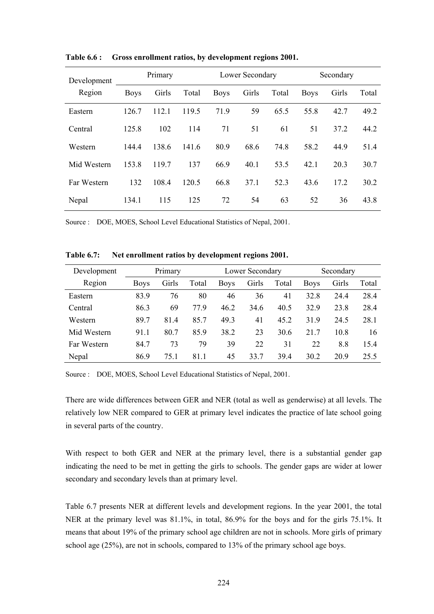| Development | Primary     |       |       |             | Lower Secondary |       | Secondary   |       |       |
|-------------|-------------|-------|-------|-------------|-----------------|-------|-------------|-------|-------|
| Region      | <b>Boys</b> | Girls | Total | <b>Boys</b> | Girls           | Total | <b>Boys</b> | Girls | Total |
| Eastern     | 126.7       | 112.1 | 119.5 | 71.9        | 59              | 65.5  | 55.8        | 42.7  | 49.2  |
| Central     | 125.8       | 102   | 114   | 71          | 51              | 61    | 51          | 37.2  | 44.2  |
| Western     | 144.4       | 138.6 | 141.6 | 80.9        | 68.6            | 74.8  | 58.2        | 44.9  | 51.4  |
| Mid Western | 153.8       | 119.7 | 137   | 66.9        | 40.1            | 53.5  | 42.1        | 20.3  | 30.7  |
| Far Western | 132         | 108.4 | 120.5 | 66.8        | 37.1            | 52.3  | 43.6        | 17.2  | 30.2  |
| Nepal       | 134.1       | 115   | 125   | 72          | 54              | 63    | 52          | 36    | 43.8  |

**Table 6.6 : Gross enrollment ratios, by development regions 2001.** 

Source : DOE, MOES, School Level Educational Statistics of Nepal, 2001.

| Development | Primary     |       |       | Lower Secondary |       |       | Secondary   |       |       |
|-------------|-------------|-------|-------|-----------------|-------|-------|-------------|-------|-------|
| Region      | <b>Boys</b> | Girls | Total | <b>Boys</b>     | Girls | Total | <b>Boys</b> | Girls | Total |
| Eastern     | 83.9        | 76    | 80    | 46              | 36    | 41    | 32.8        | 24.4  | 28.4  |
| Central     | 86.3        | 69    | 77.9  | 46.2            | 34.6  | 40.5  | 32.9        | 23.8  | 28.4  |
| Western     | 89.7        | 814   | 85.7  | 49.3            | 41    | 45.2  | 31.9        | 24.5  | 28.1  |
| Mid Western | 91.1        | 80.7  | 85.9  | 38.2            | 23    | 30.6  | 217         | 10.8  | 16    |
| Far Western | 84.7        | 73    | 79    | 39              | 22    | 31    | 22          | 8.8   | 15.4  |
| Nepal       | 86.9        | 75.1  | 81.1  | 45              | 33.7  | 39.4  | 30.2        | 20.9  | 25.5  |

**Table 6.7: Net enrollment ratios by development regions 2001.** 

Source : DOE, MOES, School Level Educational Statistics of Nepal, 2001.

There are wide differences between GER and NER (total as well as genderwise) at all levels. The relatively low NER compared to GER at primary level indicates the practice of late school going in several parts of the country.

With respect to both GER and NER at the primary level, there is a substantial gender gap indicating the need to be met in getting the girls to schools. The gender gaps are wider at lower secondary and secondary levels than at primary level.

Table 6.7 presents NER at different levels and development regions. In the year 2001, the total NER at the primary level was 81.1%, in total, 86.9% for the boys and for the girls 75.1%. It means that about 19% of the primary school age children are not in schools. More girls of primary school age (25%), are not in schools, compared to 13% of the primary school age boys.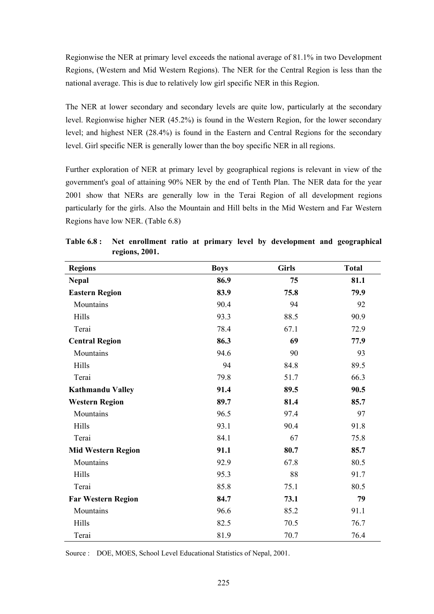Regionwise the NER at primary level exceeds the national average of 81.1% in two Development Regions, (Western and Mid Western Regions). The NER for the Central Region is less than the national average. This is due to relatively low girl specific NER in this Region.

The NER at lower secondary and secondary levels are quite low, particularly at the secondary level. Regionwise higher NER (45.2%) is found in the Western Region, for the lower secondary level; and highest NER (28.4%) is found in the Eastern and Central Regions for the secondary level. Girl specific NER is generally lower than the boy specific NER in all regions.

Further exploration of NER at primary level by geographical regions is relevant in view of the government's goal of attaining 90% NER by the end of Tenth Plan. The NER data for the year 2001 show that NERs are generally low in the Terai Region of all development regions particularly for the girls. Also the Mountain and Hill belts in the Mid Western and Far Western Regions have low NER. (Table 6.8)

| <b>Regions</b>            | <b>Boys</b> | <b>Girls</b> | <b>Total</b> |
|---------------------------|-------------|--------------|--------------|
| <b>Nepal</b>              | 86.9        | 75           | 81.1         |
| <b>Eastern Region</b>     | 83.9        | 75.8         | 79.9         |
| Mountains                 | 90.4        | 94           | 92           |
| Hills                     | 93.3        | 88.5         | 90.9         |
| Terai                     | 78.4        | 67.1         | 72.9         |
| <b>Central Region</b>     | 86.3        | 69           | 77.9         |
| Mountains                 | 94.6        | 90           | 93           |
| Hills                     | 94          | 84.8         | 89.5         |
| Terai                     | 79.8        | 51.7         | 66.3         |
| <b>Kathmandu Valley</b>   | 91.4        | 89.5         | 90.5         |
| <b>Western Region</b>     | 89.7        | 81.4         | 85.7         |
| Mountains                 | 96.5        | 97.4         | 97           |
| Hills                     | 93.1        | 90.4         | 91.8         |
| Terai                     | 84.1        | 67           | 75.8         |
| <b>Mid Western Region</b> | 91.1        | 80.7         | 85.7         |
| Mountains                 | 92.9        | 67.8         | 80.5         |
| Hills                     | 95.3        | 88           | 91.7         |
| Terai                     | 85.8        | 75.1         | 80.5         |
| <b>Far Western Region</b> | 84.7        | 73.1         | 79           |
| Mountains                 | 96.6        | 85.2         | 91.1         |
| Hills                     | 82.5        | 70.5         | 76.7         |
| Terai                     | 81.9        | 70.7         | 76.4         |

**Table 6.8 : Net enrollment ratio at primary level by development and geographical regions, 2001.** 

Source : DOE, MOES, School Level Educational Statistics of Nepal, 2001.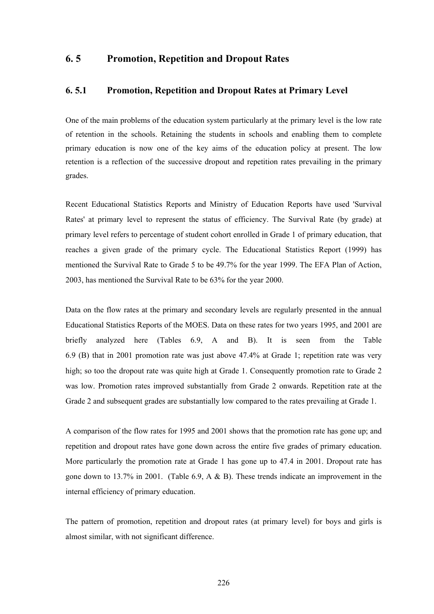### **6. 5 Promotion, Repetition and Dropout Rates**

#### **6. 5.1 Promotion, Repetition and Dropout Rates at Primary Level**

One of the main problems of the education system particularly at the primary level is the low rate of retention in the schools. Retaining the students in schools and enabling them to complete primary education is now one of the key aims of the education policy at present. The low retention is a reflection of the successive dropout and repetition rates prevailing in the primary grades.

Recent Educational Statistics Reports and Ministry of Education Reports have used 'Survival Rates' at primary level to represent the status of efficiency. The Survival Rate (by grade) at primary level refers to percentage of student cohort enrolled in Grade 1 of primary education, that reaches a given grade of the primary cycle. The Educational Statistics Report (1999) has mentioned the Survival Rate to Grade 5 to be 49.7% for the year 1999. The EFA Plan of Action, 2003, has mentioned the Survival Rate to be 63% for the year 2000.

Data on the flow rates at the primary and secondary levels are regularly presented in the annual Educational Statistics Reports of the MOES. Data on these rates for two years 1995, and 2001 are briefly analyzed here (Tables 6.9, A and B). It is seen from the Table 6.9 (B) that in 2001 promotion rate was just above 47.4% at Grade 1; repetition rate was very high; so too the dropout rate was quite high at Grade 1. Consequently promotion rate to Grade 2 was low. Promotion rates improved substantially from Grade 2 onwards. Repetition rate at the Grade 2 and subsequent grades are substantially low compared to the rates prevailing at Grade 1.

A comparison of the flow rates for 1995 and 2001 shows that the promotion rate has gone up; and repetition and dropout rates have gone down across the entire five grades of primary education. More particularly the promotion rate at Grade 1 has gone up to 47.4 in 2001. Dropout rate has gone down to 13.7% in 2001. (Table 6.9, A  $\&$  B). These trends indicate an improvement in the internal efficiency of primary education.

The pattern of promotion, repetition and dropout rates (at primary level) for boys and girls is almost similar, with not significant difference.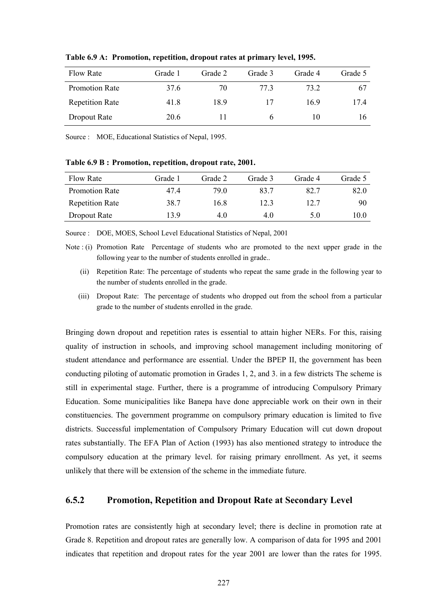| <b>Flow Rate</b>       | Grade 1 | Grade 2 | Grade 3 | Grade 4 | Grade 5 |
|------------------------|---------|---------|---------|---------|---------|
| Promotion Rate         | 37.6    | 70      | 77 3    | 73.2    | 67      |
| <b>Repetition Rate</b> | 41.8    | 189     | 17      | 169     | 17.4    |
| Dropout Rate           | 20.6    |         |         | 10      | 16      |

**Table 6.9 A: Promotion, repetition, dropout rates at primary level, 1995.** 

Source : MOE, Educational Statistics of Nepal, 1995.

**Table 6.9 B : Promotion, repetition, dropout rate, 2001.** 

| Flow Rate              | Grade 1 | Grade 2 | Grade 3 | Grade 4 | Grade 5 |
|------------------------|---------|---------|---------|---------|---------|
| Promotion Rate         | 47.4    | 79.0    | 83.7    | 82.7    | 82.0    |
| <b>Repetition Rate</b> | 38.7    | 16.8    | 12.3    | 12.7    | 90      |
| Dropout Rate           | 139     | 4.0     | 4.0     | 5.0     | 10.0    |

Source : DOE, MOES, School Level Educational Statistics of Nepal, 2001

Note : (i) Promotion Rate Percentage of students who are promoted to the next upper grade in the following year to the number of students enrolled in grade..

- (ii) Repetition Rate: The percentage of students who repeat the same grade in the following year to the number of students enrolled in the grade.
- (iii) Dropout Rate: The percentage of students who dropped out from the school from a particular grade to the number of students enrolled in the grade.

Bringing down dropout and repetition rates is essential to attain higher NERs. For this, raising quality of instruction in schools, and improving school management including monitoring of student attendance and performance are essential. Under the BPEP II, the government has been conducting piloting of automatic promotion in Grades 1, 2, and 3. in a few districts The scheme is still in experimental stage. Further, there is a programme of introducing Compulsory Primary Education. Some municipalities like Banepa have done appreciable work on their own in their constituencies. The government programme on compulsory primary education is limited to five districts. Successful implementation of Compulsory Primary Education will cut down dropout rates substantially. The EFA Plan of Action (1993) has also mentioned strategy to introduce the compulsory education at the primary level. for raising primary enrollment. As yet, it seems unlikely that there will be extension of the scheme in the immediate future.

#### **6.5.2 Promotion, Repetition and Dropout Rate at Secondary Level**

Promotion rates are consistently high at secondary level; there is decline in promotion rate at Grade 8. Repetition and dropout rates are generally low. A comparison of data for 1995 and 2001 indicates that repetition and dropout rates for the year 2001 are lower than the rates for 1995.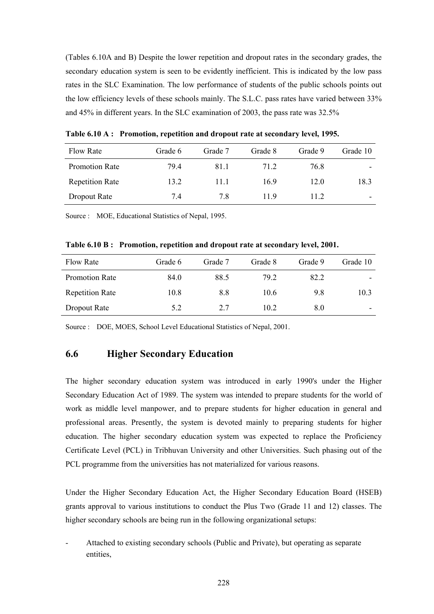(Tables 6.10A and B) Despite the lower repetition and dropout rates in the secondary grades, the secondary education system is seen to be evidently inefficient. This is indicated by the low pass rates in the SLC Examination. The low performance of students of the public schools points out the low efficiency levels of these schools mainly. The S.L.C. pass rates have varied between 33% and 45% in different years. In the SLC examination of 2003, the pass rate was 32.5%

| <b>Flow Rate</b>       | Grade 6 | Grade 7 | Grade 8 | Grade 9 | Grade 10                 |
|------------------------|---------|---------|---------|---------|--------------------------|
| <b>Promotion Rate</b>  | 79.4    | 81.1    | 71.2    | 76.8    | $\overline{\phantom{a}}$ |
| <b>Repetition Rate</b> | 13.2    | 11 1    | 169     | 12.0    | 18.3                     |
| Dropout Rate           | 7.4     | 7.8     | 119     | 11.2    | $\overline{\phantom{0}}$ |

**Table 6.10 A : Promotion, repetition and dropout rate at secondary level, 1995.** 

Source : MOE, Educational Statistics of Nepal, 1995.

| Table 6.10 B: Promotion, repetition and dropout rate at secondary level, 2001. |  |  |  |
|--------------------------------------------------------------------------------|--|--|--|
|                                                                                |  |  |  |

| Flow Rate              | Grade 6 | Grade 7 | Grade 8 | Grade 9 | Grade 10 |
|------------------------|---------|---------|---------|---------|----------|
| <b>Promotion Rate</b>  | 84.0    | 88.5    | 79.2    | 82.2    |          |
| <b>Repetition Rate</b> | 10.8    | 8.8     | 10.6    | 9.8     | 10.3     |
| Dropout Rate           | 5.2     | 2.7     | 10.2    | 8.0     | -        |

Source : DOE, MOES, School Level Educational Statistics of Nepal, 2001.

### **6.6 Higher Secondary Education**

The higher secondary education system was introduced in early 1990's under the Higher Secondary Education Act of 1989. The system was intended to prepare students for the world of work as middle level manpower, and to prepare students for higher education in general and professional areas. Presently, the system is devoted mainly to preparing students for higher education. The higher secondary education system was expected to replace the Proficiency Certificate Level (PCL) in Tribhuvan University and other Universities. Such phasing out of the PCL programme from the universities has not materialized for various reasons.

Under the Higher Secondary Education Act, the Higher Secondary Education Board (HSEB) grants approval to various institutions to conduct the Plus Two (Grade 11 and 12) classes. The higher secondary schools are being run in the following organizational setups:

- Attached to existing secondary schools (Public and Private), but operating as separate entities,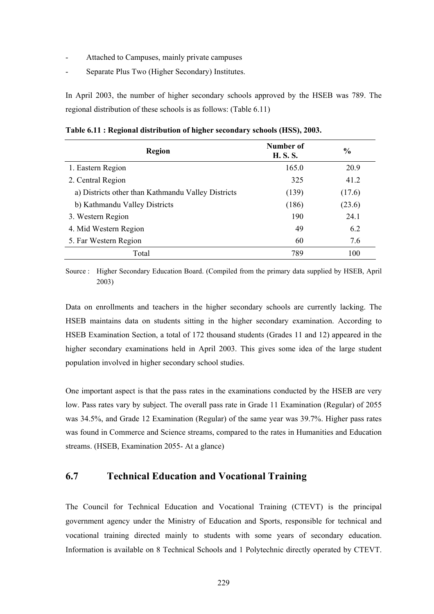- Attached to Campuses, mainly private campuses
- Separate Plus Two (Higher Secondary) Institutes.

In April 2003, the number of higher secondary schools approved by the HSEB was 789. The regional distribution of these schools is as follows: (Table 6.11)

| <b>Region</b>                                      | Number of<br><b>H.S.S.</b> | $\%$   |
|----------------------------------------------------|----------------------------|--------|
| 1. Eastern Region                                  | 165.0                      | 20.9   |
| 2. Central Region                                  | 325                        | 41.2   |
| a) Districts other than Kathmandu Valley Districts | (139)                      | (17.6) |
| b) Kathmandu Valley Districts                      | (186)                      | (23.6) |
| 3. Western Region                                  | 190                        | 24.1   |
| 4. Mid Western Region                              | 49                         | 6.2    |
| 5. Far Western Region                              | 60                         | 7.6    |
| Total                                              | 789                        | 100    |

**Table 6.11 : Regional distribution of higher secondary schools (HSS), 2003.** 

Source : Higher Secondary Education Board. (Compiled from the primary data supplied by HSEB, April 2003)

Data on enrollments and teachers in the higher secondary schools are currently lacking. The HSEB maintains data on students sitting in the higher secondary examination. According to HSEB Examination Section, a total of 172 thousand students (Grades 11 and 12) appeared in the higher secondary examinations held in April 2003. This gives some idea of the large student population involved in higher secondary school studies.

One important aspect is that the pass rates in the examinations conducted by the HSEB are very low. Pass rates vary by subject. The overall pass rate in Grade 11 Examination (Regular) of 2055 was 34.5%, and Grade 12 Examination (Regular) of the same year was 39.7%. Higher pass rates was found in Commerce and Science streams, compared to the rates in Humanities and Education streams. (HSEB, Examination 2055- At a glance)

### **6.7 Technical Education and Vocational Training**

The Council for Technical Education and Vocational Training (CTEVT) is the principal government agency under the Ministry of Education and Sports, responsible for technical and vocational training directed mainly to students with some years of secondary education. Information is available on 8 Technical Schools and 1 Polytechnic directly operated by CTEVT.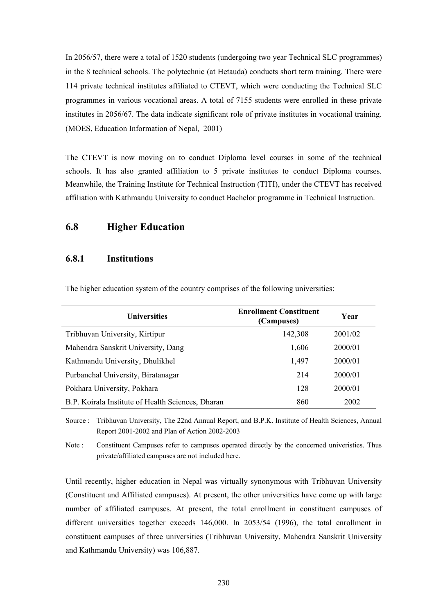In 2056/57, there were a total of 1520 students (undergoing two year Technical SLC programmes) in the 8 technical schools. The polytechnic (at Hetauda) conducts short term training. There were 114 private technical institutes affiliated to CTEVT, which were conducting the Technical SLC programmes in various vocational areas. A total of 7155 students were enrolled in these private institutes in 2056/67. The data indicate significant role of private institutes in vocational training. (MOES, Education Information of Nepal, 2001)

The CTEVT is now moving on to conduct Diploma level courses in some of the technical schools. It has also granted affiliation to 5 private institutes to conduct Diploma courses. Meanwhile, the Training Institute for Technical Instruction (TITI), under the CTEVT has received affiliation with Kathmandu University to conduct Bachelor programme in Technical Instruction.

### **6.8 Higher Education**

#### **6.8.1 Institutions**

| <b>Universities</b>                               | <b>Enrollment Constituent</b><br>(Campuses) | Year    |
|---------------------------------------------------|---------------------------------------------|---------|
| Tribhuvan University, Kirtipur                    | 142,308                                     | 2001/02 |
| Mahendra Sanskrit University, Dang                | 1,606                                       | 2000/01 |
| Kathmandu University, Dhulikhel                   | 1,497                                       | 2000/01 |
| Purbanchal University, Biratanagar                | 214                                         | 2000/01 |
| Pokhara University, Pokhara                       | 128                                         | 2000/01 |
| B.P. Koirala Institute of Health Sciences, Dharan | 860                                         | 2002    |

The higher education system of the country comprises of the following universities:

Source : Tribhuvan University, The 22nd Annual Report, and B.P.K. Institute of Health Sciences, Annual Report 2001-2002 and Plan of Action 2002-2003

Note : Constituent Campuses refer to campuses operated directly by the concerned univeristies. Thus private/affiliated campuses are not included here.

Until recently, higher education in Nepal was virtually synonymous with Tribhuvan University (Constituent and Affiliated campuses). At present, the other universities have come up with large number of affiliated campuses. At present, the total enrollment in constituent campuses of different universities together exceeds 146,000. In 2053/54 (1996), the total enrollment in constituent campuses of three universities (Tribhuvan University, Mahendra Sanskrit University and Kathmandu University) was 106,887.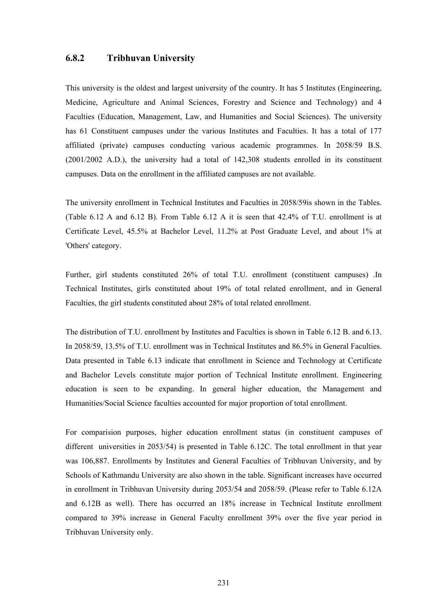#### **6.8.2 Tribhuvan University**

This university is the oldest and largest university of the country. It has 5 Institutes (Engineering, Medicine, Agriculture and Animal Sciences, Forestry and Science and Technology) and 4 Faculties (Education, Management, Law, and Humanities and Social Sciences). The university has 61 Constituent campuses under the various Institutes and Faculties. It has a total of 177 affiliated (private) campuses conducting various academic programmes. In 2058/59 B.S. (2001/2002 A.D.), the university had a total of 142,308 students enrolled in its constituent campuses. Data on the enrollment in the affiliated campuses are not available.

The university enrollment in Technical Institutes and Faculties in 2058/59is shown in the Tables. (Table 6.12 A and 6.12 B). From Table 6.12 A it is seen that 42.4% of T.U. enrollment is at Certificate Level, 45.5% at Bachelor Level, 11.2% at Post Graduate Level, and about 1% at 'Others' category.

Further, girl students constituted 26% of total T.U. enrollment (constituent campuses) .In Technical Institutes, girls constituted about 19% of total related enrollment, and in General Faculties, the girl students constituted about 28% of total related enrollment.

The distribution of T.U. enrollment by Institutes and Faculties is shown in Table 6.12 B. and 6.13. In 2058/59, 13.5% of T.U. enrollment was in Technical Institutes and 86.5% in General Faculties. Data presented in Table 6.13 indicate that enrollment in Science and Technology at Certificate and Bachelor Levels constitute major portion of Technical Institute enrollment. Engineering education is seen to be expanding. In general higher education, the Management and Humanities/Social Science faculties accounted for major proportion of total enrollment.

For comparision purposes, higher education enrollment status (in constituent campuses of different universities in 2053/54) is presented in Table 6.12C. The total enrollment in that year was 106,887. Enrollments by Institutes and General Faculties of Tribhuvan University, and by Schools of Kathmandu University are also shown in the table. Significant increases have occurred in enrollment in Tribhuvan University during 2053/54 and 2058/59. (Please refer to Table 6.12A and 6.12B as well). There has occurred an 18% increase in Technical Institute enrollment compared to 39% increase in General Faculty enrollment 39% over the five year period in Tribhuvan University only.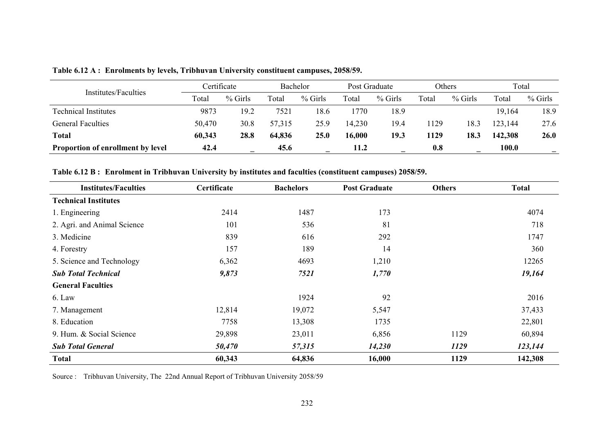|                                          |        | Certificate | Bachelor |           | Post Graduate |           | Others |         | Total   |           |
|------------------------------------------|--------|-------------|----------|-----------|---------------|-----------|--------|---------|---------|-----------|
| Institutes/Faculties                     | Total  | $%$ Girls   | Total    | $%$ Girls | Total         | $%$ Girls | Total  | % Girls | Total   | $%$ Girls |
| Technical Institutes                     | 9873   | 19.2        | 7521     | 18.6      | 770           | 18.9      |        |         | 19,164  | 18.9      |
| <b>General Faculties</b>                 | 50,470 | 30.8        | 57,315   | 25.9      | 14,230        | 19.4      | 129    | 18.3    | 23,144  | 27.6      |
| <b>Total</b>                             | 60,343 | 28.8        | 64,836   | 25.0      | 16,000        | 19.3      | 1129   | 18.3    | 142,308 | 26.0      |
| <b>Proportion of enrollment by level</b> | 42.4   | -           | 45.6     |           | 11.2          |           | 0.8    |         | 100.0   |           |

**Table 6.12 A : Enrolments by levels, Tribhuvan University constituent campuses, 2058/59.** 

**Table 6.12 B : Enrolment in Tribhuvan University by institutes and faculties (constituent campuses) 2058/59.** 

| <b>Institutes/Faculties</b> | Certificate | <b>Bachelors</b> | <b>Post Graduate</b> | <b>Others</b> | <b>Total</b> |
|-----------------------------|-------------|------------------|----------------------|---------------|--------------|
| <b>Technical Institutes</b> |             |                  |                      |               |              |
| 1. Engineering              | 2414        | 1487             | 173                  |               | 4074         |
| 2. Agri. and Animal Science | 101         | 536              | 81                   |               | 718          |
| 3. Medicine                 | 839         | 616              | 292                  |               | 1747         |
| 4. Forestry                 | 157         | 189              | 14                   |               | 360          |
| 5. Science and Technology   | 6,362       | 4693             | 1,210                |               | 12265        |
| <b>Sub Total Technical</b>  | 9,873       | 7521             | 1,770                |               | 19,164       |
| <b>General Faculties</b>    |             |                  |                      |               |              |
| 6. Law                      |             | 1924             | 92                   |               | 2016         |
| 7. Management               | 12,814      | 19,072           | 5,547                |               | 37,433       |
| 8. Education                | 7758        | 13,308           | 1735                 |               | 22,801       |
| 9. Hum. & Social Science    | 29,898      | 23,011           | 6,856                | 1129          | 60,894       |
| <b>Sub Total General</b>    | 50,470      | 57,315           | 14,230               | 1129          | 123,144      |
| <b>Total</b>                | 60,343      | 64,836           | 16,000               | 1129          | 142,308      |

Source : Tribhuvan University, The 22nd Annual Report of Tribhuvan University 2058/59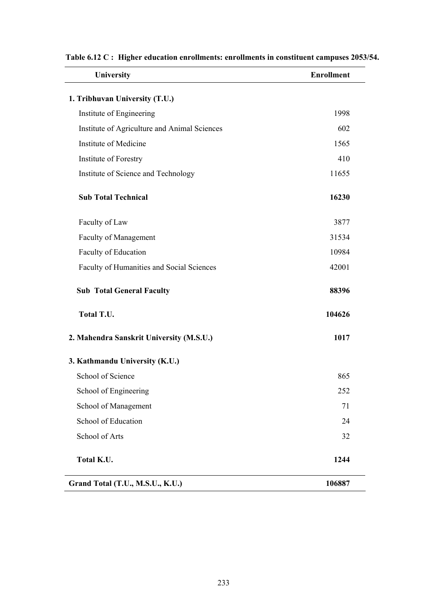| University                                   | <b>Enrollment</b> |
|----------------------------------------------|-------------------|
| 1. Tribhuvan University (T.U.)               |                   |
| Institute of Engineering                     | 1998              |
| Institute of Agriculture and Animal Sciences | 602               |
| <b>Institute of Medicine</b>                 | 1565              |
| Institute of Forestry                        | 410               |
| Institute of Science and Technology          | 11655             |
| <b>Sub Total Technical</b>                   | 16230             |
| Faculty of Law                               | 3877              |
| Faculty of Management                        | 31534             |
| Faculty of Education                         | 10984             |
| Faculty of Humanities and Social Sciences    | 42001             |
| <b>Sub Total General Faculty</b>             | 88396             |
| Total T.U.                                   | 104626            |
| 2. Mahendra Sanskrit University (M.S.U.)     | 1017              |
| 3. Kathmandu University (K.U.)               |                   |
| School of Science                            | 865               |
| School of Engineering                        | 252               |
| School of Management                         | 71                |
| School of Education                          | 24                |
| School of Arts                               | 32                |
| Total K.U.                                   | 1244              |
| Grand Total (T.U., M.S.U., K.U.)             | 106887            |

### **Table 6.12 C : Higher education enrollments: enrollments in constituent campuses 2053/54.**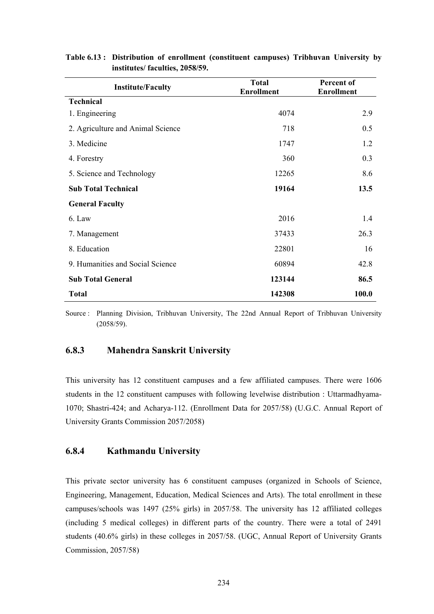| <b>Institute/Faculty</b>          | <b>Total</b><br><b>Enrollment</b> | Percent of<br><b>Enrollment</b> |
|-----------------------------------|-----------------------------------|---------------------------------|
| <b>Technical</b>                  |                                   |                                 |
| 1. Engineering                    | 4074                              | 2.9                             |
| 2. Agriculture and Animal Science | 718                               | 0.5                             |
| 3. Medicine                       | 1747                              | 1.2                             |
| 4. Forestry                       | 360                               | 0.3                             |
| 5. Science and Technology         | 12265                             | 8.6                             |
| <b>Sub Total Technical</b>        | 19164                             | 13.5                            |
| <b>General Faculty</b>            |                                   |                                 |
| 6. Law                            | 2016                              | 1.4                             |
| 7. Management                     | 37433                             | 26.3                            |
| 8. Education                      | 22801                             | 16                              |
| 9. Humanities and Social Science  | 60894                             | 42.8                            |
| <b>Sub Total General</b>          | 123144                            | 86.5                            |
| <b>Total</b>                      | 142308                            | 100.0                           |

#### **Table 6.13 : Distribution of enrollment (constituent campuses) Tribhuvan University by institutes/ faculties, 2058/59.**

Source : Planning Division, Tribhuvan University, The 22nd Annual Report of Tribhuvan University (2058/59).

### **6.8.3 Mahendra Sanskrit University**

This university has 12 constituent campuses and a few affiliated campuses. There were 1606 students in the 12 constituent campuses with following levelwise distribution : Uttarmadhyama-1070; Shastri-424; and Acharya-112. (Enrollment Data for 2057/58) (U.G.C. Annual Report of University Grants Commission 2057/2058)

### **6.8.4 Kathmandu University**

This private sector university has 6 constituent campuses (organized in Schools of Science, Engineering, Management, Education, Medical Sciences and Arts). The total enrollment in these campuses/schools was 1497 (25% girls) in 2057/58. The university has 12 affiliated colleges (including 5 medical colleges) in different parts of the country. There were a total of 2491 students (40.6% girls) in these colleges in 2057/58. (UGC, Annual Report of University Grants Commission, 2057/58)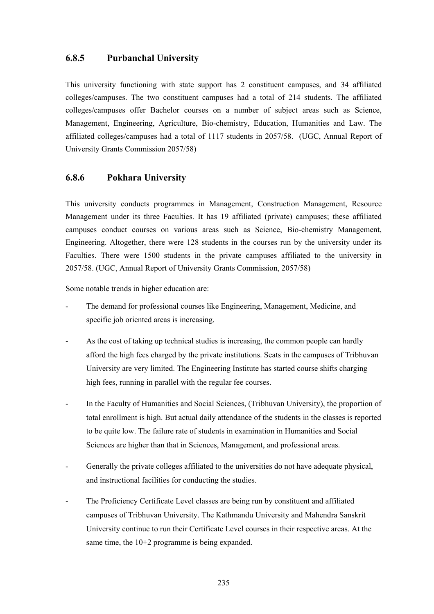#### **6.8.5 Purbanchal University**

This university functioning with state support has 2 constituent campuses, and 34 affiliated colleges/campuses. The two constituent campuses had a total of 214 students. The affiliated colleges/campuses offer Bachelor courses on a number of subject areas such as Science, Management, Engineering, Agriculture, Bio-chemistry, Education, Humanities and Law. The affiliated colleges/campuses had a total of 1117 students in 2057/58. (UGC, Annual Report of University Grants Commission 2057/58)

### **6.8.6 Pokhara University**

This university conducts programmes in Management, Construction Management, Resource Management under its three Faculties. It has 19 affiliated (private) campuses; these affiliated campuses conduct courses on various areas such as Science, Bio-chemistry Management, Engineering. Altogether, there were 128 students in the courses run by the university under its Faculties. There were 1500 students in the private campuses affiliated to the university in 2057/58. (UGC, Annual Report of University Grants Commission, 2057/58)

Some notable trends in higher education are:

- The demand for professional courses like Engineering, Management, Medicine, and specific job oriented areas is increasing.
- As the cost of taking up technical studies is increasing, the common people can hardly afford the high fees charged by the private institutions. Seats in the campuses of Tribhuvan University are very limited. The Engineering Institute has started course shifts charging high fees, running in parallel with the regular fee courses.
- In the Faculty of Humanities and Social Sciences, (Tribhuvan University), the proportion of total enrollment is high. But actual daily attendance of the students in the classes is reported to be quite low. The failure rate of students in examination in Humanities and Social Sciences are higher than that in Sciences, Management, and professional areas.
- Generally the private colleges affiliated to the universities do not have adequate physical, and instructional facilities for conducting the studies.
- The Proficiency Certificate Level classes are being run by constituent and affiliated campuses of Tribhuvan University. The Kathmandu University and Mahendra Sanskrit University continue to run their Certificate Level courses in their respective areas. At the same time, the 10+2 programme is being expanded.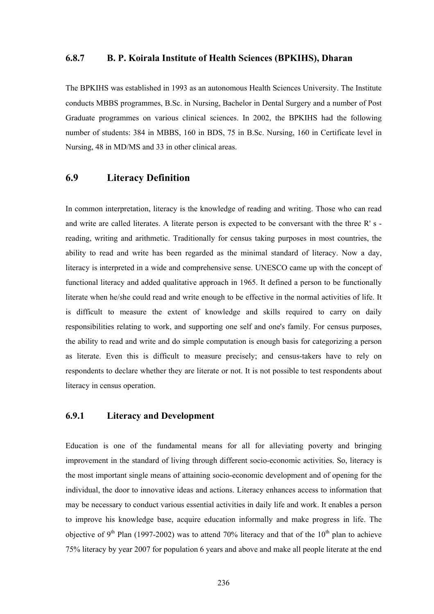#### **6.8.7 B. P. Koirala Institute of Health Sciences (BPKIHS), Dharan**

The BPKIHS was established in 1993 as an autonomous Health Sciences University. The Institute conducts MBBS programmes, B.Sc. in Nursing, Bachelor in Dental Surgery and a number of Post Graduate programmes on various clinical sciences. In 2002, the BPKIHS had the following number of students: 384 in MBBS, 160 in BDS, 75 in B.Sc. Nursing, 160 in Certificate level in Nursing, 48 in MD/MS and 33 in other clinical areas.

### **6.9 Literacy Definition**

In common interpretation, literacy is the knowledge of reading and writing. Those who can read and write are called literates. A literate person is expected to be conversant with the three R' s reading, writing and arithmetic. Traditionally for census taking purposes in most countries, the ability to read and write has been regarded as the minimal standard of literacy. Now a day, literacy is interpreted in a wide and comprehensive sense. UNESCO came up with the concept of functional literacy and added qualitative approach in 1965. It defined a person to be functionally literate when he/she could read and write enough to be effective in the normal activities of life. It is difficult to measure the extent of knowledge and skills required to carry on daily responsibilities relating to work, and supporting one self and one's family. For census purposes, the ability to read and write and do simple computation is enough basis for categorizing a person as literate. Even this is difficult to measure precisely; and census-takers have to rely on respondents to declare whether they are literate or not. It is not possible to test respondents about literacy in census operation.

### **6.9.1 Literacy and Development**

Education is one of the fundamental means for all for alleviating poverty and bringing improvement in the standard of living through different socio-economic activities. So, literacy is the most important single means of attaining socio-economic development and of opening for the individual, the door to innovative ideas and actions. Literacy enhances access to information that may be necessary to conduct various essential activities in daily life and work. It enables a person to improve his knowledge base, acquire education informally and make progress in life. The objective of 9<sup>th</sup> Plan (1997-2002) was to attend 70% literacy and that of the 10<sup>th</sup> plan to achieve 75% literacy by year 2007 for population 6 years and above and make all people literate at the end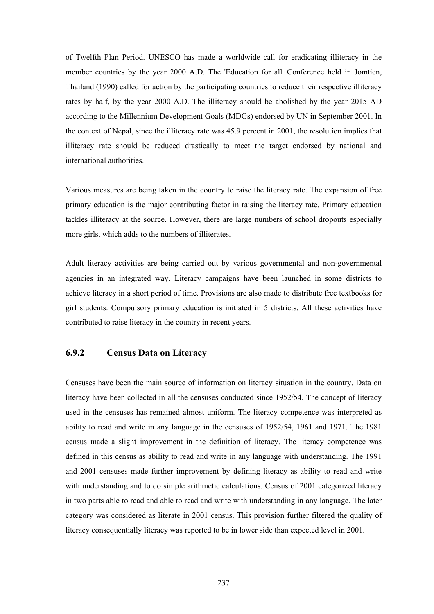of Twelfth Plan Period. UNESCO has made a worldwide call for eradicating illiteracy in the member countries by the year 2000 A.D. The 'Education for all' Conference held in Jomtien, Thailand (1990) called for action by the participating countries to reduce their respective illiteracy rates by half, by the year 2000 A.D. The illiteracy should be abolished by the year 2015 AD according to the Millennium Development Goals (MDGs) endorsed by UN in September 2001. In the context of Nepal, since the illiteracy rate was 45.9 percent in 2001, the resolution implies that illiteracy rate should be reduced drastically to meet the target endorsed by national and international authorities.

Various measures are being taken in the country to raise the literacy rate. The expansion of free primary education is the major contributing factor in raising the literacy rate. Primary education tackles illiteracy at the source. However, there are large numbers of school dropouts especially more girls, which adds to the numbers of illiterates.

Adult literacy activities are being carried out by various governmental and non-governmental agencies in an integrated way. Literacy campaigns have been launched in some districts to achieve literacy in a short period of time. Provisions are also made to distribute free textbooks for girl students. Compulsory primary education is initiated in 5 districts. All these activities have contributed to raise literacy in the country in recent years.

### **6.9.2 Census Data on Literacy**

Censuses have been the main source of information on literacy situation in the country. Data on literacy have been collected in all the censuses conducted since 1952/54. The concept of literacy used in the censuses has remained almost uniform. The literacy competence was interpreted as ability to read and write in any language in the censuses of 1952/54, 1961 and 1971. The 1981 census made a slight improvement in the definition of literacy. The literacy competence was defined in this census as ability to read and write in any language with understanding. The 1991 and 2001 censuses made further improvement by defining literacy as ability to read and write with understanding and to do simple arithmetic calculations. Census of 2001 categorized literacy in two parts able to read and able to read and write with understanding in any language. The later category was considered as literate in 2001 census. This provision further filtered the quality of literacy consequentially literacy was reported to be in lower side than expected level in 2001.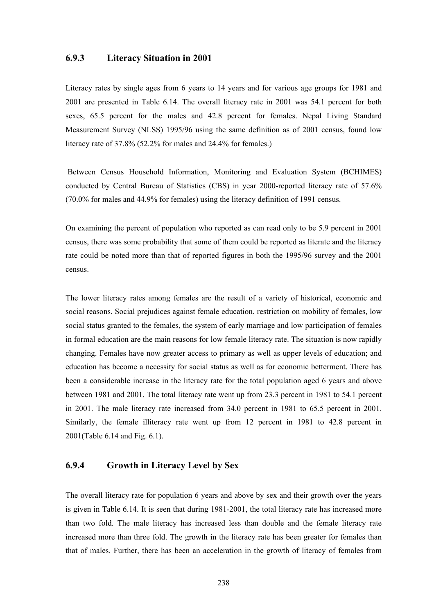#### **6.9.3 Literacy Situation in 2001**

Literacy rates by single ages from 6 years to 14 years and for various age groups for 1981 and 2001 are presented in Table 6.14. The overall literacy rate in 2001 was 54.1 percent for both sexes, 65.5 percent for the males and 42.8 percent for females. Nepal Living Standard Measurement Survey (NLSS) 1995/96 using the same definition as of 2001 census, found low literacy rate of 37.8% (52.2% for males and 24.4% for females.)

 Between Census Household Information, Monitoring and Evaluation System (BCHIMES) conducted by Central Bureau of Statistics (CBS) in year 2000-reported literacy rate of 57.6% (70.0% for males and 44.9% for females) using the literacy definition of 1991 census.

On examining the percent of population who reported as can read only to be 5.9 percent in 2001 census, there was some probability that some of them could be reported as literate and the literacy rate could be noted more than that of reported figures in both the 1995/96 survey and the 2001 census.

The lower literacy rates among females are the result of a variety of historical, economic and social reasons. Social prejudices against female education, restriction on mobility of females, low social status granted to the females, the system of early marriage and low participation of females in formal education are the main reasons for low female literacy rate. The situation is now rapidly changing. Females have now greater access to primary as well as upper levels of education; and education has become a necessity for social status as well as for economic betterment. There has been a considerable increase in the literacy rate for the total population aged 6 years and above between 1981 and 2001. The total literacy rate went up from 23.3 percent in 1981 to 54.1 percent in 2001. The male literacy rate increased from 34.0 percent in 1981 to 65.5 percent in 2001. Similarly, the female illiteracy rate went up from 12 percent in 1981 to 42.8 percent in 2001(Table 6.14 and Fig. 6.1).

### **6.9.4 Growth in Literacy Level by Sex**

The overall literacy rate for population 6 years and above by sex and their growth over the years is given in Table 6.14. It is seen that during 1981-2001, the total literacy rate has increased more than two fold. The male literacy has increased less than double and the female literacy rate increased more than three fold. The growth in the literacy rate has been greater for females than that of males. Further, there has been an acceleration in the growth of literacy of females from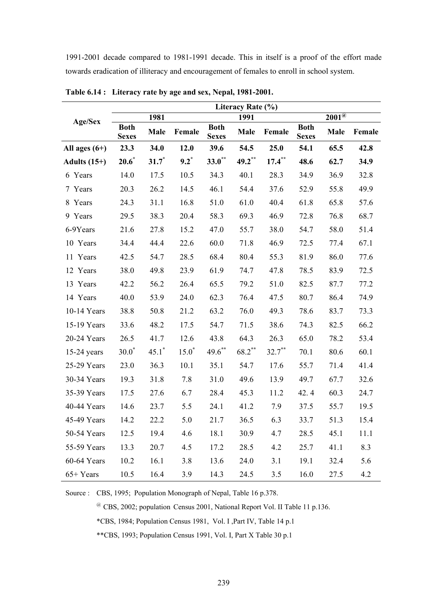1991-2001 decade compared to 1981-1991 decade. This in itself is a proof of the effort made towards eradication of illiteracy and encouragement of females to enroll in school system.

|                 |                             |          |          |                             | Literacy Rate (%) |           |                             |                            |        |
|-----------------|-----------------------------|----------|----------|-----------------------------|-------------------|-----------|-----------------------------|----------------------------|--------|
| <b>Age/Sex</b>  |                             | 1981     |          |                             | 1991              |           |                             | $200\overline{1^{\omega}}$ |        |
|                 | <b>Both</b><br><b>Sexes</b> | Male     | Female   | <b>Both</b><br><b>Sexes</b> | Male              | Female    | <b>Both</b><br><b>Sexes</b> | Male                       | Female |
| All ages $(6+)$ | 23.3                        | 34.0     | 12.0     | 39.6                        | 54.5              | 25.0      | 54.1                        | 65.5                       | 42.8   |
| Adults $(15+)$  | $20.6^*$                    | $31.7^*$ | $9.2^*$  | $33.0^{**}$                 | $49.2***$         | $17.4***$ | 48.6                        | 62.7                       | 34.9   |
| 6 Years         | 14.0                        | 17.5     | 10.5     | 34.3                        | 40.1              | 28.3      | 34.9                        | 36.9                       | 32.8   |
| 7 Years         | 20.3                        | 26.2     | 14.5     | 46.1                        | 54.4              | 37.6      | 52.9                        | 55.8                       | 49.9   |
| 8 Years         | 24.3                        | 31.1     | 16.8     | 51.0                        | 61.0              | 40.4      | 61.8                        | 65.8                       | 57.6   |
| 9 Years         | 29.5                        | 38.3     | 20.4     | 58.3                        | 69.3              | 46.9      | 72.8                        | 76.8                       | 68.7   |
| 6-9Years        | 21.6                        | 27.8     | 15.2     | 47.0                        | 55.7              | 38.0      | 54.7                        | 58.0                       | 51.4   |
| 10 Years        | 34.4                        | 44.4     | 22.6     | 60.0                        | 71.8              | 46.9      | 72.5                        | 77.4                       | 67.1   |
| 11 Years        | 42.5                        | 54.7     | 28.5     | 68.4                        | 80.4              | 55.3      | 81.9                        | 86.0                       | 77.6   |
| 12 Years        | 38.0                        | 49.8     | 23.9     | 61.9                        | 74.7              | 47.8      | 78.5                        | 83.9                       | 72.5   |
| 13 Years        | 42.2                        | 56.2     | 26.4     | 65.5                        | 79.2              | 51.0      | 82.5                        | 87.7                       | 77.2   |
| 14 Years        | 40.0                        | 53.9     | 24.0     | 62.3                        | 76.4              | 47.5      | 80.7                        | 86.4                       | 74.9   |
| 10-14 Years     | 38.8                        | 50.8     | 21.2     | 63.2                        | 76.0              | 49.3      | 78.6                        | 83.7                       | 73.3   |
| 15-19 Years     | 33.6                        | 48.2     | 17.5     | 54.7                        | 71.5              | 38.6      | 74.3                        | 82.5                       | 66.2   |
| 20-24 Years     | 26.5                        | 41.7     | 12.6     | 43.8                        | 64.3              | 26.3      | 65.0                        | 78.2                       | 53.4   |
| $15-24$ years   | $30.0^*$                    | $45.1^*$ | $15.0^*$ | $49.6$ **                   | $68.2***$         | $32.7$ ** | 70.1                        | 80.6                       | 60.1   |
| 25-29 Years     | 23.0                        | 36.3     | 10.1     | 35.1                        | 54.7              | 17.6      | 55.7                        | 71.4                       | 41.4   |
| 30-34 Years     | 19.3                        | 31.8     | 7.8      | 31.0                        | 49.6              | 13.9      | 49.7                        | 67.7                       | 32.6   |
| 35-39 Years     | 17.5                        | 27.6     | 6.7      | 28.4                        | 45.3              | 11.2      | 42.4                        | 60.3                       | 24.7   |
| 40-44 Years     | 14.6                        | 23.7     | 5.5      | 24.1                        | 41.2              | 7.9       | 37.5                        | 55.7                       | 19.5   |
| 45-49 Years     | 14.2                        | 22.2     | 5.0      | 21.7                        | 36.5              | 6.3       | 33.7                        | 51.3                       | 15.4   |
| 50-54 Years     | 12.5                        | 19.4     | 4.6      | 18.1                        | 30.9              | 4.7       | 28.5                        | 45.1                       | 11.1   |
| 55-59 Years     | 13.3                        | 20.7     | 4.5      | 17.2                        | 28.5              | 4.2       | 25.7                        | 41.1                       | 8.3    |
| 60-64 Years     | 10.2                        | 16.1     | 3.8      | 13.6                        | 24.0              | 3.1       | 19.1                        | 32.4                       | 5.6    |
| $65+Years$      | 10.5                        | 16.4     | 3.9      | 14.3                        | 24.5              | 3.5       | 16.0                        | 27.5                       | 4.2    |

**Table 6.14 : Literacy rate by age and sex, Nepal, 1981-2001.** 

Source : CBS, 1995; Population Monograph of Nepal, Table 16 p.378.

@ CBS, 2002; population Census 2001, National Report Vol. II Table 11 p.136. \*CBS, 1984; Population Census 1981, Vol. I ,Part IV, Table 14 p.1

\*\*CBS, 1993; Population Census 1991, Vol. I, Part X Table 30 p.1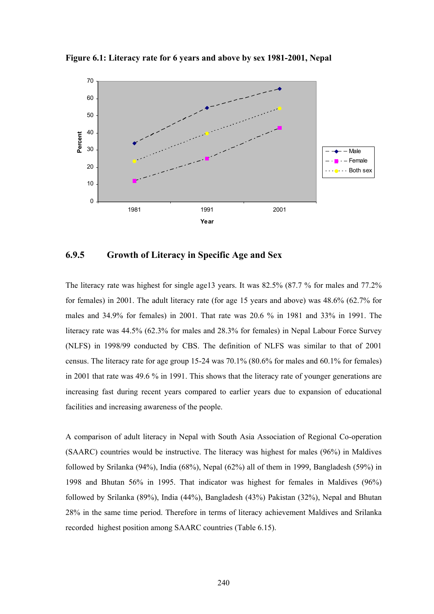



### **6.9.5 Growth of Literacy in Specific Age and Sex**

The literacy rate was highest for single age13 years. It was 82.5% (87.7 % for males and 77.2% for females) in 2001. The adult literacy rate (for age 15 years and above) was 48.6% (62.7% for males and 34.9% for females) in 2001. That rate was 20.6 % in 1981 and 33% in 1991. The literacy rate was 44.5% (62.3% for males and 28.3% for females) in Nepal Labour Force Survey (NLFS) in 1998/99 conducted by CBS. The definition of NLFS was similar to that of 2001 census. The literacy rate for age group 15-24 was 70.1% (80.6% for males and 60.1% for females) in 2001 that rate was 49.6 % in 1991. This shows that the literacy rate of younger generations are increasing fast during recent years compared to earlier years due to expansion of educational facilities and increasing awareness of the people.

A comparison of adult literacy in Nepal with South Asia Association of Regional Co-operation (SAARC) countries would be instructive. The literacy was highest for males (96%) in Maldives followed by Srilanka (94%), India (68%), Nepal (62%) all of them in 1999, Bangladesh (59%) in 1998 and Bhutan 56% in 1995. That indicator was highest for females in Maldives (96%) followed by Srilanka (89%), India (44%), Bangladesh (43%) Pakistan (32%), Nepal and Bhutan 28% in the same time period. Therefore in terms of literacy achievement Maldives and Srilanka recorded highest position among SAARC countries (Table 6.15).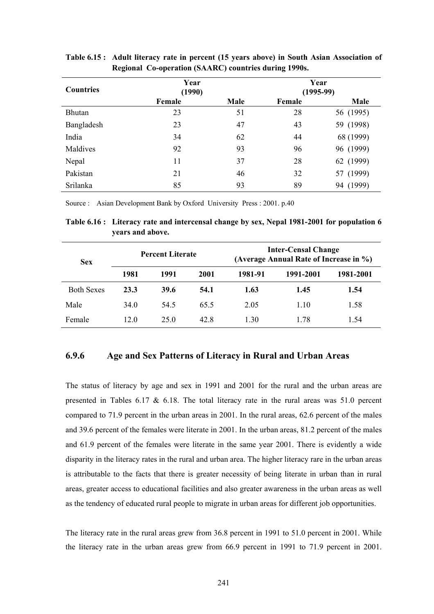| <b>Countries</b> | Year<br>(1990) |      |        | Year<br>$(1995-99)$ |
|------------------|----------------|------|--------|---------------------|
|                  | Female         | Male | Female | Male                |
| Bhutan           | 23             | 51   | 28     | 56 (1995)           |
| Bangladesh       | 23             | 47   | 43     | 59 (1998)           |
| India            | 34             | 62   | 44     | 68 (1999)           |
| Maldives         | 92             | 93   | 96     | 96 (1999)           |
| Nepal            | 11             | 37   | 28     | 62 (1999)           |
| Pakistan         | 21             | 46   | 32     | (1999)<br>57        |
| Srilanka         | 85             | 93   | 89     | (1999)<br>94        |

**Table 6.15 : Adult literacy rate in percent (15 years above) in South Asian Association of Regional Co-operation (SAARC) countries during 1990s.** 

Source : Asian Development Bank by Oxford University Press : 2001. p.40

**Table 6.16 : Literacy rate and intercensal change by sex, Nepal 1981-2001 for population 6 years and above.** 

| <b>Sex</b>        |      | <b>Percent Literate</b> |      | <b>Inter-Censal Change</b><br>(Average Annual Rate of Increase in %) |           |           |  |
|-------------------|------|-------------------------|------|----------------------------------------------------------------------|-----------|-----------|--|
|                   | 1981 | 1991                    | 2001 | 1981-91                                                              | 1991-2001 | 1981-2001 |  |
| <b>Both Sexes</b> | 23.3 | 39.6                    | 54.1 | 1.63                                                                 | 1.45      | 1.54      |  |
| Male              | 34.0 | 54.5                    | 65.5 | 2.05                                                                 | 1.10      | 1.58      |  |
| Female            | 12.0 | 25 Q                    | 42.8 | 1.30                                                                 | 1 78      | 1.54      |  |

### **6.9.6 Age and Sex Patterns of Literacy in Rural and Urban Areas**

The status of literacy by age and sex in 1991 and 2001 for the rural and the urban areas are presented in Tables  $6.17 \& 6.18$ . The total literacy rate in the rural areas was  $51.0$  percent compared to 71.9 percent in the urban areas in 2001. In the rural areas, 62.6 percent of the males and 39.6 percent of the females were literate in 2001. In the urban areas, 81.2 percent of the males and 61.9 percent of the females were literate in the same year 2001. There is evidently a wide disparity in the literacy rates in the rural and urban area. The higher literacy rare in the urban areas is attributable to the facts that there is greater necessity of being literate in urban than in rural areas, greater access to educational facilities and also greater awareness in the urban areas as well as the tendency of educated rural people to migrate in urban areas for different job opportunities.

The literacy rate in the rural areas grew from 36.8 percent in 1991 to 51.0 percent in 2001. While the literacy rate in the urban areas grew from 66.9 percent in 1991 to 71.9 percent in 2001.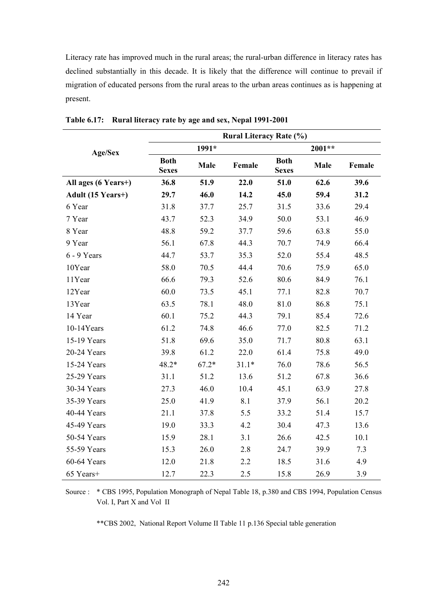Literacy rate has improved much in the rural areas; the rural-urban difference in literacy rates has declined substantially in this decade. It is likely that the difference will continue to prevail if migration of educated persons from the rural areas to the urban areas continues as is happening at present.

|                     | <b>Rural Literacy Rate (%)</b> |         |         |                             |        |        |  |  |  |  |
|---------------------|--------------------------------|---------|---------|-----------------------------|--------|--------|--|--|--|--|
| Age/Sex             |                                | 1991*   |         |                             | 2001** |        |  |  |  |  |
|                     | <b>Both</b><br><b>Sexes</b>    | Male    | Female  | <b>Both</b><br><b>Sexes</b> | Male   | Female |  |  |  |  |
| All ages (6 Years+) | 36.8                           | 51.9    | 22.0    | 51.0                        | 62.6   | 39.6   |  |  |  |  |
| Adult (15 Years+)   | 29.7                           | 46.0    | 14.2    | 45.0                        | 59.4   | 31.2   |  |  |  |  |
| 6 Year              | 31.8                           | 37.7    | 25.7    | 31.5                        | 33.6   | 29.4   |  |  |  |  |
| 7 Year              | 43.7                           | 52.3    | 34.9    | 50.0                        | 53.1   | 46.9   |  |  |  |  |
| 8 Year              | 48.8                           | 59.2    | 37.7    | 59.6                        | 63.8   | 55.0   |  |  |  |  |
| 9 Year              | 56.1                           | 67.8    | 44.3    | 70.7                        | 74.9   | 66.4   |  |  |  |  |
| 6 - 9 Years         | 44.7                           | 53.7    | 35.3    | 52.0                        | 55.4   | 48.5   |  |  |  |  |
| 10Year              | 58.0                           | 70.5    | 44.4    | 70.6                        | 75.9   | 65.0   |  |  |  |  |
| 11Year              | 66.6                           | 79.3    | 52.6    | 80.6                        | 84.9   | 76.1   |  |  |  |  |
| 12Year              | 60.0                           | 73.5    | 45.1    | 77.1                        | 82.8   | 70.7   |  |  |  |  |
| 13Year              | 63.5                           | 78.1    | 48.0    | 81.0                        | 86.8   | 75.1   |  |  |  |  |
| 14 Year             | 60.1                           | 75.2    | 44.3    | 79.1                        | 85.4   | 72.6   |  |  |  |  |
| 10-14Years          | 61.2                           | 74.8    | 46.6    | 77.0                        | 82.5   | 71.2   |  |  |  |  |
| 15-19 Years         | 51.8                           | 69.6    | 35.0    | 71.7                        | 80.8   | 63.1   |  |  |  |  |
| 20-24 Years         | 39.8                           | 61.2    | 22.0    | 61.4                        | 75.8   | 49.0   |  |  |  |  |
| 15-24 Years         | 48.2*                          | $67.2*$ | $31.1*$ | 76.0                        | 78.6   | 56.5   |  |  |  |  |
| 25-29 Years         | 31.1                           | 51.2    | 13.6    | 51.2                        | 67.8   | 36.6   |  |  |  |  |
| 30-34 Years         | 27.3                           | 46.0    | 10.4    | 45.1                        | 63.9   | 27.8   |  |  |  |  |
| 35-39 Years         | 25.0                           | 41.9    | 8.1     | 37.9                        | 56.1   | 20.2   |  |  |  |  |
| 40-44 Years         | 21.1                           | 37.8    | 5.5     | 33.2                        | 51.4   | 15.7   |  |  |  |  |
| 45-49 Years         | 19.0                           | 33.3    | 4.2     | 30.4                        | 47.3   | 13.6   |  |  |  |  |
| 50-54 Years         | 15.9                           | 28.1    | 3.1     | 26.6                        | 42.5   | 10.1   |  |  |  |  |
| 55-59 Years         | 15.3                           | 26.0    | 2.8     | 24.7                        | 39.9   | 7.3    |  |  |  |  |
| 60-64 Years         | 12.0                           | 21.8    | 2.2     | 18.5                        | 31.6   | 4.9    |  |  |  |  |
| 65 Years+           | 12.7                           | 22.3    | 2.5     | 15.8                        | 26.9   | 3.9    |  |  |  |  |

**Table 6.17: Rural literacy rate by age and sex, Nepal 1991-2001** 

Source : \* CBS 1995, Population Monograph of Nepal Table 18, p.380 and CBS 1994, Population Census Vol. I, Part X and Vol II

\*\*CBS 2002, National Report Volume II Table 11 p.136 Special table generation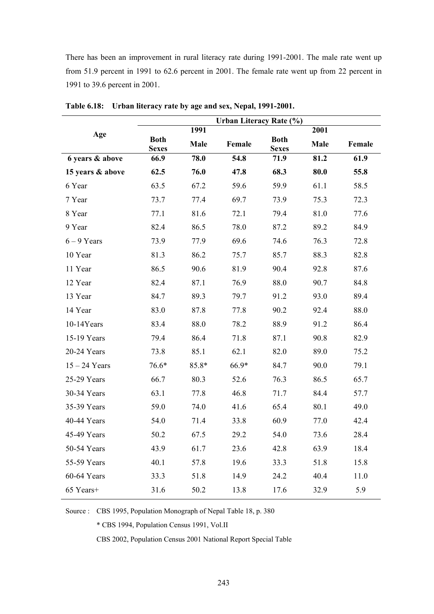There has been an improvement in rural literacy rate during 1991-2001. The male rate went up from 51.9 percent in 1991 to 62.6 percent in 2001. The female rate went up from 22 percent in 1991 to 39.6 percent in 2001.

|                  | Urban Literacy Rate (%)     |       |        |                             |      |        |  |
|------------------|-----------------------------|-------|--------|-----------------------------|------|--------|--|
| Age              |                             | 1991  |        |                             | 2001 |        |  |
|                  | <b>Both</b><br><b>Sexes</b> | Male  | Female | <b>Both</b><br><b>Sexes</b> | Male | Female |  |
| 6 years & above  | 66.9                        | 78.0  | 54.8   | 71.9                        | 81.2 | 61.9   |  |
| 15 years & above | 62.5                        | 76.0  | 47.8   | 68.3                        | 80.0 | 55.8   |  |
| 6 Year           | 63.5                        | 67.2  | 59.6   | 59.9                        | 61.1 | 58.5   |  |
| 7 Year           | 73.7                        | 77.4  | 69.7   | 73.9                        | 75.3 | 72.3   |  |
| 8 Year           | 77.1                        | 81.6  | 72.1   | 79.4                        | 81.0 | 77.6   |  |
| 9 Year           | 82.4                        | 86.5  | 78.0   | 87.2                        | 89.2 | 84.9   |  |
| $6 - 9$ Years    | 73.9                        | 77.9  | 69.6   | 74.6                        | 76.3 | 72.8   |  |
| 10 Year          | 81.3                        | 86.2  | 75.7   | 85.7                        | 88.3 | 82.8   |  |
| 11 Year          | 86.5                        | 90.6  | 81.9   | 90.4                        | 92.8 | 87.6   |  |
| 12 Year          | 82.4                        | 87.1  | 76.9   | 88.0                        | 90.7 | 84.8   |  |
| 13 Year          | 84.7                        | 89.3  | 79.7   | 91.2                        | 93.0 | 89.4   |  |
| 14 Year          | 83.0                        | 87.8  | 77.8   | 90.2                        | 92.4 | 88.0   |  |
| 10-14Years       | 83.4                        | 88.0  | 78.2   | 88.9                        | 91.2 | 86.4   |  |
| 15-19 Years      | 79.4                        | 86.4  | 71.8   | 87.1                        | 90.8 | 82.9   |  |
| 20-24 Years      | 73.8                        | 85.1  | 62.1   | 82.0                        | 89.0 | 75.2   |  |
| $15 - 24$ Years  | 76.6*                       | 85.8* | 66.9*  | 84.7                        | 90.0 | 79.1   |  |
| 25-29 Years      | 66.7                        | 80.3  | 52.6   | 76.3                        | 86.5 | 65.7   |  |
| 30-34 Years      | 63.1                        | 77.8  | 46.8   | 71.7                        | 84.4 | 57.7   |  |
| 35-39 Years      | 59.0                        | 74.0  | 41.6   | 65.4                        | 80.1 | 49.0   |  |
| 40-44 Years      | 54.0                        | 71.4  | 33.8   | 60.9                        | 77.0 | 42.4   |  |
| 45-49 Years      | 50.2                        | 67.5  | 29.2   | 54.0                        | 73.6 | 28.4   |  |
| 50-54 Years      | 43.9                        | 61.7  | 23.6   | 42.8                        | 63.9 | 18.4   |  |
| 55-59 Years      | 40.1                        | 57.8  | 19.6   | 33.3                        | 51.8 | 15.8   |  |
| 60-64 Years      | 33.3                        | 51.8  | 14.9   | 24.2                        | 40.4 | 11.0   |  |
| 65 Years+        | 31.6                        | 50.2  | 13.8   | 17.6                        | 32.9 | 5.9    |  |

**Table 6.18: Urban literacy rate by age and sex, Nepal, 1991-2001.** 

Source : CBS 1995, Population Monograph of Nepal Table 18, p. 380

\* CBS 1994, Population Census 1991, Vol.II

CBS 2002, Population Census 2001 National Report Special Table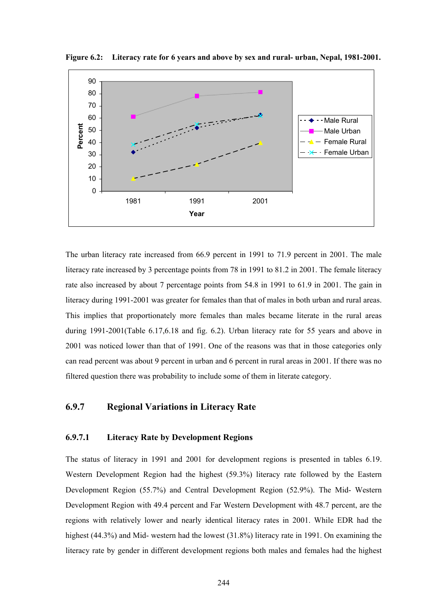

**Figure 6.2: Literacy rate for 6 years and above by sex and rural- urban, Nepal, 1981-2001.** 

The urban literacy rate increased from 66.9 percent in 1991 to 71.9 percent in 2001. The male literacy rate increased by 3 percentage points from 78 in 1991 to 81.2 in 2001. The female literacy rate also increased by about 7 percentage points from 54.8 in 1991 to 61.9 in 2001. The gain in literacy during 1991-2001 was greater for females than that of males in both urban and rural areas. This implies that proportionately more females than males became literate in the rural areas during 1991-2001(Table 6.17,6.18 and fig. 6.2). Urban literacy rate for 55 years and above in 2001 was noticed lower than that of 1991. One of the reasons was that in those categories only can read percent was about 9 percent in urban and 6 percent in rural areas in 2001. If there was no filtered question there was probability to include some of them in literate category.

### **6.9.7 Regional Variations in Literacy Rate**

#### **6.9.7.1 Literacy Rate by Development Regions**

The status of literacy in 1991 and 2001 for development regions is presented in tables 6.19. Western Development Region had the highest (59.3%) literacy rate followed by the Eastern Development Region (55.7%) and Central Development Region (52.9%). The Mid- Western Development Region with 49.4 percent and Far Western Development with 48.7 percent, are the regions with relatively lower and nearly identical literacy rates in 2001. While EDR had the highest (44.3%) and Mid- western had the lowest (31.8%) literacy rate in 1991. On examining the literacy rate by gender in different development regions both males and females had the highest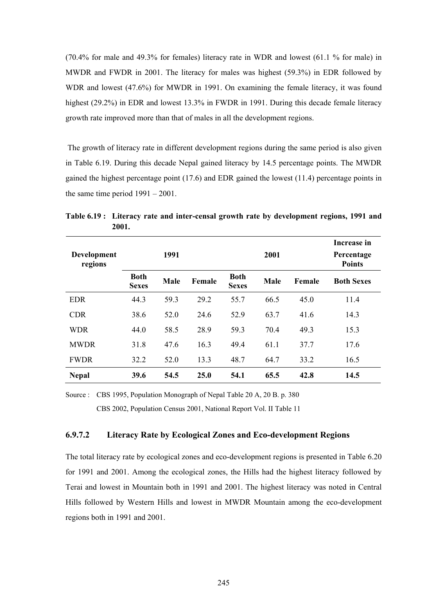(70.4% for male and 49.3% for females) literacy rate in WDR and lowest (61.1 % for male) in MWDR and FWDR in 2001. The literacy for males was highest (59.3%) in EDR followed by WDR and lowest (47.6%) for MWDR in 1991. On examining the female literacy, it was found highest (29.2%) in EDR and lowest 13.3% in FWDR in 1991. During this decade female literacy growth rate improved more than that of males in all the development regions.

 The growth of literacy rate in different development regions during the same period is also given in Table 6.19. During this decade Nepal gained literacy by 14.5 percentage points. The MWDR gained the highest percentage point (17.6) and EDR gained the lowest (11.4) percentage points in the same time period 1991 – 2001.

| Development<br>regions |                             | 1991        |        |                             | 2001        |        | Increase in<br>Percentage<br><b>Points</b> |
|------------------------|-----------------------------|-------------|--------|-----------------------------|-------------|--------|--------------------------------------------|
|                        | <b>Both</b><br><b>Sexes</b> | <b>Male</b> | Female | <b>Both</b><br><b>Sexes</b> | <b>Male</b> | Female | <b>Both Sexes</b>                          |
| <b>EDR</b>             | 44.3                        | 59.3        | 29.2   | 55.7                        | 66.5        | 45.0   | 11.4                                       |
| <b>CDR</b>             | 38.6                        | 52.0        | 24.6   | 52.9                        | 63.7        | 41.6   | 14.3                                       |
| <b>WDR</b>             | 44.0                        | 58.5        | 28.9   | 59.3                        | 70.4        | 49.3   | 15.3                                       |
| <b>MWDR</b>            | 31.8                        | 47.6        | 16.3   | 49.4                        | 61.1        | 37.7   | 17.6                                       |
| <b>FWDR</b>            | 32.2                        | 52.0        | 13.3   | 48.7                        | 64.7        | 33.2   | 16.5                                       |
| <b>Nepal</b>           | 39.6                        | 54.5        | 25.0   | 54.1                        | 65.5        | 42.8   | 14.5                                       |

**Table 6.19 : Literacy rate and inter-censal growth rate by development regions, 1991 and 2001.** 

Source : CBS 1995, Population Monograph of Nepal Table 20 A, 20 B. p. 380 CBS 2002, Population Census 2001, National Report Vol. II Table 11

### **6.9.7.2 Literacy Rate by Ecological Zones and Eco-development Regions**

The total literacy rate by ecological zones and eco-development regions is presented in Table 6.20 for 1991 and 2001. Among the ecological zones, the Hills had the highest literacy followed by Terai and lowest in Mountain both in 1991 and 2001. The highest literacy was noted in Central Hills followed by Western Hills and lowest in MWDR Mountain among the eco-development regions both in 1991 and 2001.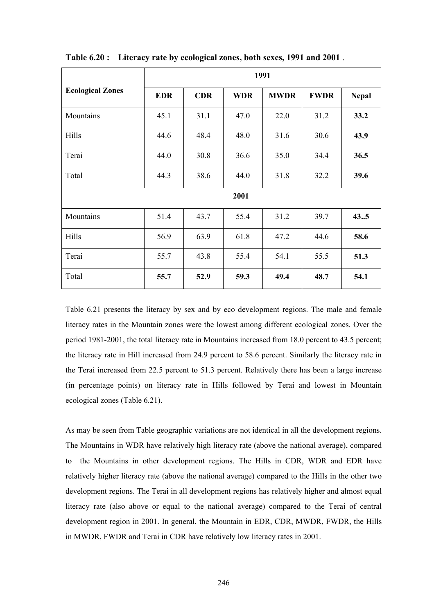|                         | 1991       |            |            |             |             |              |  |  |  |  |  |  |  |
|-------------------------|------------|------------|------------|-------------|-------------|--------------|--|--|--|--|--|--|--|
| <b>Ecological Zones</b> | <b>EDR</b> | <b>CDR</b> | <b>WDR</b> | <b>MWDR</b> | <b>FWDR</b> | <b>Nepal</b> |  |  |  |  |  |  |  |
| Mountains               | 45.1       | 31.1       | 47.0       | 22.0        | 31.2        | 33.2         |  |  |  |  |  |  |  |
| Hills                   | 44.6       | 48.4       | 48.0       | 31.6        | 30.6        | 43.9         |  |  |  |  |  |  |  |
| Terai                   | 44.0       | 30.8       | 36.6       | 35.0        | 34.4        | 36.5         |  |  |  |  |  |  |  |
| Total                   | 44.3       | 38.6       | 44.0       | 31.8        | 32.2        | 39.6         |  |  |  |  |  |  |  |
|                         |            |            | 2001       |             |             |              |  |  |  |  |  |  |  |
| Mountains               | 51.4       | 43.7       | 55.4       | 31.2        | 39.7        | 435          |  |  |  |  |  |  |  |
| Hills                   | 56.9       | 63.9       | 61.8       | 47.2        | 44.6        | 58.6         |  |  |  |  |  |  |  |
| Terai                   | 55.7       | 43.8       | 55.4       | 54.1        | 55.5        | 51.3         |  |  |  |  |  |  |  |
| Total                   | 55.7       | 52.9       | 59.3       | 49.4        | 48.7        | 54.1         |  |  |  |  |  |  |  |

**Table 6.20 : Literacy rate by ecological zones, both sexes, 1991 and 2001** .

Table 6.21 presents the literacy by sex and by eco development regions. The male and female literacy rates in the Mountain zones were the lowest among different ecological zones. Over the period 1981-2001, the total literacy rate in Mountains increased from 18.0 percent to 43.5 percent; the literacy rate in Hill increased from 24.9 percent to 58.6 percent. Similarly the literacy rate in the Terai increased from 22.5 percent to 51.3 percent. Relatively there has been a large increase (in percentage points) on literacy rate in Hills followed by Terai and lowest in Mountain ecological zones (Table 6.21).

As may be seen from Table geographic variations are not identical in all the development regions. The Mountains in WDR have relatively high literacy rate (above the national average), compared to the Mountains in other development regions. The Hills in CDR, WDR and EDR have relatively higher literacy rate (above the national average) compared to the Hills in the other two development regions. The Terai in all development regions has relatively higher and almost equal literacy rate (also above or equal to the national average) compared to the Terai of central development region in 2001. In general, the Mountain in EDR, CDR, MWDR, FWDR, the Hills in MWDR, FWDR and Terai in CDR have relatively low literacy rates in 2001.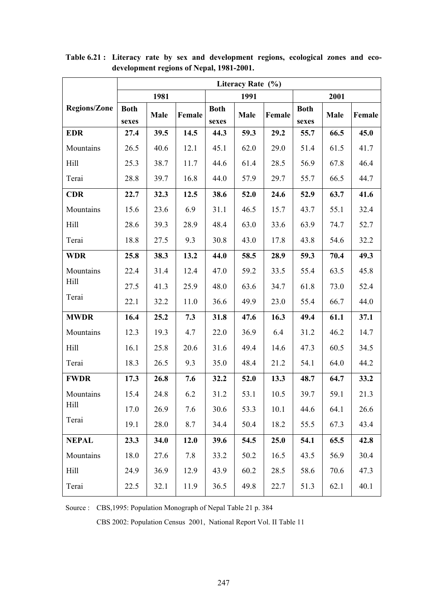|                     | Literacy Rate (%)    |             |        |                      |             |        |                      |      |        |  |  |  |  |
|---------------------|----------------------|-------------|--------|----------------------|-------------|--------|----------------------|------|--------|--|--|--|--|
|                     |                      | 1981        |        |                      | 1991        |        |                      | 2001 |        |  |  |  |  |
| <b>Regions/Zone</b> | <b>Both</b><br>sexes | <b>Male</b> | Female | <b>Both</b><br>sexes | <b>Male</b> | Female | <b>Both</b><br>sexes | Male | Female |  |  |  |  |
| <b>EDR</b>          | 27.4                 | 39.5        | 14.5   | 44.3                 | 59.3        | 29.2   | 55.7                 | 66.5 | 45.0   |  |  |  |  |
| Mountains           | 26.5                 | 40.6        | 12.1   | 45.1                 | 62.0        | 29.0   | 51.4                 | 61.5 | 41.7   |  |  |  |  |
| Hill                | 25.3                 | 38.7        | 11.7   | 44.6                 | 61.4        | 28.5   | 56.9                 | 67.8 | 46.4   |  |  |  |  |
| Terai               | 28.8                 | 39.7        | 16.8   | 44.0                 | 57.9        | 29.7   | 55.7                 | 66.5 | 44.7   |  |  |  |  |
| <b>CDR</b>          | 22.7                 | 32.3        | 12.5   | 38.6                 | 52.0        | 24.6   | 52.9                 | 63.7 | 41.6   |  |  |  |  |
| Mountains           | 15.6                 | 23.6        | 6.9    | 31.1                 | 46.5        | 15.7   | 43.7                 | 55.1 | 32.4   |  |  |  |  |
| Hill                | 28.6                 | 39.3        | 28.9   | 48.4                 | 63.0        | 33.6   | 63.9                 | 74.7 | 52.7   |  |  |  |  |
| Terai               | 18.8                 | 27.5        | 9.3    | 30.8                 | 43.0        | 17.8   | 43.8                 | 54.6 | 32.2   |  |  |  |  |
| <b>WDR</b>          | 25.8                 | 38.3        | 13.2   | 44.0                 | 58.5        | 28.9   | 59.3                 | 70.4 | 49.3   |  |  |  |  |
| Mountains           | 22.4                 | 31.4        | 12.4   | 47.0                 | 59.2        | 33.5   | 55.4                 | 63.5 | 45.8   |  |  |  |  |
| Hill                | 27.5                 | 41.3        | 25.9   | 48.0                 | 63.6        | 34.7   | 61.8                 | 73.0 | 52.4   |  |  |  |  |
| Terai               | 22.1                 | 32.2        | 11.0   | 36.6                 | 49.9        | 23.0   | 55.4                 | 66.7 | 44.0   |  |  |  |  |
| <b>MWDR</b>         | 16.4                 | 25.2        | 7.3    | 31.8                 | 47.6        | 16.3   | 49.4                 | 61.1 | 37.1   |  |  |  |  |
| Mountains           | 12.3                 | 19.3        | 4.7    | 22.0                 | 36.9        | 6.4    | 31.2                 | 46.2 | 14.7   |  |  |  |  |
| Hill                | 16.1                 | 25.8        | 20.6   | 31.6                 | 49.4        | 14.6   | 47.3                 | 60.5 | 34.5   |  |  |  |  |
| Terai               | 18.3                 | 26.5        | 9.3    | 35.0                 | 48.4        | 21.2   | 54.1                 | 64.0 | 44.2   |  |  |  |  |
| <b>FWDR</b>         | 17.3                 | 26.8        | 7.6    | 32.2                 | 52.0        | 13.3   | 48.7                 | 64.7 | 33.2   |  |  |  |  |
| Mountains           | 15.4                 | 24.8        | 6.2    | 31.2                 | 53.1        | 10.5   | 39.7                 | 59.1 | 21.3   |  |  |  |  |
| Hill                | 17.0                 | 26.9        | 7.6    | 30.6                 | 53.3        | 10.1   | 44.6                 | 64.1 | 26.6   |  |  |  |  |
| Terai               | 19.1                 | 28.0        | 8.7    | 34.4                 | 50.4        | 18.2   | 55.5                 | 67.3 | 43.4   |  |  |  |  |
| <b>NEPAL</b>        | 23.3                 | 34.0        | 12.0   | 39.6                 | 54.5        | 25.0   | 54.1                 | 65.5 | 42.8   |  |  |  |  |
| Mountains           | 18.0                 | 27.6        | 7.8    | 33.2                 | 50.2        | 16.5   | 43.5                 | 56.9 | 30.4   |  |  |  |  |
| Hill                | 24.9                 | 36.9        | 12.9   | 43.9                 | 60.2        | 28.5   | 58.6                 | 70.6 | 47.3   |  |  |  |  |
| Terai               | 22.5                 | 32.1        | 11.9   | 36.5                 | 49.8        | 22.7   | 51.3                 | 62.1 | 40.1   |  |  |  |  |

**Table 6.21 : Literacy rate by sex and development regions, ecological zones and ecodevelopment regions of Nepal, 1981-2001.** 

Source : CBS,1995: Population Monograph of Nepal Table 21 p. 384

CBS 2002: Population Census 2001, National Report Vol. II Table 11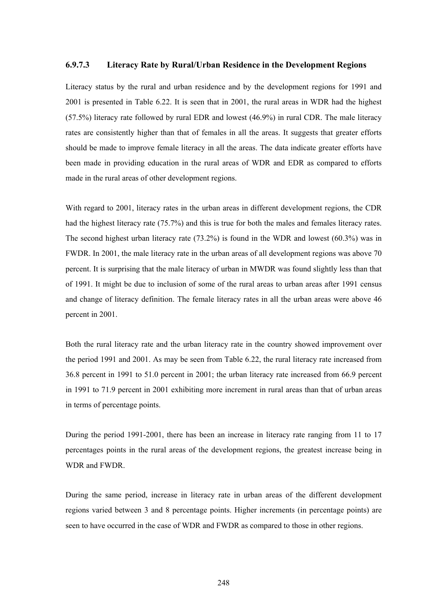#### **6.9.7.3 Literacy Rate by Rural/Urban Residence in the Development Regions**

Literacy status by the rural and urban residence and by the development regions for 1991 and 2001 is presented in Table 6.22. It is seen that in 2001, the rural areas in WDR had the highest (57.5%) literacy rate followed by rural EDR and lowest (46.9%) in rural CDR. The male literacy rates are consistently higher than that of females in all the areas. It suggests that greater efforts should be made to improve female literacy in all the areas. The data indicate greater efforts have been made in providing education in the rural areas of WDR and EDR as compared to efforts made in the rural areas of other development regions.

With regard to 2001, literacy rates in the urban areas in different development regions, the CDR had the highest literacy rate (75.7%) and this is true for both the males and females literacy rates. The second highest urban literacy rate (73.2%) is found in the WDR and lowest (60.3%) was in FWDR. In 2001, the male literacy rate in the urban areas of all development regions was above 70 percent. It is surprising that the male literacy of urban in MWDR was found slightly less than that of 1991. It might be due to inclusion of some of the rural areas to urban areas after 1991 census and change of literacy definition. The female literacy rates in all the urban areas were above 46 percent in 2001.

Both the rural literacy rate and the urban literacy rate in the country showed improvement over the period 1991 and 2001. As may be seen from Table 6.22, the rural literacy rate increased from 36.8 percent in 1991 to 51.0 percent in 2001; the urban literacy rate increased from 66.9 percent in 1991 to 71.9 percent in 2001 exhibiting more increment in rural areas than that of urban areas in terms of percentage points.

During the period 1991-2001, there has been an increase in literacy rate ranging from 11 to 17 percentages points in the rural areas of the development regions, the greatest increase being in WDR and FWDR.

During the same period, increase in literacy rate in urban areas of the different development regions varied between 3 and 8 percentage points. Higher increments (in percentage points) are seen to have occurred in the case of WDR and FWDR as compared to those in other regions.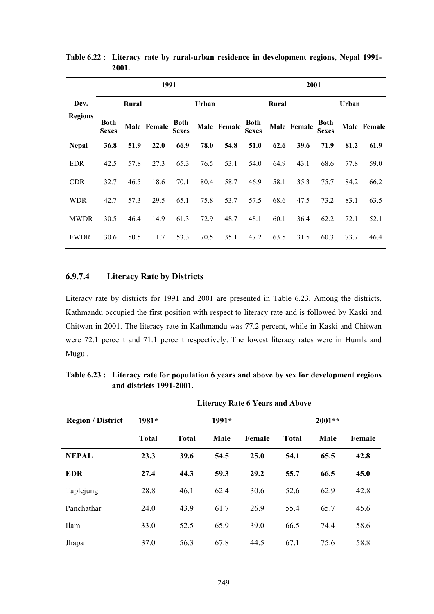|                |                             |       | 1991        |                             |       |             | 2001                        |       |             |                             |       |             |
|----------------|-----------------------------|-------|-------------|-----------------------------|-------|-------------|-----------------------------|-------|-------------|-----------------------------|-------|-------------|
| Dev.           |                             | Rural |             |                             | Urban |             |                             | Rural |             |                             | Urban |             |
| <b>Regions</b> | <b>Both</b><br><b>Sexes</b> |       | Male Female | <b>Both</b><br><b>Sexes</b> |       | Male Female | <b>Both</b><br><b>Sexes</b> |       | Male Female | <b>Both</b><br><b>Sexes</b> |       | Male Female |
| <b>Nepal</b>   | 36.8                        | 51.9  | 22.0        | 66.9                        | 78.0  | 54.8        | 51.0                        | 62.6  | 39.6        | 71.9                        | 81.2  | 61.9        |
| <b>EDR</b>     | 42.5                        | 57.8  | 27.3        | 65.3                        | 76.5  | 53.1        | 54.0                        | 64.9  | 43.1        | 68.6                        | 77.8  | 59.0        |
| <b>CDR</b>     | 32.7                        | 46.5  | 18.6        | 70.1                        | 80.4  | 58.7        | 46.9                        | 58.1  | 35.3        | 75.7                        | 84.2  | 66.2        |
| <b>WDR</b>     | 42.7                        | 57.3  | 29.5        | 65.1                        | 75.8  | 53.7        | 57.5                        | 68.6  | 47.5        | 73.2                        | 83.1  | 63.5        |
| <b>MWDR</b>    | 30.5                        | 46.4  | 14.9        | 61.3                        | 72.9  | 48.7        | 48.1                        | 60.1  | 36.4        | 62.2                        | 72.1  | 52.1        |
| <b>FWDR</b>    | 30.6                        | 50.5  | 11.7        | 53.3                        | 70.5  | 35.1        | 47.2                        | 63.5  | 31.5        | 60.3                        | 73.7  | 46.4        |

**Table 6.22 : Literacy rate by rural-urban residence in development regions, Nepal 1991- 2001.** 

### **6.9.7.4 Literacy Rate by Districts**

Literacy rate by districts for 1991 and 2001 are presented in Table 6.23. Among the districts, Kathmandu occupied the first position with respect to literacy rate and is followed by Kaski and Chitwan in 2001. The literacy rate in Kathmandu was 77.2 percent, while in Kaski and Chitwan were 72.1 percent and 71.1 percent respectively. The lowest literacy rates were in Humla and Mugu .

|                          | <b>Literacy Rate 6 Years and Above</b> |              |         |        |              |          |        |  |  |  |  |  |  |
|--------------------------|----------------------------------------|--------------|---------|--------|--------------|----------|--------|--|--|--|--|--|--|
| <b>Region / District</b> | 1981*                                  |              | $1991*$ |        |              | $2001**$ |        |  |  |  |  |  |  |
|                          | <b>Total</b>                           | <b>Total</b> | Male    | Female | <b>Total</b> | Male     | Female |  |  |  |  |  |  |
| <b>NEPAL</b>             | 23.3                                   | 39.6         | 54.5    | 25.0   | 54.1         | 65.5     | 42.8   |  |  |  |  |  |  |
| <b>EDR</b>               | 27.4                                   | 44.3         | 59.3    | 29.2   | 55.7         | 66.5     | 45.0   |  |  |  |  |  |  |
| Taplejung                | 28.8                                   | 46.1         | 62.4    | 30.6   | 52.6         | 62.9     | 42.8   |  |  |  |  |  |  |
| Panchathar               | 24.0                                   | 43.9         | 61.7    | 26.9   | 55.4         | 65.7     | 45.6   |  |  |  |  |  |  |
| <b>Ilam</b>              | 33.0                                   | 52.5         | 65.9    | 39.0   | 66.5         | 74.4     | 58.6   |  |  |  |  |  |  |
| Jhapa                    | 37.0                                   | 56.3         | 67.8    | 44.5   | 67.1         | 75.6     | 58.8   |  |  |  |  |  |  |

**Table 6.23 : Literacy rate for population 6 years and above by sex for development regions and districts 1991-2001.**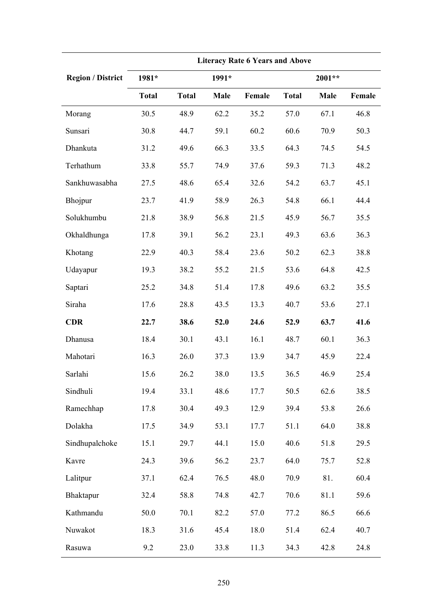|                          | <b>Literacy Rate 6 Years and Above</b> |              |       |        |              |        |        |  |  |  |  |  |
|--------------------------|----------------------------------------|--------------|-------|--------|--------------|--------|--------|--|--|--|--|--|
| <b>Region / District</b> | 1981*                                  |              | 1991* |        |              | 2001** |        |  |  |  |  |  |
|                          | <b>Total</b>                           | <b>Total</b> | Male  | Female | <b>Total</b> | Male   | Female |  |  |  |  |  |
| Morang                   | 30.5                                   | 48.9         | 62.2  | 35.2   | 57.0         | 67.1   | 46.8   |  |  |  |  |  |
| Sunsari                  | 30.8                                   | 44.7         | 59.1  | 60.2   | 60.6         | 70.9   | 50.3   |  |  |  |  |  |
| Dhankuta                 | 31.2                                   | 49.6         | 66.3  | 33.5   | 64.3         | 74.5   | 54.5   |  |  |  |  |  |
| Terhathum                | 33.8                                   | 55.7         | 74.9  | 37.6   | 59.3         | 71.3   | 48.2   |  |  |  |  |  |
| Sankhuwasabha            | 27.5                                   | 48.6         | 65.4  | 32.6   | 54.2         | 63.7   | 45.1   |  |  |  |  |  |
| Bhojpur                  | 23.7                                   | 41.9         | 58.9  | 26.3   | 54.8         | 66.1   | 44.4   |  |  |  |  |  |
| Solukhumbu               | 21.8                                   | 38.9         | 56.8  | 21.5   | 45.9         | 56.7   | 35.5   |  |  |  |  |  |
| Okhaldhunga              | 17.8                                   | 39.1         | 56.2  | 23.1   | 49.3         | 63.6   | 36.3   |  |  |  |  |  |
| Khotang                  | 22.9                                   | 40.3         | 58.4  | 23.6   | 50.2         | 62.3   | 38.8   |  |  |  |  |  |
| Udayapur                 | 19.3                                   | 38.2         | 55.2  | 21.5   | 53.6         | 64.8   | 42.5   |  |  |  |  |  |
| Saptari                  | 25.2                                   | 34.8         | 51.4  | 17.8   | 49.6         | 63.2   | 35.5   |  |  |  |  |  |
| Siraha                   | 17.6                                   | 28.8         | 43.5  | 13.3   | 40.7         | 53.6   | 27.1   |  |  |  |  |  |
| <b>CDR</b>               | 22.7                                   | 38.6         | 52.0  | 24.6   | 52.9         | 63.7   | 41.6   |  |  |  |  |  |
| Dhanusa                  | 18.4                                   | 30.1         | 43.1  | 16.1   | 48.7         | 60.1   | 36.3   |  |  |  |  |  |
| Mahotari                 | 16.3                                   | 26.0         | 37.3  | 13.9   | 34.7         | 45.9   | 22.4   |  |  |  |  |  |
| Sarlahi                  | 15.6                                   | 26.2         | 38.0  | 13.5   | 36.5         | 46.9   | 25.4   |  |  |  |  |  |
| Sindhuli                 | 19.4                                   | 33.1         | 48.6  | 17.7   | 50.5         | 62.6   | 38.5   |  |  |  |  |  |
| Ramechhap                | 17.8                                   | 30.4         | 49.3  | 12.9   | 39.4         | 53.8   | 26.6   |  |  |  |  |  |
| Dolakha                  | 17.5                                   | 34.9         | 53.1  | 17.7   | 51.1         | 64.0   | 38.8   |  |  |  |  |  |
| Sindhupalchoke           | 15.1                                   | 29.7         | 44.1  | 15.0   | 40.6         | 51.8   | 29.5   |  |  |  |  |  |
| Kavre                    | 24.3                                   | 39.6         | 56.2  | 23.7   | 64.0         | 75.7   | 52.8   |  |  |  |  |  |
| Lalitpur                 | 37.1                                   | 62.4         | 76.5  | 48.0   | 70.9         | 81.    | 60.4   |  |  |  |  |  |
| Bhaktapur                | 32.4                                   | 58.8         | 74.8  | 42.7   | 70.6         | 81.1   | 59.6   |  |  |  |  |  |
| Kathmandu                | 50.0                                   | 70.1         | 82.2  | 57.0   | 77.2         | 86.5   | 66.6   |  |  |  |  |  |
| Nuwakot                  | 18.3                                   | 31.6         | 45.4  | 18.0   | 51.4         | 62.4   | 40.7   |  |  |  |  |  |
| Rasuwa                   | 9.2                                    | 23.0         | 33.8  | 11.3   | 34.3         | 42.8   | 24.8   |  |  |  |  |  |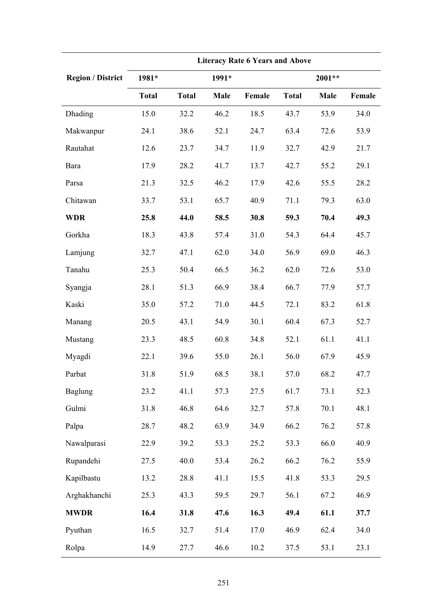|                          | <b>Literacy Rate 6 Years and Above</b> |              |       |        |              |        |        |  |  |  |  |
|--------------------------|----------------------------------------|--------------|-------|--------|--------------|--------|--------|--|--|--|--|
| <b>Region / District</b> | 1981*                                  |              | 1991* |        |              | 2001** |        |  |  |  |  |
|                          | <b>Total</b>                           | <b>Total</b> | Male  | Female | <b>Total</b> | Male   | Female |  |  |  |  |
| Dhading                  | 15.0                                   | 32.2         | 46.2  | 18.5   | 43.7         | 53.9   | 34.0   |  |  |  |  |
| Makwanpur                | 24.1                                   | 38.6         | 52.1  | 24.7   | 63.4         | 72.6   | 53.9   |  |  |  |  |
| Rautahat                 | 12.6                                   | 23.7         | 34.7  | 11.9   | 32.7         | 42.9   | 21.7   |  |  |  |  |
| Bara                     | 17.9                                   | 28.2         | 41.7  | 13.7   | 42.7         | 55.2   | 29.1   |  |  |  |  |
| Parsa                    | 21.3                                   | 32.5         | 46.2  | 17.9   | 42.6         | 55.5   | 28.2   |  |  |  |  |
| Chitawan                 | 33.7                                   | 53.1         | 65.7  | 40.9   | 71.1         | 79.3   | 63.0   |  |  |  |  |
| <b>WDR</b>               | 25.8                                   | 44.0         | 58.5  | 30.8   | 59.3         | 70.4   | 49.3   |  |  |  |  |
| Gorkha                   | 18.3                                   | 43.8         | 57.4  | 31.0   | 54.3         | 64.4   | 45.7   |  |  |  |  |
| Lamjung                  | 32.7                                   | 47.1         | 62.0  | 34.0   | 56.9         | 69.0   | 46.3   |  |  |  |  |
| Tanahu                   | 25.3                                   | 50.4         | 66.5  | 36.2   | 62.0         | 72.6   | 53.0   |  |  |  |  |
| Syangja                  | 28.1                                   | 51.3         | 66.9  | 38.4   | 66.7         | 77.9   | 57.7   |  |  |  |  |
| Kaski                    | 35.0                                   | 57.2         | 71.0  | 44.5   | 72.1         | 83.2   | 61.8   |  |  |  |  |
| Manang                   | 20.5                                   | 43.1         | 54.9  | 30.1   | 60.4         | 67.3   | 52.7   |  |  |  |  |
| Mustang                  | 23.3                                   | 48.5         | 60.8  | 34.8   | 52.1         | 61.1   | 41.1   |  |  |  |  |
| Myagdi                   | 22.1                                   | 39.6         | 55.0  | 26.1   | 56.0         | 67.9   | 45.9   |  |  |  |  |
| Parbat                   | 31.8                                   | 51.9         | 68.5  | 38.1   | 57.0         | 68.2   | 47.7   |  |  |  |  |
| <b>Baglung</b>           | 23.2                                   | 41.1         | 57.3  | 27.5   | 61.7         | 73.1   | 52.3   |  |  |  |  |
| Gulmi                    | 31.8                                   | 46.8         | 64.6  | 32.7   | 57.8         | 70.1   | 48.1   |  |  |  |  |
| Palpa                    | 28.7                                   | 48.2         | 63.9  | 34.9   | 66.2         | 76.2   | 57.8   |  |  |  |  |
| Nawalparasi              | 22.9                                   | 39.2         | 53.3  | 25.2   | 53.3         | 66.0   | 40.9   |  |  |  |  |
| Rupandehi                | 27.5                                   | 40.0         | 53.4  | 26.2   | 66.2         | 76.2   | 55.9   |  |  |  |  |
| Kapilbastu               | 13.2                                   | 28.8         | 41.1  | 15.5   | 41.8         | 53.3   | 29.5   |  |  |  |  |
| Arghakhanchi             | 25.3                                   | 43.3         | 59.5  | 29.7   | 56.1         | 67.2   | 46.9   |  |  |  |  |
| <b>MWDR</b>              | 16.4                                   | 31.8         | 47.6  | 16.3   | 49.4         | 61.1   | 37.7   |  |  |  |  |
| Pyuthan                  | 16.5                                   | 32.7         | 51.4  | 17.0   | 46.9         | 62.4   | 34.0   |  |  |  |  |
| Rolpa                    | 14.9                                   | 27.7         | 46.6  | 10.2   | 37.5         | 53.1   | 23.1   |  |  |  |  |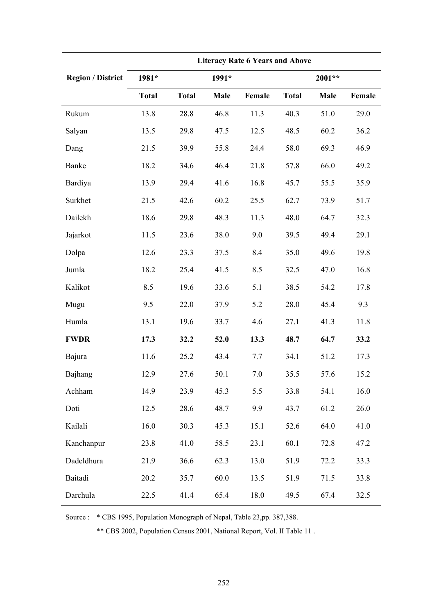|                          | <b>Literacy Rate 6 Years and Above</b> |              |       |        |              |        |        |  |  |  |  |  |
|--------------------------|----------------------------------------|--------------|-------|--------|--------------|--------|--------|--|--|--|--|--|
| <b>Region / District</b> | 1981*                                  |              | 1991* |        |              | 2001** |        |  |  |  |  |  |
|                          | <b>Total</b>                           | <b>Total</b> | Male  | Female | <b>Total</b> | Male   | Female |  |  |  |  |  |
| Rukum                    | 13.8                                   | 28.8         | 46.8  | 11.3   | 40.3         | 51.0   | 29.0   |  |  |  |  |  |
| Salyan                   | 13.5                                   | 29.8         | 47.5  | 12.5   | 48.5         | 60.2   | 36.2   |  |  |  |  |  |
| Dang                     | 21.5                                   | 39.9         | 55.8  | 24.4   | 58.0         | 69.3   | 46.9   |  |  |  |  |  |
| Banke                    | 18.2                                   | 34.6         | 46.4  | 21.8   | 57.8         | 66.0   | 49.2   |  |  |  |  |  |
| Bardiya                  | 13.9                                   | 29.4         | 41.6  | 16.8   | 45.7         | 55.5   | 35.9   |  |  |  |  |  |
| Surkhet                  | 21.5                                   | 42.6         | 60.2  | 25.5   | 62.7         | 73.9   | 51.7   |  |  |  |  |  |
| Dailekh                  | 18.6                                   | 29.8         | 48.3  | 11.3   | 48.0         | 64.7   | 32.3   |  |  |  |  |  |
| Jajarkot                 | 11.5                                   | 23.6         | 38.0  | 9.0    | 39.5         | 49.4   | 29.1   |  |  |  |  |  |
| Dolpa                    | 12.6                                   | 23.3         | 37.5  | 8.4    | 35.0         | 49.6   | 19.8   |  |  |  |  |  |
| Jumla                    | 18.2                                   | 25.4         | 41.5  | 8.5    | 32.5         | 47.0   | 16.8   |  |  |  |  |  |
| Kalikot                  | 8.5                                    | 19.6         | 33.6  | 5.1    | 38.5         | 54.2   | 17.8   |  |  |  |  |  |
| Mugu                     | 9.5                                    | 22.0         | 37.9  | 5.2    | 28.0         | 45.4   | 9.3    |  |  |  |  |  |
| Humla                    | 13.1                                   | 19.6         | 33.7  | 4.6    | 27.1         | 41.3   | 11.8   |  |  |  |  |  |
| <b>FWDR</b>              | 17.3                                   | 32.2         | 52.0  | 13.3   | 48.7         | 64.7   | 33.2   |  |  |  |  |  |
| Bajura                   | 11.6                                   | 25.2         | 43.4  | 7.7    | 34.1         | 51.2   | 17.3   |  |  |  |  |  |
| Bajhang                  | 12.9                                   | 27.6         | 50.1  | 7.0    | 35.5         | 57.6   | 15.2   |  |  |  |  |  |
| Achham                   | 14.9                                   | 23.9         | 45.3  | 5.5    | 33.8         | 54.1   | 16.0   |  |  |  |  |  |
| Doti                     | 12.5                                   | 28.6         | 48.7  | 9.9    | 43.7         | 61.2   | 26.0   |  |  |  |  |  |
| Kailali                  | 16.0                                   | 30.3         | 45.3  | 15.1   | 52.6         | 64.0   | 41.0   |  |  |  |  |  |
| Kanchanpur               | 23.8                                   | 41.0         | 58.5  | 23.1   | 60.1         | 72.8   | 47.2   |  |  |  |  |  |
| Dadeldhura               | 21.9                                   | 36.6         | 62.3  | 13.0   | 51.9         | 72.2   | 33.3   |  |  |  |  |  |
| Baitadi                  | 20.2                                   | 35.7         | 60.0  | 13.5   | 51.9         | 71.5   | 33.8   |  |  |  |  |  |
| Darchula                 | 22.5                                   | 41.4         | 65.4  | 18.0   | 49.5         | 67.4   | 32.5   |  |  |  |  |  |

Source : \* CBS 1995, Population Monograph of Nepal, Table 23,pp. 387,388.

\*\* CBS 2002, Population Census 2001, National Report, Vol. II Table 11 .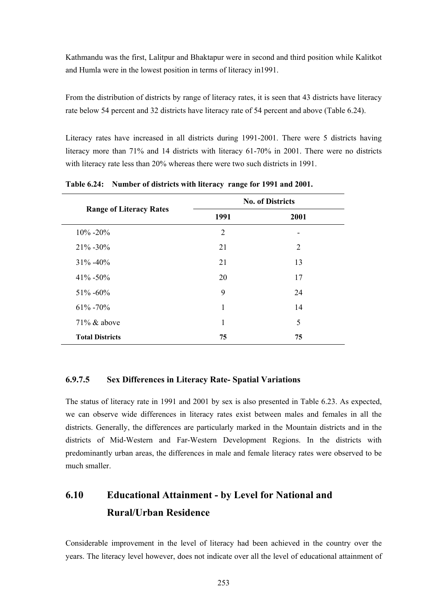Kathmandu was the first, Lalitpur and Bhaktapur were in second and third position while Kalitkot and Humla were in the lowest position in terms of literacy in1991.

From the distribution of districts by range of literacy rates, it is seen that 43 districts have literacy rate below 54 percent and 32 districts have literacy rate of 54 percent and above (Table 6.24).

Literacy rates have increased in all districts during 1991-2001. There were 5 districts having literacy more than 71% and 14 districts with literacy 61-70% in 2001. There were no districts with literacy rate less than 20% whereas there were two such districts in 1991.

|                                | <b>No. of Districts</b> |                |  |  |  |  |  |  |
|--------------------------------|-------------------------|----------------|--|--|--|--|--|--|
| <b>Range of Literacy Rates</b> | 1991                    | 2001           |  |  |  |  |  |  |
| $10\% - 20\%$                  | 2                       | -              |  |  |  |  |  |  |
| $21\% - 30\%$                  | 21                      | $\overline{2}$ |  |  |  |  |  |  |
| $31\% - 40\%$                  | 21                      | 13             |  |  |  |  |  |  |
| $41\% - 50\%$                  | 20                      | 17             |  |  |  |  |  |  |
| $51\% - 60\%$                  | 9                       | 24             |  |  |  |  |  |  |
| $61\% - 70\%$                  | 1                       | 14             |  |  |  |  |  |  |
| $71\%$ & above                 | 1                       | 5              |  |  |  |  |  |  |
| <b>Total Districts</b>         | 75                      | 75             |  |  |  |  |  |  |

**Table 6.24: Number of districts with literacy range for 1991 and 2001.** 

#### **6.9.7.5 Sex Differences in Literacy Rate- Spatial Variations**

The status of literacy rate in 1991 and 2001 by sex is also presented in Table 6.23. As expected, we can observe wide differences in literacy rates exist between males and females in all the districts. Generally, the differences are particularly marked in the Mountain districts and in the districts of Mid-Western and Far-Western Development Regions. In the districts with predominantly urban areas, the differences in male and female literacy rates were observed to be much smaller.

# **6.10 Educational Attainment - by Level for National and Rural/Urban Residence**

Considerable improvement in the level of literacy had been achieved in the country over the years. The literacy level however, does not indicate over all the level of educational attainment of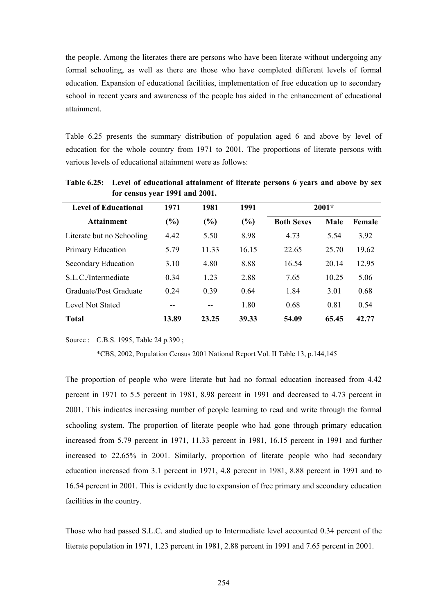the people. Among the literates there are persons who have been literate without undergoing any formal schooling, as well as there are those who have completed different levels of formal education. Expansion of educational facilities, implementation of free education up to secondary school in recent years and awareness of the people has aided in the enhancement of educational attainment.

Table 6.25 presents the summary distribution of population aged 6 and above by level of education for the whole country from 1971 to 2001. The proportions of literate persons with various levels of educational attainment were as follows:

| <b>Level of Educational</b> | 1971   | 1981  | 1991  |                   | $2001*$ |        |
|-----------------------------|--------|-------|-------|-------------------|---------|--------|
| <b>Attainment</b>           | $(\%)$ | (%)   | (%)   | <b>Both Sexes</b> | Male    | Female |
| Literate but no Schooling   | 4.42   | 5.50  | 8.98  | 4.73              | 5.54    | 3.92   |
| Primary Education           | 5.79   | 11.33 | 16.15 | 22.65             | 25.70   | 19.62  |
| Secondary Education         | 3.10   | 4.80  | 8.88  | 16.54             | 20.14   | 12.95  |
| S.L.C./Intermediate         | 0.34   | 1.23  | 2.88  | 7.65              | 10.25   | 5.06   |
| Graduate/Post Graduate      | 0.24   | 0.39  | 0.64  | 1.84              | 3.01    | 0.68   |
| Level Not Stated            |        |       | 1.80  | 0.68              | 0.81    | 0.54   |
| <b>Total</b>                | 13.89  | 23.25 | 39.33 | 54.09             | 65.45   | 42.77  |

**Table 6.25: Level of educational attainment of literate persons 6 years and above by sex for census year 1991 and 2001.** 

Source : C.B.S. 1995, Table 24 p.390 ;

\*CBS, 2002, Population Census 2001 National Report Vol. II Table 13, p.144,145

The proportion of people who were literate but had no formal education increased from 4.42 percent in 1971 to 5.5 percent in 1981, 8.98 percent in 1991 and decreased to 4.73 percent in 2001. This indicates increasing number of people learning to read and write through the formal schooling system. The proportion of literate people who had gone through primary education increased from 5.79 percent in 1971, 11.33 percent in 1981, 16.15 percent in 1991 and further increased to 22.65% in 2001. Similarly, proportion of literate people who had secondary education increased from 3.1 percent in 1971, 4.8 percent in 1981, 8.88 percent in 1991 and to 16.54 percent in 2001. This is evidently due to expansion of free primary and secondary education facilities in the country.

Those who had passed S.L.C. and studied up to Intermediate level accounted 0.34 percent of the literate population in 1971, 1.23 percent in 1981, 2.88 percent in 1991 and 7.65 percent in 2001.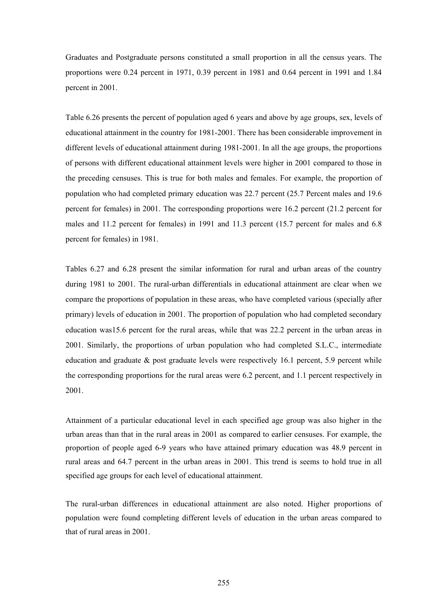Graduates and Postgraduate persons constituted a small proportion in all the census years. The proportions were 0.24 percent in 1971, 0.39 percent in 1981 and 0.64 percent in 1991 and 1.84 percent in 2001.

Table 6.26 presents the percent of population aged 6 years and above by age groups, sex, levels of educational attainment in the country for 1981-2001. There has been considerable improvement in different levels of educational attainment during 1981-2001. In all the age groups, the proportions of persons with different educational attainment levels were higher in 2001 compared to those in the preceding censuses. This is true for both males and females. For example, the proportion of population who had completed primary education was 22.7 percent (25.7 Percent males and 19.6 percent for females) in 2001. The corresponding proportions were 16.2 percent (21.2 percent for males and 11.2 percent for females) in 1991 and 11.3 percent (15.7 percent for males and 6.8 percent for females) in 1981.

Tables 6.27 and 6.28 present the similar information for rural and urban areas of the country during 1981 to 2001. The rural-urban differentials in educational attainment are clear when we compare the proportions of population in these areas, who have completed various (specially after primary) levels of education in 2001. The proportion of population who had completed secondary education was15.6 percent for the rural areas, while that was 22.2 percent in the urban areas in 2001. Similarly, the proportions of urban population who had completed S.L.C., intermediate education and graduate  $\&$  post graduate levels were respectively 16.1 percent, 5.9 percent while the corresponding proportions for the rural areas were 6.2 percent, and 1.1 percent respectively in 2001.

Attainment of a particular educational level in each specified age group was also higher in the urban areas than that in the rural areas in 2001 as compared to earlier censuses. For example, the proportion of people aged 6-9 years who have attained primary education was 48.9 percent in rural areas and 64.7 percent in the urban areas in 2001. This trend is seems to hold true in all specified age groups for each level of educational attainment.

The rural-urban differences in educational attainment are also noted. Higher proportions of population were found completing different levels of education in the urban areas compared to that of rural areas in 2001.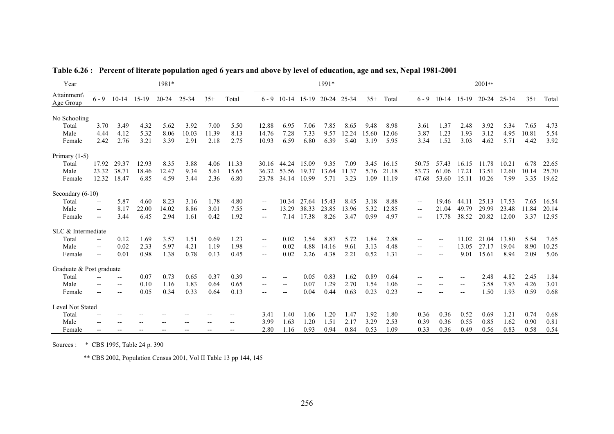| Year                     |                          |                          |       | 1981*     |       |       |       |                          |                        |         | 1991*       |       |       |       |                          |                          |                          | 2001**    |       |       |       |
|--------------------------|--------------------------|--------------------------|-------|-----------|-------|-------|-------|--------------------------|------------------------|---------|-------------|-------|-------|-------|--------------------------|--------------------------|--------------------------|-----------|-------|-------|-------|
| Attainment<br>Age Group  | $6 - 9$                  | $10 - 14$                | 15-19 | $20 - 24$ | 25-34 | $35+$ | Total | $6 - 9$                  | $10-14$                | $15-19$ | 20-24 25-34 |       | $35+$ | Total | $6 - 9$                  | $10-14$                  | $15-19$                  | $20 - 24$ | 25-34 | $35+$ | Total |
| No Schooling             |                          |                          |       |           |       |       |       |                          |                        |         |             |       |       |       |                          |                          |                          |           |       |       |       |
| Total                    | 3.70                     | 3.49                     | 4.32  | 5.62      | 3.92  | 7.00  | 5.50  | 12.88                    | 6.95                   | 7.06    | 7.85        | 8.65  | 9.48  | 8.98  | 3.61                     | 1.37                     | 2.48                     | 3.92      | 5.34  | 7.65  | 4.73  |
| Male                     | 4.44                     | 4.12                     | 5.32  | 8.06      | 10.03 | 11.39 | 8.13  | 14.76                    | 7.28                   | 7.33    | 9.57        | 12.24 | 15.60 | 12.06 | 3.87                     | 1.23                     | 1.93                     | 3.12      | 4.95  | 10.81 | 5.54  |
| Female                   | 2.42                     | 2.76                     | 3.21  | 3.39      | 2.91  | 2.18  | 2.75  | 10.93                    | 6.59                   | 6.80    | 6.39        | 5.40  | 3.19  | 5.95  | 3.34                     | 1.52                     | 3.03                     | 4.62      | 5.71  | 4.42  | 3.92  |
| Primary $(1-5)$          |                          |                          |       |           |       |       |       |                          |                        |         |             |       |       |       |                          |                          |                          |           |       |       |       |
| Total                    | 17.92                    | 29.37                    | 12.93 | 8.35      | 3.88  | 4.06  | 11.33 |                          | 30.16 44.24            | 15.09   | 9.35        | 7.09  | 3.45  | 16.15 | 50.75                    | 57.43                    | 16.15                    | 11.78     | 10.21 | 6.78  | 22.65 |
| Male                     | 23.32                    | 38.71                    | 18.46 | 12.47     | 9.34  | 5.61  | 15.65 | 36.32                    | 53.56                  | 19.37   | 13.64       | 11.37 | 5.76  | 21.18 | 53.73                    | 61.06                    | 17.21                    | 13.51     | 12.60 | 10.14 | 25.70 |
| Female                   | 12.32                    | 18.47                    | 6.85  | 4.59      | 3.44  | 2.36  | 6.80  | 23.78                    | 34.14                  | 10.99   | 5.71        | 3.23  | 1.09  | 11.19 | 47.68                    | 53.60                    | 15.11                    | 10.26     | 7.99  | 3.35  | 19.62 |
| Secondary $(6-10)$       |                          |                          |       |           |       |       |       |                          |                        |         |             |       |       |       |                          |                          |                          |           |       |       |       |
| Total                    | $\overline{\phantom{a}}$ | 5.87                     | 4.60  | 8.23      | 3.16  | 1.78  | 4.80  | $\overline{\phantom{a}}$ | 10.34                  | 27.64   | 15.43       | 8.45  | 3.18  | 8.88  | $\overline{\phantom{a}}$ | 19.46                    | 44.11                    | 25.13     | 17.53 | 7.65  | 16.54 |
| Male                     | $\overline{\phantom{a}}$ | 8.17                     | 22.00 | 14.02     | 8.86  | 3.01  | 7.55  | $\overline{\phantom{a}}$ | 13.29                  | 38.33   | 23.85       | 13.96 | 5.32  | 12.85 | $\hspace{0.05cm} \ldots$ | 21.04                    | 49.79                    | 29.99     | 23.48 | 11.84 | 20.14 |
| Female                   | $\overline{\phantom{a}}$ | 3.44                     | 6.45  | 2.94      | 1.61  | 0.42  | 1.92  | $\overline{\phantom{a}}$ | 7.14                   | 17.38   | 8.26        | 3.47  | 0.99  | 4.97  | $\overline{\phantom{a}}$ | 17.78                    | 38.52                    | 20.82     | 12.00 | 3.37  | 12.95 |
| SLC & Intermediate       |                          |                          |       |           |       |       |       |                          |                        |         |             |       |       |       |                          |                          |                          |           |       |       |       |
| Total                    | $\overline{\phantom{a}}$ | 0.12                     | 1.69  | 3.57      | 1.51  | 0.69  | 1.23  | $\overline{\phantom{a}}$ | 0.02                   | 3.54    | 8.87        | 5.72  | 1.84  | 2.88  | $-$                      | $\overline{\phantom{a}}$ | 11.02                    | 21.04     | 13.80 | 5.54  | 7.65  |
| Male                     | $-$                      | 0.02                     | 2.33  | 5.97      | 4.21  | 1.19  | 1.98  | $\overline{\phantom{a}}$ | 0.02                   | 4.88    | 14.16       | 9.61  | 3.13  | 4.48  | $\overline{\phantom{a}}$ | $\overline{\phantom{a}}$ | 13.05                    | 27.17     | 19.04 | 8.90  | 10.25 |
| Female                   | $\overline{\phantom{a}}$ | 0.01                     | 0.98  | 1.38      | 0.78  | 0.13  | 0.45  | $\overline{\phantom{a}}$ | 0.02                   | 2.26    | 4.38        | 2.21  | 0.52  | 1.31  | $\overline{\phantom{a}}$ |                          | 9.01                     | 15.61     | 8.94  | 2.09  | 5.06  |
| Graduate & Post graduate |                          |                          |       |           |       |       |       |                          |                        |         |             |       |       |       |                          |                          |                          |           |       |       |       |
| Total                    |                          | $\overline{\phantom{a}}$ | 0.07  | 0.73      | 0.65  | 0.37  | 0.39  |                          | $- -$                  | 0.05    | 0.83        | 1.62  | 0.89  | 0.64  |                          |                          | $\overline{\phantom{a}}$ | 2.48      | 4.82  | 2.45  | 1.84  |
| Male                     |                          | $\overline{\phantom{a}}$ | 0.10  | 1.16      | 1.83  | 0.64  | 0.65  | $-$                      | $\qquad \qquad -$      | 0.07    | 1.29        | 2.70  | 1.54  | 1.06  | $\overline{\phantom{a}}$ |                          | $\overline{\phantom{a}}$ | 3.58      | 7.93  | 4.26  | 3.01  |
| Female                   | $\overline{\phantom{a}}$ | $\overline{\phantom{m}}$ | 0.05  | 0.34      | 0.33  | 0.64  | 0.13  |                          | $\qquad \qquad \cdots$ | 0.04    | 0.44        | 0.63  | 0.23  | 0.23  | $\overline{\phantom{a}}$ |                          | $\overline{\phantom{a}}$ | 1.50      | 1.93  | 0.59  | 0.68  |
| Level Not Stated         |                          |                          |       |           |       |       |       |                          |                        |         |             |       |       |       |                          |                          |                          |           |       |       |       |
| Total                    | $-$                      | $-$                      |       |           |       |       | --    | 3.41                     | 1.40                   | 1.06    | 1.20        | 1.47  | 1.92  | 1.80  | 0.36                     | 0.36                     | 0.52                     | 0.69      | 1.21  | 0.74  | 0.68  |
| Male                     |                          |                          |       |           |       |       | --    | 3.99                     | 1.63                   | 1.20    | 1.51        | 2.17  | 3.29  | 2.53  | 0.39                     | 0.36                     | 0.55                     | 0.85      | 1.62  | 0.90  | 0.81  |
| Female                   |                          |                          |       |           |       |       | --    | 2.80                     | 1.16                   | 0.93    | 0.94        | 0.84  | 0.53  | 1.09  | 0.33                     | 0.36                     | 0.49                     | 0.56      | 0.83  | 0.58  | 0.54  |

**Table 6.26 : Percent of literate population aged 6 years and above by level of education, age and sex, Nepal 1981-2001** 

Sources : \* CBS 1995, Table 24 p. 390

\*\* CBS 2002, Population Census 2001, Vol II Table 13 pp 144, 145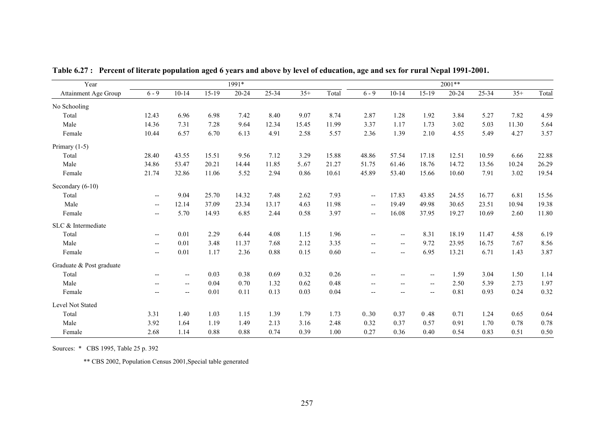| Year                     |                          |                          |         | 1991*     |       |       |       | 2001**                   |                          |                          |           |       |       |       |
|--------------------------|--------------------------|--------------------------|---------|-----------|-------|-------|-------|--------------------------|--------------------------|--------------------------|-----------|-------|-------|-------|
| Attainment Age Group     | $6 - 9$                  | $10 - 14$                | $15-19$ | $20 - 24$ | 25-34 | $35+$ | Total | $6 - 9$                  | $10 - 14$                | $15-19$                  | $20 - 24$ | 25-34 | $35+$ | Total |
| No Schooling             |                          |                          |         |           |       |       |       |                          |                          |                          |           |       |       |       |
| Total                    | 12.43                    | 6.96                     | 6.98    | 7.42      | 8.40  | 9.07  | 8.74  | 2.87                     | 1.28                     | 1.92                     | 3.84      | 5.27  | 7.82  | 4.59  |
| Male                     | 14.36                    | 7.31                     | 7.28    | 9.64      | 12.34 | 15.45 | 11.99 | 3.37                     | 1.17                     | 1.73                     | 3.02      | 5.03  | 11.30 | 5.64  |
| Female                   | 10.44                    | 6.57                     | 6.70    | 6.13      | 4.91  | 2.58  | 5.57  | 2.36                     | 1.39                     | 2.10                     | 4.55      | 5.49  | 4.27  | 3.57  |
| Primary $(1-5)$          |                          |                          |         |           |       |       |       |                          |                          |                          |           |       |       |       |
| Total                    | 28.40                    | 43.55                    | 15.51   | 9.56      | 7.12  | 3.29  | 15.88 | 48.86                    | 57.54                    | 17.18                    | 12.51     | 10.59 | 6.66  | 22.88 |
| Male                     | 34.86                    | 53.47                    | 20.21   | 14.44     | 11.85 | 567   | 21.27 | 51.75                    | 61.46                    | 18.76                    | 14.72     | 13.56 | 10.24 | 26.29 |
| Female                   | 21.74                    | 32.86                    | 11.06   | 5.52      | 2.94  | 0.86  | 10.61 | 45.89                    | 53.40                    | 15.66                    | 10.60     | 7.91  | 3.02  | 19.54 |
| Secondary (6-10)         |                          |                          |         |           |       |       |       |                          |                          |                          |           |       |       |       |
| Total                    | $\overline{\phantom{m}}$ | 9.04                     | 25.70   | 14.32     | 7.48  | 2.62  | 7.93  | $\overline{\phantom{a}}$ | 17.83                    | 43.85                    | 24.55     | 16.77 | 6.81  | 15.56 |
| Male                     | $\overline{\phantom{a}}$ | 12.14                    | 37.09   | 23.34     | 13.17 | 4.63  | 11.98 | $\overline{\phantom{a}}$ | 19.49                    | 49.98                    | 30.65     | 23.51 | 10.94 | 19.38 |
| Female                   | $\overline{\phantom{a}}$ | 5.70                     | 14.93   | 6.85      | 2.44  | 0.58  | 3.97  | $- -$                    | 16.08                    | 37.95                    | 19.27     | 10.69 | 2.60  | 11.80 |
| SLC & Intermediate       |                          |                          |         |           |       |       |       |                          |                          |                          |           |       |       |       |
| Total                    | $\overline{\phantom{a}}$ | 0.01                     | 2.29    | 6.44      | 4.08  | 1.15  | 1.96  | $\overline{\phantom{a}}$ | $\overline{\phantom{m}}$ | 8.31                     | 18.19     | 11.47 | 4.58  | 6.19  |
| Male                     | $\overline{\phantom{a}}$ | 0.01                     | 3.48    | 11.37     | 7.68  | 2.12  | 3.35  | --                       | $\overline{\phantom{m}}$ | 9.72                     | 23.95     | 16.75 | 7.67  | 8.56  |
| Female                   | $\overline{\phantom{a}}$ | 0.01                     | 1.17    | 2.36      | 0.88  | 0.15  | 0.60  | $- -$                    | $\overline{\phantom{a}}$ | 6.95                     | 13.21     | 6.71  | 1.43  | 3.87  |
| Graduate & Post graduate |                          |                          |         |           |       |       |       |                          |                          |                          |           |       |       |       |
| Total                    | $\overline{\phantom{a}}$ | $\overline{\phantom{a}}$ | 0.03    | 0.38      | 0.69  | 0.32  | 0.26  | $\overline{\phantom{a}}$ | $\overline{\phantom{a}}$ | $\overline{\phantom{a}}$ | 1.59      | 3.04  | 1.50  | 1.14  |
| Male                     | $\overline{\phantom{a}}$ | --                       | 0.04    | 0.70      | 1.32  | 0.62  | 0.48  | --                       | $\overline{\phantom{a}}$ | $\overline{\phantom{m}}$ | 2.50      | 5.39  | 2.73  | 1.97  |
| Female                   | $\overline{\phantom{a}}$ | $\overline{\phantom{a}}$ | 0.01    | 0.11      | 0.13  | 0.03  | 0.04  | $- -$                    | $\overline{\phantom{a}}$ | $\overline{\phantom{a}}$ | 0.81      | 0.93  | 0.24  | 0.32  |
| Level Not Stated         |                          |                          |         |           |       |       |       |                          |                          |                          |           |       |       |       |
| Total                    | 3.31                     | 1.40                     | 1.03    | 1.15      | 1.39  | 1.79  | 1.73  | 0.30                     | 0.37                     | 0.48                     | 0.71      | 1.24  | 0.65  | 0.64  |
| Male                     | 3.92                     | 1.64                     | 1.19    | 1.49      | 2.13  | 3.16  | 2.48  | 0.32                     | 0.37                     | 0.57                     | 0.91      | 1.70  | 0.78  | 0.78  |
| Female                   | 2.68                     | 1.14                     | 0.88    | 0.88      | 0.74  | 0.39  | 1.00  | 0.27                     | 0.36                     | 0.40                     | 0.54      | 0.83  | 0.51  | 0.50  |

**Table 6.27 : Percent of literate population aged 6 years and above by level of education, age and sex for rural Nepal 1991-2001.** 

Sources: \* CBS 1995, Table 25 p. 392

\*\* CBS 2002, Population Census 2001,Special table generated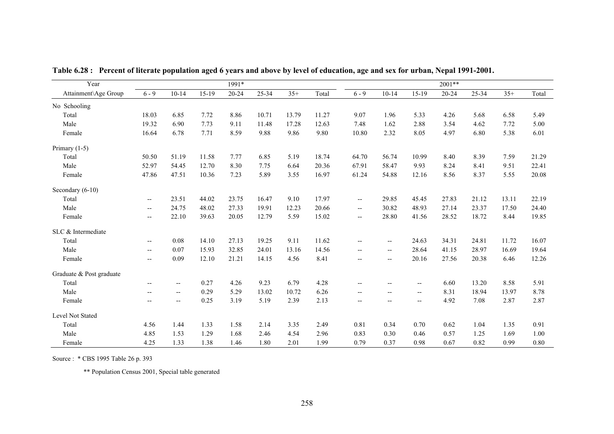| Year                     |                          |                          |       | 1991*     |       |       |       |                          |                                                         |                          | $2001**$  |       |       |       |
|--------------------------|--------------------------|--------------------------|-------|-----------|-------|-------|-------|--------------------------|---------------------------------------------------------|--------------------------|-----------|-------|-------|-------|
| Attainment\Age Group     | $6 - 9$                  | $10 - 14$                | 15-19 | $20 - 24$ | 25-34 | $35+$ | Total | $6 - 9$                  | $10 - 14$                                               | $15-19$                  | $20 - 24$ | 25-34 | $35+$ | Total |
| No Schooling             |                          |                          |       |           |       |       |       |                          |                                                         |                          |           |       |       |       |
| Total                    | 18.03                    | 6.85                     | 7.72  | 8.86      | 10.71 | 13.79 | 11.27 | 9.07                     | 1.96                                                    | 5.33                     | 4.26      | 5.68  | 6.58  | 5.49  |
| Male                     | 19.32                    | 6.90                     | 7.73  | 9.11      | 11.48 | 17.28 | 12.63 | 7.48                     | 1.62                                                    | 2.88                     | 3.54      | 4.62  | 7.72  | 5.00  |
| Female                   | 16.64                    | 6.78                     | 7.71  | 8.59      | 9.88  | 9.86  | 9.80  | 10.80                    | 2.32                                                    | 8.05                     | 4.97      | 6.80  | 5.38  | 6.01  |
| Primary $(1-5)$          |                          |                          |       |           |       |       |       |                          |                                                         |                          |           |       |       |       |
| Total                    | 50.50                    | 51.19                    | 11.58 | 7.77      | 6.85  | 5.19  | 18.74 | 64.70                    | 56.74                                                   | 10.99                    | 8.40      | 8.39  | 7.59  | 21.29 |
| Male                     | 52.97                    | 54.45                    | 12.70 | 8.30      | 7.75  | 6.64  | 20.36 | 67.91                    | 58.47                                                   | 9.93                     | 8.24      | 8.41  | 9.51  | 22.41 |
| Female                   | 47.86                    | 47.51                    | 10.36 | 7.23      | 5.89  | 3.55  | 16.97 | 61.24                    | 54.88                                                   | 12.16                    | 8.56      | 8.37  | 5.55  | 20.08 |
| Secondary (6-10)         |                          |                          |       |           |       |       |       |                          |                                                         |                          |           |       |       |       |
| Total                    | $\overline{\phantom{a}}$ | 23.51                    | 44.02 | 23.75     | 16.47 | 9.10  | 17.97 | $\overline{\phantom{a}}$ | 29.85                                                   | 45.45                    | 27.83     | 21.12 | 13.11 | 22.19 |
| Male                     | $\overline{\phantom{a}}$ | 24.75                    | 48.02 | 27.33     | 19.91 | 12.23 | 20.66 | $\overline{\phantom{a}}$ | 30.82                                                   | 48.93                    | 27.14     | 23.37 | 17.50 | 24.40 |
| Female                   | $\overline{\phantom{a}}$ | 22.10                    | 39.63 | 20.05     | 12.79 | 5.59  | 15.02 | $\overline{\phantom{a}}$ | 28.80                                                   | 41.56                    | 28.52     | 18.72 | 8.44  | 19.85 |
| SLC & Intermediate       |                          |                          |       |           |       |       |       |                          |                                                         |                          |           |       |       |       |
| Total                    | --                       | 0.08                     | 14.10 | 27.13     | 19.25 | 9.11  | 11.62 | $\overline{\phantom{a}}$ | --                                                      | 24.63                    | 34.31     | 24.81 | 11.72 | 16.07 |
| Male                     | $\overline{\phantom{a}}$ | 0.07                     | 15.93 | 32.85     | 24.01 | 13.16 | 14.56 | $\overline{\phantom{a}}$ | $\overline{\phantom{a}}$                                | 28.64                    | 41.15     | 28.97 | 16.69 | 19.64 |
| Female                   | $\overline{\phantom{a}}$ | 0.09                     | 12.10 | 21.21     | 14.15 | 4.56  | 8.41  | $\overline{\phantom{a}}$ | $\overline{\phantom{a}}$                                | 20.16                    | 27.56     | 20.38 | 6.46  | 12.26 |
| Graduate & Post graduate |                          |                          |       |           |       |       |       |                          |                                                         |                          |           |       |       |       |
| Total                    | $\overline{\phantom{m}}$ | $\overline{\phantom{a}}$ | 0.27  | 4.26      | 9.23  | 6.79  | 4.28  | $\overline{\phantom{a}}$ | $\overline{\phantom{a}}$                                | $\overline{\phantom{a}}$ | 6.60      | 13.20 | 8.58  | 5.91  |
| Male                     | $\overline{\phantom{m}}$ | $\overline{\phantom{a}}$ | 0.29  | 5.29      | 13.02 | 10.72 | 6.26  | $\overline{\phantom{a}}$ | $\hspace{0.05cm} \hspace{0.02cm} \hspace{0.02cm} \dots$ | $\overline{\phantom{a}}$ | 8.31      | 18.94 | 13.97 | 8.78  |
| Female                   | $\overline{a}$           | $\overline{\phantom{a}}$ | 0.25  | 3.19      | 5.19  | 2.39  | 2.13  | $\overline{\phantom{a}}$ | $\overline{\phantom{m}}$                                | $- -$                    | 4.92      | 7.08  | 2.87  | 2.87  |
| Level Not Stated         |                          |                          |       |           |       |       |       |                          |                                                         |                          |           |       |       |       |
| Total                    | 4.56                     | 1.44                     | 1.33  | 1.58      | 2.14  | 3.35  | 2.49  | 0.81                     | 0.34                                                    | 0.70                     | 0.62      | 1.04  | 1.35  | 0.91  |
| Male                     | 4.85                     | 1.53                     | 1.29  | 1.68      | 2.46  | 4.54  | 2.96  | 0.83                     | 0.30                                                    | 0.46                     | 0.57      | 1.25  | 1.69  | 1.00  |
| Female                   | 4.25                     | 1.33                     | 1.38  | 1.46      | 1.80  | 2.01  | 1.99  | 0.79                     | 0.37                                                    | 0.98                     | 0.67      | 0.82  | 0.99  | 0.80  |

**Table 6.28 : Percent of literate population aged 6 years and above by level of education, age and sex for urban, Nepal 1991-2001.** 

Source : \* CBS 1995 Table 26 p. 393

\*\* Population Census 2001, Special table generated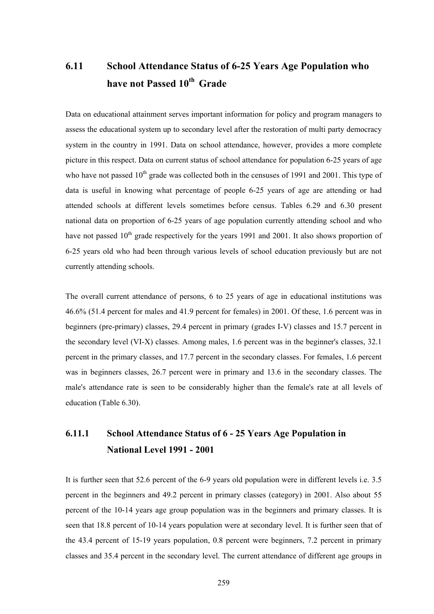# **6.11 School Attendance Status of 6-25 Years Age Population who have not Passed 10th Grade**

Data on educational attainment serves important information for policy and program managers to assess the educational system up to secondary level after the restoration of multi party democracy system in the country in 1991. Data on school attendance, however, provides a more complete picture in this respect. Data on current status of school attendance for population 6-25 years of age who have not passed  $10<sup>th</sup>$  grade was collected both in the censuses of 1991 and 2001. This type of data is useful in knowing what percentage of people 6-25 years of age are attending or had attended schools at different levels sometimes before census. Tables 6.29 and 6.30 present national data on proportion of 6-25 years of age population currently attending school and who have not passed  $10<sup>th</sup>$  grade respectively for the years 1991 and 2001. It also shows proportion of 6-25 years old who had been through various levels of school education previously but are not currently attending schools.

The overall current attendance of persons, 6 to 25 years of age in educational institutions was 46.6% (51.4 percent for males and 41.9 percent for females) in 2001. Of these, 1.6 percent was in beginners (pre-primary) classes, 29.4 percent in primary (grades I-V) classes and 15.7 percent in the secondary level (VI-X) classes. Among males, 1.6 percent was in the beginner's classes, 32.1 percent in the primary classes, and 17.7 percent in the secondary classes. For females, 1.6 percent was in beginners classes, 26.7 percent were in primary and 13.6 in the secondary classes. The male's attendance rate is seen to be considerably higher than the female's rate at all levels of education (Table 6.30).

## **6.11.1 School Attendance Status of 6 - 25 Years Age Population in National Level 1991 - 2001**

It is further seen that 52.6 percent of the 6-9 years old population were in different levels i.e. 3.5 percent in the beginners and 49.2 percent in primary classes (category) in 2001. Also about 55 percent of the 10-14 years age group population was in the beginners and primary classes. It is seen that 18.8 percent of 10-14 years population were at secondary level. It is further seen that of the 43.4 percent of 15-19 years population, 0.8 percent were beginners, 7.2 percent in primary classes and 35.4 percent in the secondary level. The current attendance of different age groups in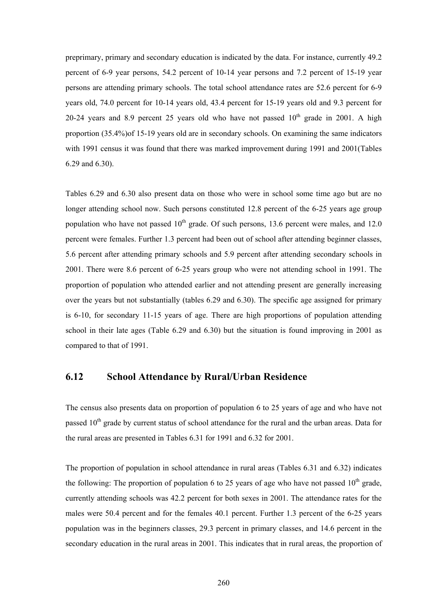preprimary, primary and secondary education is indicated by the data. For instance, currently 49.2 percent of 6-9 year persons, 54.2 percent of 10-14 year persons and 7.2 percent of 15-19 year persons are attending primary schools. The total school attendance rates are 52.6 percent for 6-9 years old, 74.0 percent for 10-14 years old, 43.4 percent for 15-19 years old and 9.3 percent for 20-24 years and 8.9 percent 25 years old who have not passed  $10<sup>th</sup>$  grade in 2001. A high proportion (35.4%)of 15-19 years old are in secondary schools. On examining the same indicators with 1991 census it was found that there was marked improvement during 1991 and 2001(Tables 6.29 and 6.30).

Tables 6.29 and 6.30 also present data on those who were in school some time ago but are no longer attending school now. Such persons constituted 12.8 percent of the 6-25 years age group population who have not passed  $10^{th}$  grade. Of such persons, 13.6 percent were males, and 12.0 percent were females. Further 1.3 percent had been out of school after attending beginner classes, 5.6 percent after attending primary schools and 5.9 percent after attending secondary schools in 2001. There were 8.6 percent of 6-25 years group who were not attending school in 1991. The proportion of population who attended earlier and not attending present are generally increasing over the years but not substantially (tables 6.29 and 6.30). The specific age assigned for primary is 6-10, for secondary 11-15 years of age. There are high proportions of population attending school in their late ages (Table 6.29 and 6.30) but the situation is found improving in 2001 as compared to that of 1991.

### **6.12 School Attendance by Rural/Urban Residence**

The census also presents data on proportion of population 6 to 25 years of age and who have not passed 10<sup>th</sup> grade by current status of school attendance for the rural and the urban areas. Data for the rural areas are presented in Tables 6.31 for 1991 and 6.32 for 2001.

The proportion of population in school attendance in rural areas (Tables 6.31 and 6.32) indicates the following: The proportion of population 6 to 25 years of age who have not passed  $10<sup>th</sup>$  grade, currently attending schools was 42.2 percent for both sexes in 2001. The attendance rates for the males were 50.4 percent and for the females 40.1 percent. Further 1.3 percent of the 6-25 years population was in the beginners classes, 29.3 percent in primary classes, and 14.6 percent in the secondary education in the rural areas in 2001. This indicates that in rural areas, the proportion of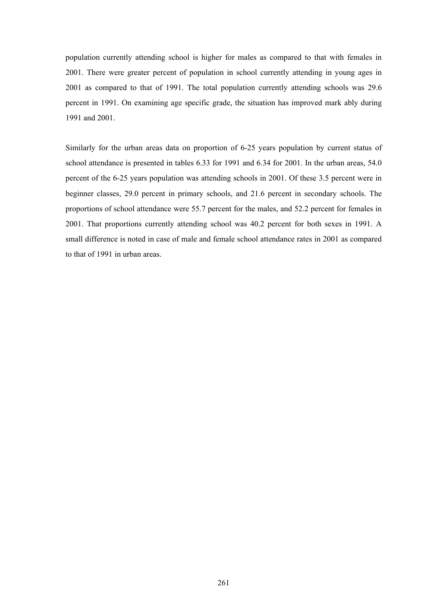population currently attending school is higher for males as compared to that with females in 2001. There were greater percent of population in school currently attending in young ages in 2001 as compared to that of 1991. The total population currently attending schools was 29.6 percent in 1991. On examining age specific grade, the situation has improved mark ably during 1991 and 2001.

Similarly for the urban areas data on proportion of 6-25 years population by current status of school attendance is presented in tables 6.33 for 1991 and 6.34 for 2001. In the urban areas, 54.0 percent of the 6-25 years population was attending schools in 2001. Of these 3.5 percent were in beginner classes, 29.0 percent in primary schools, and 21.6 percent in secondary schools. The proportions of school attendance were 55.7 percent for the males, and 52.2 percent for females in 2001. That proportions currently attending school was 40.2 percent for both sexes in 1991. A small difference is noted in case of male and female school attendance rates in 2001 as compared to that of 1991 in urban areas.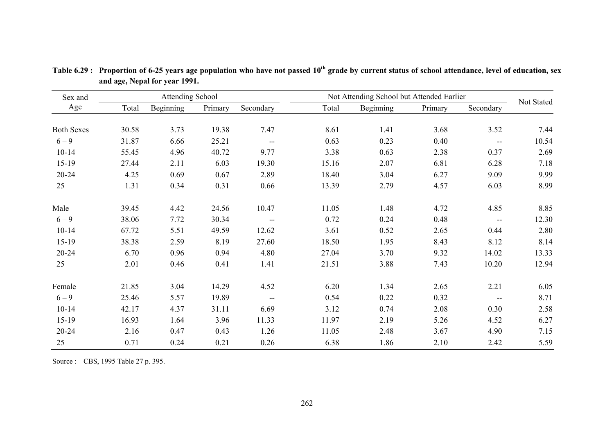| Sex and           |       | <b>Attending School</b> |         |                          | Not Attending School but Attended Earlier |           |         |                          |            |
|-------------------|-------|-------------------------|---------|--------------------------|-------------------------------------------|-----------|---------|--------------------------|------------|
| Age               | Total | Beginning               | Primary | Secondary                | Total                                     | Beginning | Primary | Secondary                | Not Stated |
| <b>Both Sexes</b> | 30.58 | 3.73                    | 19.38   | 7.47                     | 8.61                                      | 1.41      | 3.68    | 3.52                     | 7.44       |
| $6 - 9$           | 31.87 | 6.66                    | 25.21   | $\overline{\phantom{m}}$ | 0.63                                      | 0.23      | 0.40    | $\overline{\phantom{m}}$ | 10.54      |
| $10 - 14$         | 55.45 | 4.96                    | 40.72   | 9.77                     | 3.38                                      | 0.63      | 2.38    | 0.37                     | 2.69       |
| $15-19$           | 27.44 | 2.11                    | 6.03    | 19.30                    | 15.16                                     | 2.07      | 6.81    | 6.28                     | 7.18       |
| $20 - 24$         | 4.25  | 0.69                    | 0.67    | 2.89                     | 18.40                                     | 3.04      | 6.27    | 9.09                     | 9.99       |
| 25                | 1.31  | 0.34                    | 0.31    | 0.66                     | 13.39                                     | 2.79      | 4.57    | 6.03                     | 8.99       |
| Male              | 39.45 | 4.42                    | 24.56   | 10.47                    | 11.05                                     | 1.48      | 4.72    | 4.85                     | 8.85       |
| $6 - 9$           | 38.06 | 7.72                    | 30.34   | $\overline{\phantom{a}}$ | 0.72                                      | 0.24      | 0.48    | $\overline{\phantom{m}}$ | 12.30      |
| $10 - 14$         | 67.72 | 5.51                    | 49.59   | 12.62                    | 3.61                                      | 0.52      | 2.65    | 0.44                     | 2.80       |
| $15-19$           | 38.38 | 2.59                    | 8.19    | 27.60                    | 18.50                                     | 1.95      | 8.43    | 8.12                     | 8.14       |
| $20 - 24$         | 6.70  | 0.96                    | 0.94    | 4.80                     | 27.04                                     | 3.70      | 9.32    | 14.02                    | 13.33      |
| 25                | 2.01  | 0.46                    | 0.41    | 1.41                     | 21.51                                     | 3.88      | 7.43    | 10.20                    | 12.94      |
| Female            | 21.85 | 3.04                    | 14.29   | 4.52                     | 6.20                                      | 1.34      | 2.65    | 2.21                     | 6.05       |
| $6 - 9$           | 25.46 | 5.57                    | 19.89   | $\overline{\phantom{a}}$ | 0.54                                      | 0.22      | 0.32    | $\sim$ $\sim$            | 8.71       |
| $10 - 14$         | 42.17 | 4.37                    | 31.11   | 6.69                     | 3.12                                      | 0.74      | 2.08    | 0.30                     | 2.58       |
| $15-19$           | 16.93 | 1.64                    | 3.96    | 11.33                    | 11.97                                     | 2.19      | 5.26    | 4.52                     | 6.27       |
| $20 - 24$         | 2.16  | 0.47                    | 0.43    | 1.26                     | 11.05                                     | 2.48      | 3.67    | 4.90                     | 7.15       |
| 25                | 0.71  | 0.24                    | 0.21    | 0.26                     | 6.38                                      | 1.86      | 2.10    | 2.42                     | 5.59       |

**Table 6.29 : Proportion of 6-25 years age population who have not passed 10th grade by current status of school attendance, level of education, sex and age, Nepal for year 1991.** 

Source : CBS, 1995 Table 27 p. 395.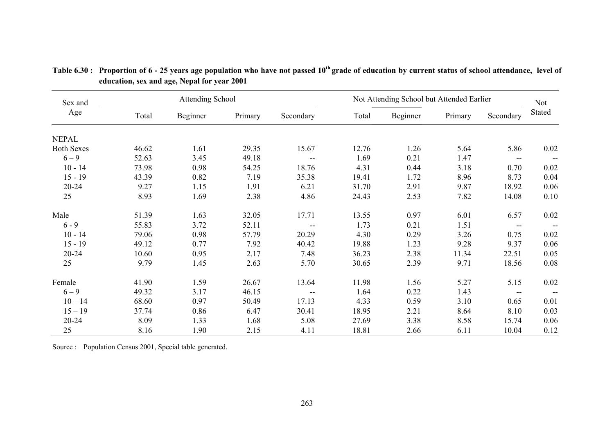| Sex and           |       | <b>Attending School</b> |         |                          | Not Attending School but Attended Earlier | Not      |         |                          |          |
|-------------------|-------|-------------------------|---------|--------------------------|-------------------------------------------|----------|---------|--------------------------|----------|
| Age               | Total | Beginner                | Primary | Secondary                | Total                                     | Beginner | Primary | Secondary                | Stated   |
| <b>NEPAL</b>      |       |                         |         |                          |                                           |          |         |                          |          |
| <b>Both Sexes</b> | 46.62 | 1.61                    | 29.35   | 15.67                    | 12.76                                     | 1.26     | 5.64    | 5.86                     | $0.02\,$ |
| $6 - 9$           | 52.63 | 3.45                    | 49.18   | $\overline{\phantom{m}}$ | 1.69                                      | 0.21     | 1.47    | $\overline{\phantom{a}}$ |          |
| $10 - 14$         | 73.98 | 0.98                    | 54.25   | 18.76                    | 4.31                                      | 0.44     | 3.18    | 0.70                     | $0.02\,$ |
| $15 - 19$         | 43.39 | 0.82                    | 7.19    | 35.38                    | 19.41                                     | 1.72     | 8.96    | 8.73                     | 0.04     |
| $20 - 24$         | 9.27  | 1.15                    | 1.91    | 6.21                     | 31.70                                     | 2.91     | 9.87    | 18.92                    | 0.06     |
| 25                | 8.93  | 1.69                    | 2.38    | 4.86                     | 24.43                                     | 2.53     | 7.82    | 14.08                    | 0.10     |
| Male              | 51.39 | 1.63                    | 32.05   | 17.71                    | 13.55                                     | 0.97     | 6.01    | 6.57                     | 0.02     |
| $6 - 9$           | 55.83 | 3.72                    | 52.11   | $\overline{\phantom{m}}$ | 1.73                                      | 0.21     | 1.51    | $\overline{\phantom{m}}$ |          |
| $10 - 14$         | 79.06 | 0.98                    | 57.79   | 20.29                    | 4.30                                      | 0.29     | 3.26    | 0.75                     | 0.02     |
| $15 - 19$         | 49.12 | 0.77                    | 7.92    | 40.42                    | 19.88                                     | 1.23     | 9.28    | 9.37                     | 0.06     |
| $20 - 24$         | 10.60 | 0.95                    | 2.17    | 7.48                     | 36.23                                     | 2.38     | 11.34   | 22.51                    | 0.05     |
| 25                | 9.79  | 1.45                    | 2.63    | 5.70                     | 30.65                                     | 2.39     | 9.71    | 18.56                    | 0.08     |
| Female            | 41.90 | 1.59                    | 26.67   | 13.64                    | 11.98                                     | 1.56     | 5.27    | 5.15                     | 0.02     |
| $6 - 9$           | 49.32 | 3.17                    | 46.15   | $\overline{\phantom{m}}$ | 1.64                                      | 0.22     | 1.43    | $\overline{\phantom{m}}$ |          |
| $10 - 14$         | 68.60 | 0.97                    | 50.49   | 17.13                    | 4.33                                      | 0.59     | 3.10    | 0.65                     | 0.01     |
| $15 - 19$         | 37.74 | 0.86                    | 6.47    | 30.41                    | 18.95                                     | 2.21     | 8.64    | 8.10                     | 0.03     |
| $20 - 24$         | 8.09  | 1.33                    | 1.68    | 5.08                     | 27.69                                     | 3.38     | 8.58    | 15.74                    | 0.06     |
| 25                | 8.16  | 1.90                    | 2.15    | 4.11                     | 18.81                                     | 2.66     | 6.11    | 10.04                    | 0.12     |

**Table 6.30 : Proportion of 6 - 25 years age population who have not passed 10th grade of education by current status of school attendance, level of education, sex and age, Nepal for year 2001** 

Source : Population Census 2001, Special table generated.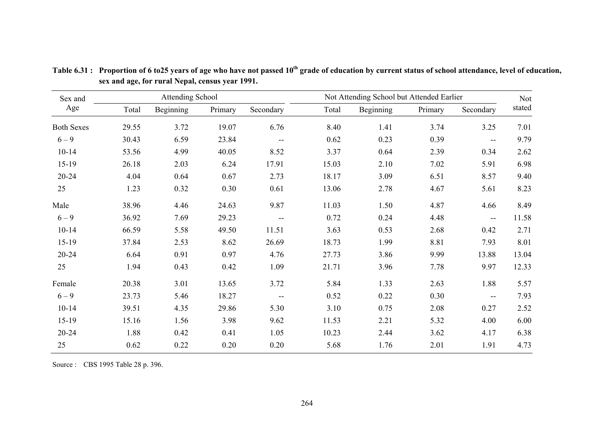| Sex and           |       | <b>Attending School</b> |         |               |       | Not Attending School but Attended Earlier |         |                                               |        |  |  |
|-------------------|-------|-------------------------|---------|---------------|-------|-------------------------------------------|---------|-----------------------------------------------|--------|--|--|
| Age               | Total | Beginning               | Primary | Secondary     | Total | Beginning                                 | Primary | Secondary                                     | stated |  |  |
| <b>Both Sexes</b> | 29.55 | 3.72                    | 19.07   | 6.76          | 8.40  | 1.41                                      | 3.74    | 3.25                                          | 7.01   |  |  |
| $6 - 9$           | 30.43 | 6.59                    | 23.84   | $\sim$ $\sim$ | 0.62  | 0.23                                      | 0.39    | $\overline{\phantom{m}}$                      | 9.79   |  |  |
| $10 - 14$         | 53.56 | 4.99                    | 40.05   | 8.52          | 3.37  | 0.64                                      | 2.39    | 0.34                                          | 2.62   |  |  |
| 15-19             | 26.18 | 2.03                    | 6.24    | 17.91         | 15.03 | 2.10                                      | 7.02    | 5.91                                          | 6.98   |  |  |
| $20 - 24$         | 4.04  | 0.64                    | 0.67    | 2.73          | 18.17 | 3.09                                      | 6.51    | 8.57                                          | 9.40   |  |  |
| 25                | 1.23  | 0.32                    | 0.30    | 0.61          | 13.06 | 2.78                                      | 4.67    | 5.61                                          | 8.23   |  |  |
| Male              | 38.96 | 4.46                    | 24.63   | 9.87          | 11.03 | 1.50                                      | 4.87    | 4.66                                          | 8.49   |  |  |
| $6 - 9$           | 36.92 | 7.69                    | 29.23   | --            | 0.72  | 0.24                                      | 4.48    | --                                            | 11.58  |  |  |
| $10 - 14$         | 66.59 | 5.58                    | 49.50   | 11.51         | 3.63  | 0.53                                      | 2.68    | 0.42                                          | 2.71   |  |  |
| 15-19             | 37.84 | 2.53                    | 8.62    | 26.69         | 18.73 | 1.99                                      | 8.81    | 7.93                                          | 8.01   |  |  |
| $20 - 24$         | 6.64  | 0.91                    | 0.97    | 4.76          | 27.73 | 3.86                                      | 9.99    | 13.88                                         | 13.04  |  |  |
| 25                | 1.94  | 0.43                    | 0.42    | 1.09          | 21.71 | 3.96                                      | 7.78    | 9.97                                          | 12.33  |  |  |
| Female            | 20.38 | 3.01                    | 13.65   | 3.72          | 5.84  | 1.33                                      | 2.63    | 1.88                                          | 5.57   |  |  |
| $6 - 9$           | 23.73 | 5.46                    | 18.27   | --            | 0.52  | 0.22                                      | 0.30    | $\mathord{\hspace{1pt}\text{--}\hspace{1pt}}$ | 7.93   |  |  |
| $10 - 14$         | 39.51 | 4.35                    | 29.86   | 5.30          | 3.10  | 0.75                                      | 2.08    | 0.27                                          | 2.52   |  |  |
| 15-19             | 15.16 | 1.56                    | 3.98    | 9.62          | 11.53 | 2.21                                      | 5.32    | 4.00                                          | 6.00   |  |  |
| $20 - 24$         | 1.88  | 0.42                    | 0.41    | 1.05          | 10.23 | 2.44                                      | 3.62    | 4.17                                          | 6.38   |  |  |
| 25                | 0.62  | 0.22                    | 0.20    | 0.20          | 5.68  | 1.76                                      | 2.01    | 1.91                                          | 4.73   |  |  |

Table 6.31: Proportion of 6 to25 years of age who have not passed 10<sup>th</sup> grade of education by current status of school attendance, level of education, **sex and age, for rural Nepal, census year 1991.** 

Source : CBS 1995 Table 28 p. 396.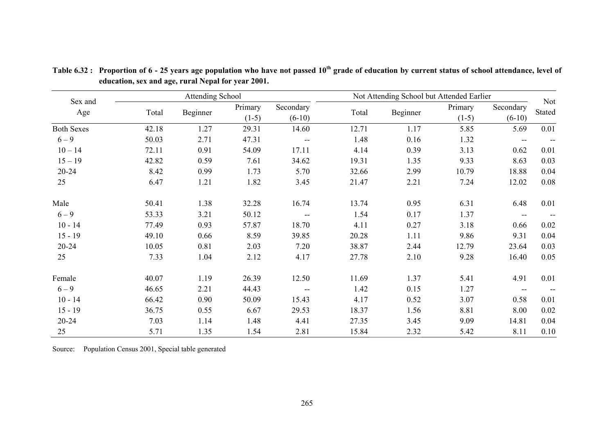|                   |       | <b>Attending School</b> |                    |                       | Not Attending School but Attended Earlier |          |                    |                          |                                               |  |
|-------------------|-------|-------------------------|--------------------|-----------------------|-------------------------------------------|----------|--------------------|--------------------------|-----------------------------------------------|--|
| Sex and<br>Age    | Total | Beginner                | Primary<br>$(1-5)$ | Secondary<br>$(6-10)$ | Total                                     | Beginner | Primary<br>$(1-5)$ | Secondary<br>$(6-10)$    | <b>Not</b><br>Stated                          |  |
| <b>Both Sexes</b> | 42.18 | 1.27                    | 29.31              | 14.60                 | 12.71                                     | 1.17     | 5.85               | 5.69                     | 0.01                                          |  |
| $6 - 9$           | 50.03 | 2.71                    | 47.31              | $- -$                 | 1.48                                      | 0.16     | 1.32               | $\overline{\phantom{m}}$ | $\mathord{\hspace{1pt}\text{--}\hspace{1pt}}$ |  |
| $10 - 14$         | 72.11 | 0.91                    | 54.09              | 17.11                 | 4.14                                      | 0.39     | 3.13               | 0.62                     | 0.01                                          |  |
| $15 - 19$         | 42.82 | 0.59                    | 7.61               | 34.62                 | 19.31                                     | 1.35     | 9.33               | 8.63                     | 0.03                                          |  |
| $20 - 24$         | 8.42  | 0.99                    | 1.73               | 5.70                  | 32.66                                     | 2.99     | 10.79              | 18.88                    | 0.04                                          |  |
| 25                | 6.47  | 1.21                    | 1.82               | 3.45                  | 21.47                                     | 2.21     | 7.24               | 12.02                    | 0.08                                          |  |
| Male              | 50.41 | 1.38                    | 32.28              | 16.74                 | 13.74                                     | 0.95     | 6.31               | 6.48                     | 0.01                                          |  |
| $6 - 9$           | 53.33 | 3.21                    | 50.12              | --                    | 1.54                                      | 0.17     | 1.37               | $\overline{\phantom{m}}$ | $-$                                           |  |
| $10 - 14$         | 77.49 | 0.93                    | 57.87              | 18.70                 | 4.11                                      | 0.27     | 3.18               | 0.66                     | 0.02                                          |  |
| $15 - 19$         | 49.10 | 0.66                    | 8.59               | 39.85                 | 20.28                                     | 1.11     | 9.86               | 9.31                     | 0.04                                          |  |
| $20 - 24$         | 10.05 | 0.81                    | 2.03               | 7.20                  | 38.87                                     | 2.44     | 12.79              | 23.64                    | 0.03                                          |  |
| 25                | 7.33  | 1.04                    | 2.12               | 4.17                  | 27.78                                     | 2.10     | 9.28               | 16.40                    | 0.05                                          |  |
| Female            | 40.07 | 1.19                    | 26.39              | 12.50                 | 11.69                                     | 1.37     | 5.41               | 4.91                     | 0.01                                          |  |
| $6 - 9$           | 46.65 | 2.21                    | 44.43              | $\mathbf{u}$          | 1.42                                      | 0.15     | 1.27               | $\overline{\phantom{m}}$ |                                               |  |
| $10 - 14$         | 66.42 | 0.90                    | 50.09              | 15.43                 | 4.17                                      | 0.52     | 3.07               | 0.58                     | 0.01                                          |  |
| $15 - 19$         | 36.75 | 0.55                    | 6.67               | 29.53                 | 18.37                                     | 1.56     | 8.81               | 8.00                     | 0.02                                          |  |
| $20 - 24$         | 7.03  | 1.14                    | 1.48               | 4.41                  | 27.35                                     | 3.45     | 9.09               | 14.81                    | 0.04                                          |  |
| 25                | 5.71  | 1.35                    | 1.54               | 2.81                  | 15.84                                     | 2.32     | 5.42               | 8.11                     | 0.10                                          |  |

**Table 6.32 : Proportion of 6 - 25 years age population who have not passed 10th grade of education by current status of school attendance, level of education, sex and age, rural Nepal for year 2001.** 

Source: Population Census 2001, Special table generated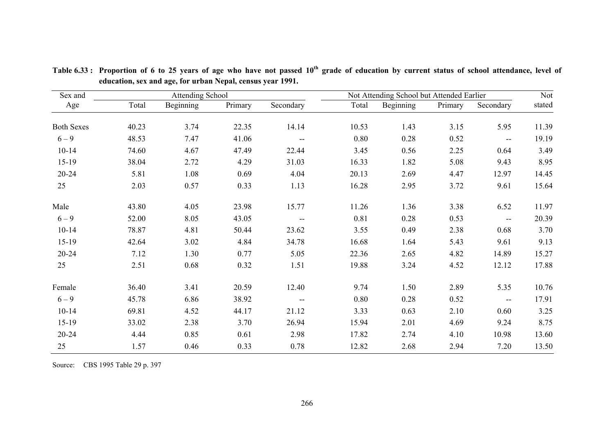| Sex and           |       | <b>Attending School</b> |         |                          | Not Attending School but Attended Earlier |           |         |                                                     |        |  |
|-------------------|-------|-------------------------|---------|--------------------------|-------------------------------------------|-----------|---------|-----------------------------------------------------|--------|--|
| Age               | Total | Beginning               | Primary | Secondary                | Total                                     | Beginning | Primary | Secondary                                           | stated |  |
| <b>Both Sexes</b> | 40.23 | 3.74                    | 22.35   | 14.14                    | 10.53                                     | 1.43      | 3.15    | 5.95                                                | 11.39  |  |
| $6 - 9$           | 48.53 | 7.47                    | 41.06   | $\overline{\phantom{a}}$ | 0.80                                      | 0.28      | 0.52    | $\hspace{0.05cm}$ $\hspace{0.05cm}$                 | 19.19  |  |
| $10 - 14$         | 74.60 | 4.67                    | 47.49   | 22.44                    | 3.45                                      | 0.56      | 2.25    | 0.64                                                | 3.49   |  |
| $15-19$           | 38.04 | 2.72                    | 4.29    | 31.03                    | 16.33                                     | 1.82      | 5.08    | 9.43                                                | 8.95   |  |
| $20 - 24$         | 5.81  | 1.08                    | 0.69    | 4.04                     | 20.13                                     | 2.69      | 4.47    | 12.97                                               | 14.45  |  |
| 25                | 2.03  | 0.57                    | 0.33    | 1.13                     | 16.28                                     | 2.95      | 3.72    | 9.61                                                | 15.64  |  |
| Male              | 43.80 | 4.05                    | 23.98   | 15.77                    | 11.26                                     | 1.36      | 3.38    | 6.52                                                | 11.97  |  |
| $6 - 9$           | 52.00 | 8.05                    | 43.05   | $\overline{\phantom{m}}$ | 0.81                                      | 0.28      | 0.53    | $\hspace{0.05cm}$ $\hspace{0.05cm}$                 | 20.39  |  |
| $10 - 14$         | 78.87 | 4.81                    | 50.44   | 23.62                    | 3.55                                      | 0.49      | 2.38    | 0.68                                                | 3.70   |  |
| $15-19$           | 42.64 | 3.02                    | 4.84    | 34.78                    | 16.68                                     | 1.64      | 5.43    | 9.61                                                | 9.13   |  |
| $20 - 24$         | 7.12  | 1.30                    | 0.77    | 5.05                     | 22.36                                     | 2.65      | 4.82    | 14.89                                               | 15.27  |  |
| 25                | 2.51  | 0.68                    | 0.32    | 1.51                     | 19.88                                     | 3.24      | 4.52    | 12.12                                               | 17.88  |  |
| Female            | 36.40 | 3.41                    | 20.59   | 12.40                    | 9.74                                      | 1.50      | 2.89    | 5.35                                                | 10.76  |  |
| $6 - 9$           | 45.78 | 6.86                    | 38.92   | $\overline{\phantom{a}}$ | 0.80                                      | 0.28      | 0.52    | $\hspace{0.05cm} -\hspace{0.05cm} -\hspace{0.05cm}$ | 17.91  |  |
| $10 - 14$         | 69.81 | 4.52                    | 44.17   | 21.12                    | 3.33                                      | 0.63      | 2.10    | 0.60                                                | 3.25   |  |
| $15-19$           | 33.02 | 2.38                    | 3.70    | 26.94                    | 15.94                                     | 2.01      | 4.69    | 9.24                                                | 8.75   |  |
| $20 - 24$         | 4.44  | 0.85                    | 0.61    | 2.98                     | 17.82                                     | 2.74      | 4.10    | 10.98                                               | 13.60  |  |
| 25                | 1.57  | 0.46                    | 0.33    | 0.78                     | 12.82                                     | 2.68      | 2.94    | 7.20                                                | 13.50  |  |

**Table 6.33 : Proportion of 6 to 25 years of age who have not passed 10th grade of education by current status of school attendance, level of education, sex and age, for urban Nepal, census year 1991.** 

Source: CBS 1995 Table 29 p. 397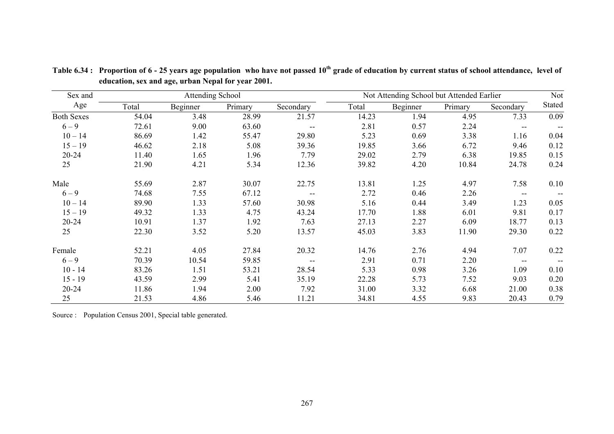| Sex and           |       | <b>Attending School</b> |         |                          |       | Not Attending School but Attended Earlier |         |                          |        |  |  |
|-------------------|-------|-------------------------|---------|--------------------------|-------|-------------------------------------------|---------|--------------------------|--------|--|--|
| Age               | Total | Beginner                | Primary | Secondary                | Total | Beginner                                  | Primary | Secondary                | Stated |  |  |
| <b>Both Sexes</b> | 54.04 | 3.48                    | 28.99   | 21.57                    | 14.23 | 1.94                                      | 4.95    | 7.33                     | 0.09   |  |  |
| $6 - 9$           | 72.61 | 9.00                    | 63.60   | $\overline{\phantom{a}}$ | 2.81  | 0.57                                      | 2.24    | $\qquad \qquad -$        |        |  |  |
| $10 - 14$         | 86.69 | 1.42                    | 55.47   | 29.80                    | 5.23  | 0.69                                      | 3.38    | 1.16                     | 0.04   |  |  |
| $15 - 19$         | 46.62 | 2.18                    | 5.08    | 39.36                    | 19.85 | 3.66                                      | 6.72    | 9.46                     | 0.12   |  |  |
| $20 - 24$         | 11.40 | 1.65                    | 1.96    | 7.79                     | 29.02 | 2.79                                      | 6.38    | 19.85                    | 0.15   |  |  |
| 25                | 21.90 | 4.21                    | 5.34    | 12.36                    | 39.82 | 4.20                                      | 10.84   | 24.78                    | 0.24   |  |  |
| Male              | 55.69 | 2.87                    | 30.07   | 22.75                    | 13.81 | 1.25                                      | 4.97    | 7.58                     | 0.10   |  |  |
| $6 - 9$           | 74.68 | 7.55                    | 67.12   | $-$                      | 2.72  | 0.46                                      | 2.26    | --                       | $\sim$ |  |  |
| $10 - 14$         | 89.90 | 1.33                    | 57.60   | 30.98                    | 5.16  | 0.44                                      | 3.49    | 1.23                     | 0.05   |  |  |
| $15 - 19$         | 49.32 | 1.33                    | 4.75    | 43.24                    | 17.70 | 1.88                                      | 6.01    | 9.81                     | 0.17   |  |  |
| $20 - 24$         | 10.91 | 1.37                    | 1.92    | 7.63                     | 27.13 | 2.27                                      | 6.09    | 18.77                    | 0.13   |  |  |
| 25                | 22.30 | 3.52                    | 5.20    | 13.57                    | 45.03 | 3.83                                      | 11.90   | 29.30                    | 0.22   |  |  |
| Female            | 52.21 | 4.05                    | 27.84   | 20.32                    | 14.76 | 2.76                                      | 4.94    | 7.07                     | 0.22   |  |  |
| $6 - 9$           | 70.39 | 10.54                   | 59.85   | $\overline{\phantom{m}}$ | 2.91  | 0.71                                      | 2.20    | $\overline{\phantom{m}}$ | $\sim$ |  |  |
| $10 - 14$         | 83.26 | 1.51                    | 53.21   | 28.54                    | 5.33  | 0.98                                      | 3.26    | 1.09                     | 0.10   |  |  |
| $15 - 19$         | 43.59 | 2.99                    | 5.41    | 35.19                    | 22.28 | 5.73                                      | 7.52    | 9.03                     | 0.20   |  |  |
| $20 - 24$         | 11.86 | 1.94                    | 2.00    | 7.92                     | 31.00 | 3.32                                      | 6.68    | 21.00                    | 0.38   |  |  |
| 25                | 21.53 | 4.86                    | 5.46    | 11.21                    | 34.81 | 4.55                                      | 9.83    | 20.43                    | 0.79   |  |  |

**Table 6.34 : Proportion of 6 - 25 years age population who have not passed 10th grade of education by current status of school attendance, level of education, sex and age, urban Nepal for year 2001.** 

Source : Population Census 2001, Special table generated.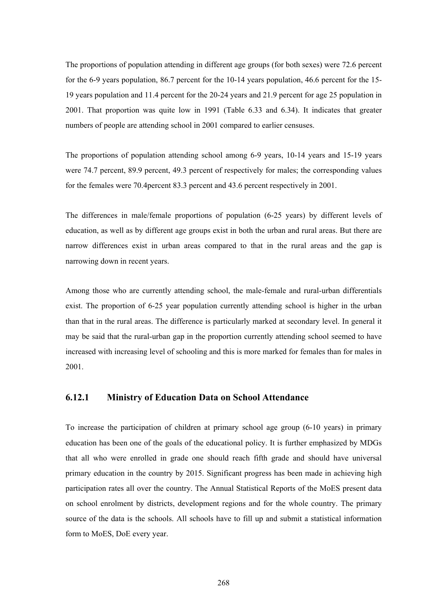The proportions of population attending in different age groups (for both sexes) were 72.6 percent for the 6-9 years population, 86.7 percent for the 10-14 years population, 46.6 percent for the 15- 19 years population and 11.4 percent for the 20-24 years and 21.9 percent for age 25 population in 2001. That proportion was quite low in 1991 (Table 6.33 and 6.34). It indicates that greater numbers of people are attending school in 2001 compared to earlier censuses.

The proportions of population attending school among 6-9 years, 10-14 years and 15-19 years were 74.7 percent, 89.9 percent, 49.3 percent of respectively for males; the corresponding values for the females were 70.4percent 83.3 percent and 43.6 percent respectively in 2001.

The differences in male/female proportions of population (6-25 years) by different levels of education, as well as by different age groups exist in both the urban and rural areas. But there are narrow differences exist in urban areas compared to that in the rural areas and the gap is narrowing down in recent years.

Among those who are currently attending school, the male-female and rural-urban differentials exist. The proportion of 6-25 year population currently attending school is higher in the urban than that in the rural areas. The difference is particularly marked at secondary level. In general it may be said that the rural-urban gap in the proportion currently attending school seemed to have increased with increasing level of schooling and this is more marked for females than for males in 2001.

#### **6.12.1 Ministry of Education Data on School Attendance**

To increase the participation of children at primary school age group (6-10 years) in primary education has been one of the goals of the educational policy. It is further emphasized by MDGs that all who were enrolled in grade one should reach fifth grade and should have universal primary education in the country by 2015. Significant progress has been made in achieving high participation rates all over the country. The Annual Statistical Reports of the MoES present data on school enrolment by districts, development regions and for the whole country. The primary source of the data is the schools. All schools have to fill up and submit a statistical information form to MoES, DoE every year.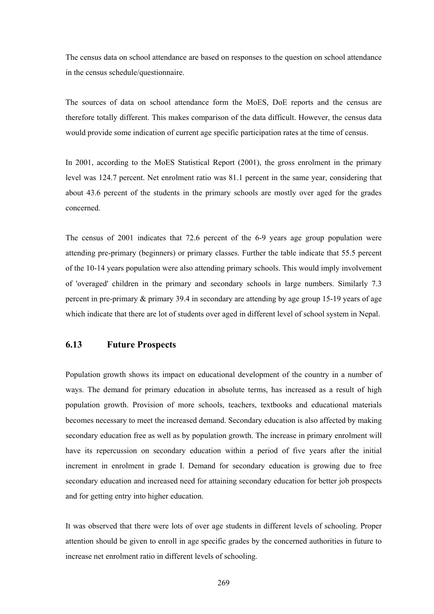The census data on school attendance are based on responses to the question on school attendance in the census schedule/questionnaire.

The sources of data on school attendance form the MoES, DoE reports and the census are therefore totally different. This makes comparison of the data difficult. However, the census data would provide some indication of current age specific participation rates at the time of census.

In 2001, according to the MoES Statistical Report (2001), the gross enrolment in the primary level was 124.7 percent. Net enrolment ratio was 81.1 percent in the same year, considering that about 43.6 percent of the students in the primary schools are mostly over aged for the grades concerned.

The census of 2001 indicates that 72.6 percent of the 6-9 years age group population were attending pre-primary (beginners) or primary classes. Further the table indicate that 55.5 percent of the 10-14 years population were also attending primary schools. This would imply involvement of 'overaged' children in the primary and secondary schools in large numbers. Similarly 7.3 percent in pre-primary & primary 39.4 in secondary are attending by age group 15-19 years of age which indicate that there are lot of students over aged in different level of school system in Nepal.

#### **6.13 Future Prospects**

Population growth shows its impact on educational development of the country in a number of ways. The demand for primary education in absolute terms, has increased as a result of high population growth. Provision of more schools, teachers, textbooks and educational materials becomes necessary to meet the increased demand. Secondary education is also affected by making secondary education free as well as by population growth. The increase in primary enrolment will have its repercussion on secondary education within a period of five years after the initial increment in enrolment in grade I. Demand for secondary education is growing due to free secondary education and increased need for attaining secondary education for better job prospects and for getting entry into higher education.

It was observed that there were lots of over age students in different levels of schooling. Proper attention should be given to enroll in age specific grades by the concerned authorities in future to increase net enrolment ratio in different levels of schooling.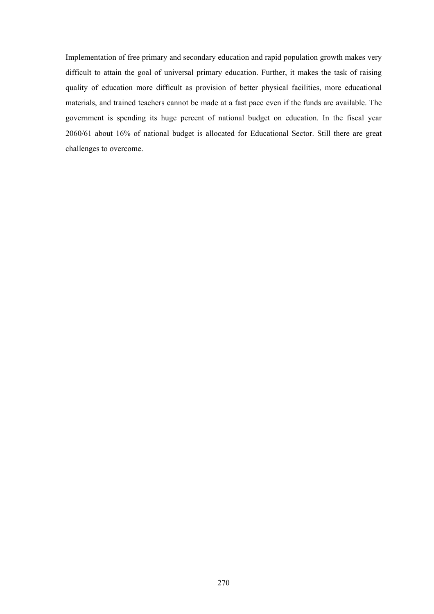Implementation of free primary and secondary education and rapid population growth makes very difficult to attain the goal of universal primary education. Further, it makes the task of raising quality of education more difficult as provision of better physical facilities, more educational materials, and trained teachers cannot be made at a fast pace even if the funds are available. The government is spending its huge percent of national budget on education. In the fiscal year 2060/61 about 16% of national budget is allocated for Educational Sector. Still there are great challenges to overcome.